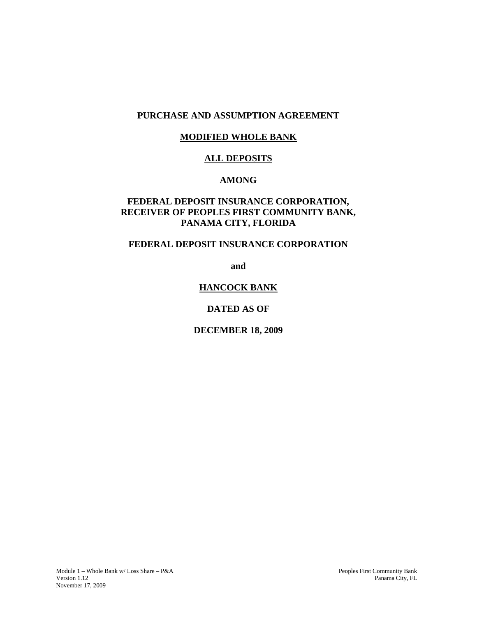### **PURCHASE AND ASSUMPTION AGREEMENT**

### **MODIFIED WHOLE BANK**

### **ALL DEPOSITS**

### **AMONG**

### **FEDERAL DEPOSIT INSURANCE CORPORATION, RECEIVER OF PEOPLES FIRST COMMUNITY BANK, PANAMA CITY, FLORIDA**

### **FEDERAL DEPOSIT INSURANCE CORPORATION**

**and** 

### **HANCOCK BANK**

**DATED AS OF**

**DECEMBER 18, 2009**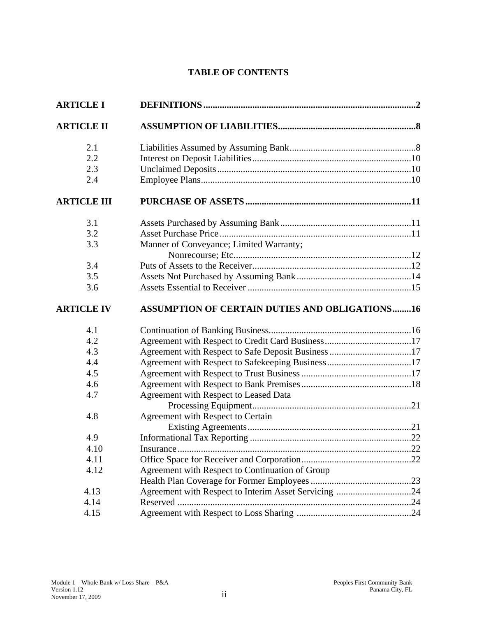# **TABLE OF CONTENTS**

| <b>ARTICLE I</b>   |                                                       |  |
|--------------------|-------------------------------------------------------|--|
| <b>ARTICLE II</b>  |                                                       |  |
| 2.1                |                                                       |  |
| 2.2                |                                                       |  |
| 2.3                |                                                       |  |
| 2.4                |                                                       |  |
| <b>ARTICLE III</b> |                                                       |  |
| 3.1                |                                                       |  |
| 3.2                |                                                       |  |
| 3.3                | Manner of Conveyance; Limited Warranty;               |  |
|                    |                                                       |  |
| 3.4                |                                                       |  |
| 3.5                |                                                       |  |
| 3.6                |                                                       |  |
| <b>ARTICLE IV</b>  | <b>ASSUMPTION OF CERTAIN DUTIES AND OBLIGATIONS16</b> |  |
| 4.1                |                                                       |  |
| 4.2                |                                                       |  |
| 4.3                |                                                       |  |
| 4.4                |                                                       |  |
| 4.5                |                                                       |  |
| 4.6                |                                                       |  |
| 4.7                | Agreement with Respect to Leased Data                 |  |
|                    |                                                       |  |
| 4.8                | Agreement with Respect to Certain                     |  |
|                    |                                                       |  |
| 4.9                |                                                       |  |
| 4.10               |                                                       |  |
| 4.11               |                                                       |  |
| 4.12               | Agreement with Respect to Continuation of Group       |  |
|                    |                                                       |  |
| 4.13               | Agreement with Respect to Interim Asset Servicing 24  |  |
| 4.14               |                                                       |  |
| 4.15               |                                                       |  |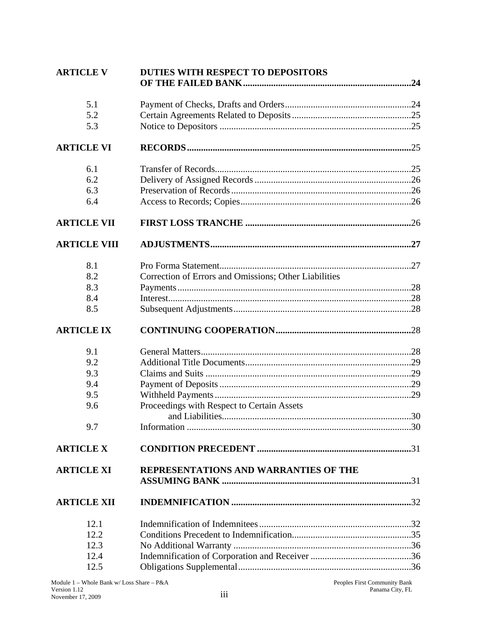| <b>ARTICLE V</b>    | DUTIES WITH RESPECT TO DEPOSITORS                     |  |
|---------------------|-------------------------------------------------------|--|
|                     |                                                       |  |
| 5.1                 |                                                       |  |
| 5.2                 |                                                       |  |
| 5.3                 |                                                       |  |
| <b>ARTICLE VI</b>   |                                                       |  |
| 6.1                 |                                                       |  |
| 6.2                 |                                                       |  |
| 6.3                 |                                                       |  |
| 6.4                 |                                                       |  |
| <b>ARTICLE VII</b>  |                                                       |  |
| <b>ARTICLE VIII</b> |                                                       |  |
| 8.1                 |                                                       |  |
| 8.2                 | Correction of Errors and Omissions; Other Liabilities |  |
| 8.3                 |                                                       |  |
| 8.4                 |                                                       |  |
| 8.5                 |                                                       |  |
| <b>ARTICLE IX</b>   |                                                       |  |
| 9.1                 |                                                       |  |
| 9.2                 |                                                       |  |
| 9.3                 |                                                       |  |
| 9.4                 |                                                       |  |
| 9.5                 |                                                       |  |
| 9.6                 | Proceedings with Respect to Certain Assets            |  |
|                     |                                                       |  |
| 9.7                 |                                                       |  |
| <b>ARTICLE X</b>    |                                                       |  |
| <b>ARTICLE XI</b>   | <b>REPRESENTATIONS AND WARRANTIES OF THE</b>          |  |
| <b>ARTICLE XII</b>  |                                                       |  |
| 12.1                |                                                       |  |
| 12.2                |                                                       |  |
| 12.3                |                                                       |  |
| 12.4                |                                                       |  |
| 12.5                |                                                       |  |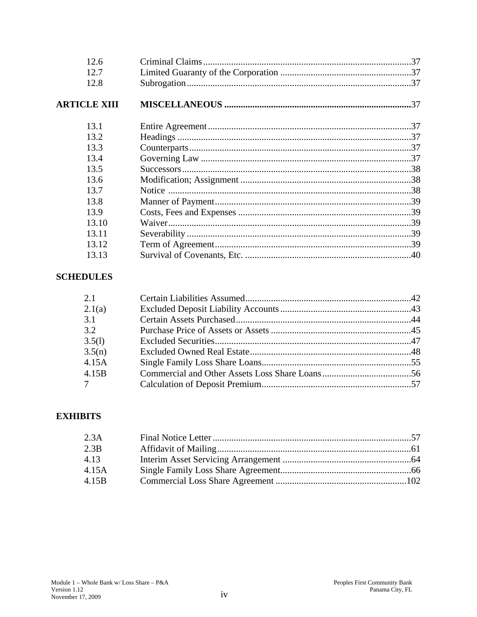| 12.6                |  |
|---------------------|--|
| 12.7                |  |
| 12.8                |  |
| <b>ARTICLE XIII</b> |  |
| 13.1                |  |
| 13.2                |  |
| 13.3                |  |
| 13.4                |  |
| 13.5                |  |
| 13.6                |  |
| 13.7                |  |
| 13.8                |  |
| 13.9                |  |
| 13.10               |  |
| 13.11               |  |
| 13.12               |  |
| 13.13               |  |

### **SCHEDULES**

| 2.1             |  |
|-----------------|--|
| 2.1(a)          |  |
| 3.1             |  |
| 3.2             |  |
| 3.5(l)          |  |
| 3.5(n)          |  |
| 4.15A           |  |
| 4.15B           |  |
| $7\overline{ }$ |  |

## **EXHIBITS**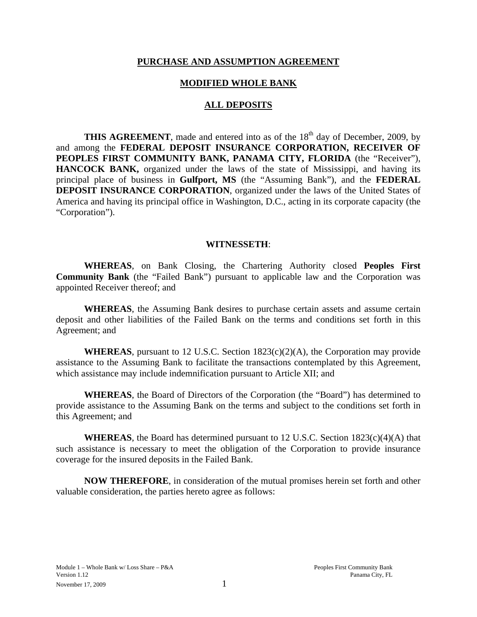#### **PURCHASE AND ASSUMPTION AGREEMENT**

#### **MODIFIED WHOLE BANK**

#### **ALL DEPOSITS**

**THIS AGREEMENT**, made and entered into as of the 18<sup>th</sup> day of December, 2009, by and among the **FEDERAL DEPOSIT INSURANCE CORPORATION, RECEIVER OF PEOPLES FIRST COMMUNITY BANK, PANAMA CITY, FLORIDA** (the "Receiver"), **HANCOCK BANK,** organized under the laws of the state of Mississippi, and having its principal place of business in **Gulfport, MS** (the "Assuming Bank"), and the **FEDERAL DEPOSIT INSURANCE CORPORATION**, organized under the laws of the United States of America and having its principal office in Washington, D.C., acting in its corporate capacity (the "Corporation").

#### **WITNESSETH**:

**WHEREAS**, on Bank Closing, the Chartering Authority closed **Peoples First Community Bank** (the "Failed Bank") pursuant to applicable law and the Corporation was appointed Receiver thereof; and

**WHEREAS**, the Assuming Bank desires to purchase certain assets and assume certain deposit and other liabilities of the Failed Bank on the terms and conditions set forth in this Agreement; and

**WHEREAS**, pursuant to 12 U.S.C. Section 1823(c)(2)(A), the Corporation may provide assistance to the Assuming Bank to facilitate the transactions contemplated by this Agreement, which assistance may include indemnification pursuant to Article XII; and

**WHEREAS**, the Board of Directors of the Corporation (the "Board") has determined to provide assistance to the Assuming Bank on the terms and subject to the conditions set forth in this Agreement; and

**WHEREAS**, the Board has determined pursuant to 12 U.S.C. Section 1823(c)(4)(A) that such assistance is necessary to meet the obligation of the Corporation to provide insurance coverage for the insured deposits in the Failed Bank.

 **NOW THEREFORE**, in consideration of the mutual promises herein set forth and other valuable consideration, the parties hereto agree as follows: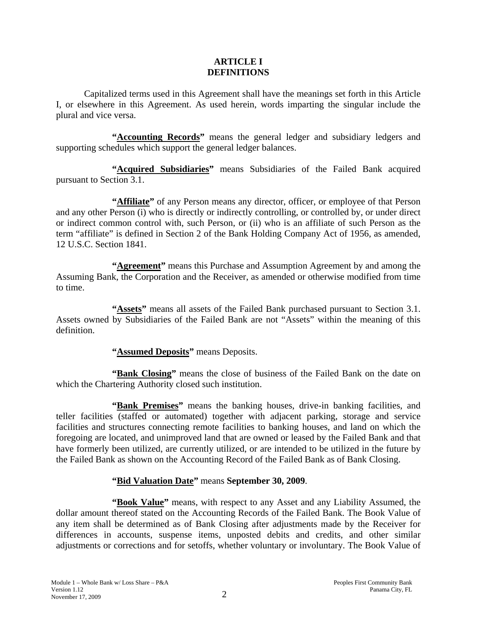#### **ARTICLE I DEFINITIONS**

<span id="page-5-1"></span><span id="page-5-0"></span>Capitalized terms used in this Agreement shall have the meanings set forth in this Article I, or elsewhere in this Agreement. As used herein, words imparting the singular include the plural and vice versa.

**"Accounting Records"** means the general ledger and subsidiary ledgers and supporting schedules which support the general ledger balances.

**"Acquired Subsidiaries"** means Subsidiaries of the Failed Bank acquired pursuant to Section 3.1.

"**Affiliate**" of any Person means any director, officer, or employee of that Person and any other Person (i) who is directly or indirectly controlling, or controlled by, or under direct or indirect common control with, such Person, or (ii) who is an affiliate of such Person as the term "affiliate" is defined in Section 2 of the Bank Holding Company Act of 1956, as amended, 12 U.S.C. Section 1841.

**"Agreement"** means this Purchase and Assumption Agreement by and among the Assuming Bank, the Corporation and the Receiver, as amended or otherwise modified from time to time.

**"Assets"** means all assets of the Failed Bank purchased pursuant to Section 3.1. Assets owned by Subsidiaries of the Failed Bank are not "Assets" within the meaning of this definition.

**"Assumed Deposits"** means Deposits.

**"Bank Closing"** means the close of business of the Failed Bank on the date on which the Chartering Authority closed such institution.

**"Bank Premises"** means the banking houses, drive-in banking facilities, and teller facilities (staffed or automated) together with adjacent parking, storage and service facilities and structures connecting remote facilities to banking houses, and land on which the foregoing are located, and unimproved land that are owned or leased by the Failed Bank and that have formerly been utilized, are currently utilized, or are intended to be utilized in the future by the Failed Bank as shown on the Accounting Record of the Failed Bank as of Bank Closing.

### **"Bid Valuation Date"** means **September 30, 2009**.

**"Book Value"** means, with respect to any Asset and any Liability Assumed, the dollar amount thereof stated on the Accounting Records of the Failed Bank. The Book Value of any item shall be determined as of Bank Closing after adjustments made by the Receiver for differences in accounts, suspense items, unposted debits and credits, and other similar adjustments or corrections and for setoffs, whether voluntary or involuntary. The Book Value of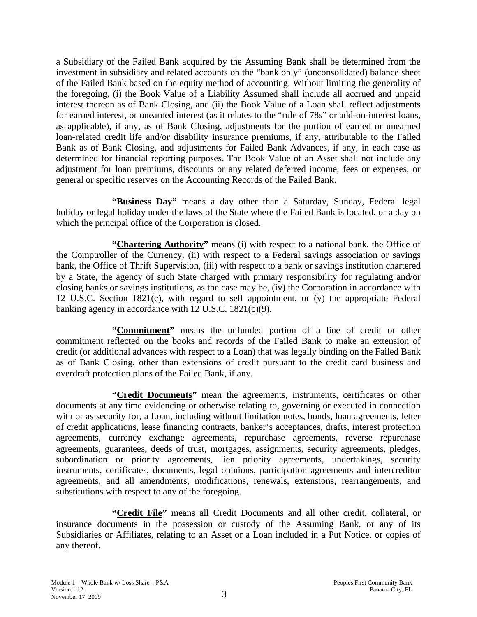<span id="page-6-0"></span>a Subsidiary of the Failed Bank acquired by the Assuming Bank shall be determined from the investment in subsidiary and related accounts on the "bank only" (unconsolidated) balance sheet of the Failed Bank based on the equity method of accounting. Without limiting the generality of the foregoing, (i) the Book Value of a Liability Assumed shall include all accrued and unpaid interest thereon as of Bank Closing, and (ii) the Book Value of a Loan shall reflect adjustments for earned interest, or unearned interest (as it relates to the "rule of 78s" or add-on-interest loans, as applicable), if any, as of Bank Closing, adjustments for the portion of earned or unearned loan-related credit life and/or disability insurance premiums, if any, attributable to the Failed Bank as of Bank Closing, and adjustments for Failed Bank Advances, if any, in each case as determined for financial reporting purposes. The Book Value of an Asset shall not include any adjustment for loan premiums, discounts or any related deferred income, fees or expenses, or general or specific reserves on the Accounting Records of the Failed Bank.

"Business Day" means a day other than a Saturday, Sunday, Federal legal holiday or legal holiday under the laws of the State where the Failed Bank is located, or a day on which the principal office of the Corporation is closed.

**"Chartering Authority"** means (i) with respect to a national bank, the Office of the Comptroller of the Currency, (ii) with respect to a Federal savings association or savings bank, the Office of Thrift Supervision, (iii) with respect to a bank or savings institution chartered by a State, the agency of such State charged with primary responsibility for regulating and/or closing banks or savings institutions, as the case may be, (iv) the Corporation in accordance with 12 U.S.C. Section 1821(c), with regard to self appointment, or (v) the appropriate Federal banking agency in accordance with 12 U.S.C. 1821(c)(9).

**"Commitment"** means the unfunded portion of a line of credit or other commitment reflected on the books and records of the Failed Bank to make an extension of credit (or additional advances with respect to a Loan) that was legally binding on the Failed Bank as of Bank Closing, other than extensions of credit pursuant to the credit card business and overdraft protection plans of the Failed Bank, if any.

"**Credit Documents**" mean the agreements, instruments, certificates or other documents at any time evidencing or otherwise relating to, governing or executed in connection with or as security for, a Loan, including without limitation notes, bonds, loan agreements, letter of credit applications, lease financing contracts, banker's acceptances, drafts, interest protection agreements, currency exchange agreements, repurchase agreements, reverse repurchase agreements, guarantees, deeds of trust, mortgages, assignments, security agreements, pledges, subordination or priority agreements, lien priority agreements, undertakings, security instruments, certificates, documents, legal opinions, participation agreements and intercreditor agreements, and all amendments, modifications, renewals, extensions, rearrangements, and substitutions with respect to any of the foregoing.

**"Credit File"** means all Credit Documents and all other credit, collateral, or insurance documents in the possession or custody of the Assuming Bank, or any of its Subsidiaries or Affiliates, relating to an Asset or a Loan included in a Put Notice, or copies of any thereof.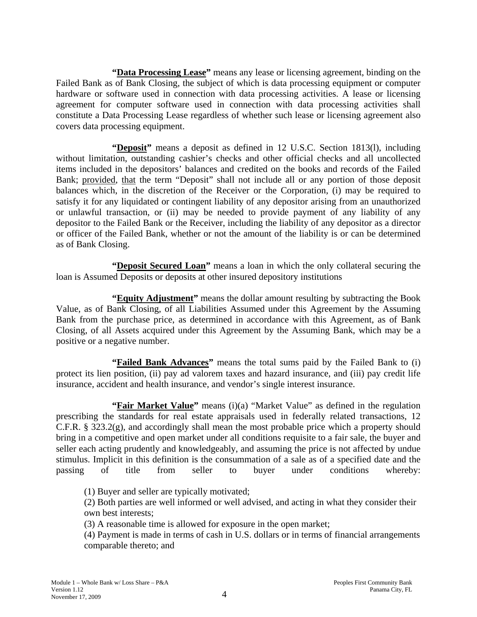<span id="page-7-0"></span> **"Data Processing Lease"** means any lease or licensing agreement, binding on the Failed Bank as of Bank Closing, the subject of which is data processing equipment or computer hardware or software used in connection with data processing activities. A lease or licensing agreement for computer software used in connection with data processing activities shall constitute a Data Processing Lease regardless of whether such lease or licensing agreement also covers data processing equipment.

**"Deposit"** means a deposit as defined in 12 U.S.C. Section 1813(l), including without limitation, outstanding cashier's checks and other official checks and all uncollected items included in the depositors' balances and credited on the books and records of the Failed Bank; provided, that the term "Deposit" shall not include all or any portion of those deposit balances which, in the discretion of the Receiver or the Corporation, (i) may be required to satisfy it for any liquidated or contingent liability of any depositor arising from an unauthorized or unlawful transaction, or (ii) may be needed to provide payment of any liability of any depositor to the Failed Bank or the Receiver, including the liability of any depositor as a director or officer of the Failed Bank, whether or not the amount of the liability is or can be determined as of Bank Closing.

**"Deposit Secured Loan"** means a loan in which the only collateral securing the loan is Assumed Deposits or deposits at other insured depository institutions

**"Equity Adjustment"** means the dollar amount resulting by subtracting the Book Value, as of Bank Closing, of all Liabilities Assumed under this Agreement by the Assuming Bank from the purchase price, as determined in accordance with this Agreement, as of Bank Closing, of all Assets acquired under this Agreement by the Assuming Bank, which may be a positive or a negative number.

**"Failed Bank Advances"** means the total sums paid by the Failed Bank to (i) protect its lien position, (ii) pay ad valorem taxes and hazard insurance, and (iii) pay credit life insurance, accident and health insurance, and vendor's single interest insurance.

**"Fair Market Value"** means (i)(a) "Market Value" as defined in the regulation prescribing the standards for real estate appraisals used in federally related transactions, 12 C.F.R. § 323.2(g), and accordingly shall mean the most probable price which a property should bring in a competitive and open market under all conditions requisite to a fair sale, the buyer and seller each acting prudently and knowledgeably, and assuming the price is not affected by undue stimulus. Implicit in this definition is the consummation of a sale as of a specified date and the passing of title from seller to buyer under conditions whereby:

(1) Buyer and seller are typically motivated;

(2) Both parties are well informed or well advised, and acting in what they consider their own best interests;

(3) A reasonable time is allowed for exposure in the open market;

(4) Payment is made in terms of cash in U.S. dollars or in terms of financial arrangements comparable thereto; and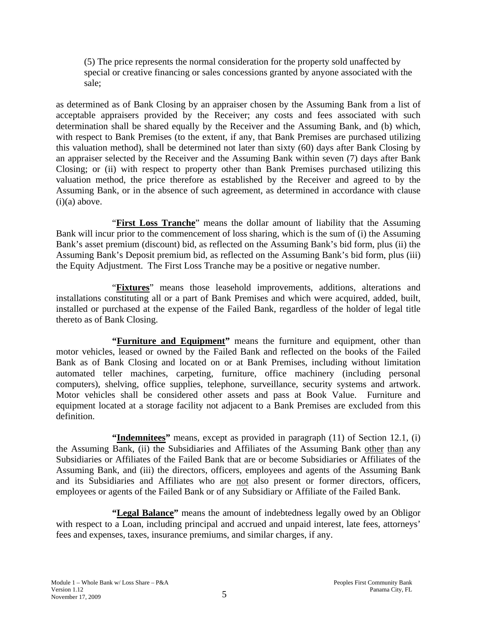(5) The price represents the normal consideration for the property sold unaffected by special or creative financing or sales concessions granted by anyone associated with the sale;

as determined as of Bank Closing by an appraiser chosen by the Assuming Bank from a list of acceptable appraisers provided by the Receiver; any costs and fees associated with such determination shall be shared equally by the Receiver and the Assuming Bank, and (b) which, with respect to Bank Premises (to the extent, if any, that Bank Premises are purchased utilizing this valuation method), shall be determined not later than sixty (60) days after Bank Closing by an appraiser selected by the Receiver and the Assuming Bank within seven (7) days after Bank Closing; or (ii) with respect to property other than Bank Premises purchased utilizing this valuation method, the price therefore as established by the Receiver and agreed to by the Assuming Bank, or in the absence of such agreement, as determined in accordance with clause  $(i)(a)$  above.

"**First Loss Tranche**" means the dollar amount of liability that the Assuming Bank will incur prior to the commencement of loss sharing, which is the sum of (i) the Assuming Bank's asset premium (discount) bid, as reflected on the Assuming Bank's bid form, plus (ii) the Assuming Bank's Deposit premium bid, as reflected on the Assuming Bank's bid form, plus (iii) the Equity Adjustment. The First Loss Tranche may be a positive or negative number.

"**Fixtures**" means those leasehold improvements, additions, alterations and installations constituting all or a part of Bank Premises and which were acquired, added, built, installed or purchased at the expense of the Failed Bank, regardless of the holder of legal title thereto as of Bank Closing.

"**Furniture and Equipment**" means the furniture and equipment, other than motor vehicles, leased or owned by the Failed Bank and reflected on the books of the Failed Bank as of Bank Closing and located on or at Bank Premises, including without limitation automated teller machines, carpeting, furniture, office machinery (including personal computers), shelving, office supplies, telephone, surveillance, security systems and artwork. Motor vehicles shall be considered other assets and pass at Book Value. Furniture and equipment located at a storage facility not adjacent to a Bank Premises are excluded from this definition.

**"Indemnitees"** means, except as provided in paragraph (11) of Section 12.1, (i) the Assuming Bank, (ii) the Subsidiaries and Affiliates of the Assuming Bank other than any Subsidiaries or Affiliates of the Failed Bank that are or become Subsidiaries or Affiliates of the Assuming Bank, and (iii) the directors, officers, employees and agents of the Assuming Bank and its Subsidiaries and Affiliates who are not also present or former directors, officers, employees or agents of the Failed Bank or of any Subsidiary or Affiliate of the Failed Bank.

**"Legal Balance"** means the amount of indebtedness legally owed by an Obligor with respect to a Loan, including principal and accrued and unpaid interest, late fees, attorneys' fees and expenses, taxes, insurance premiums, and similar charges, if any.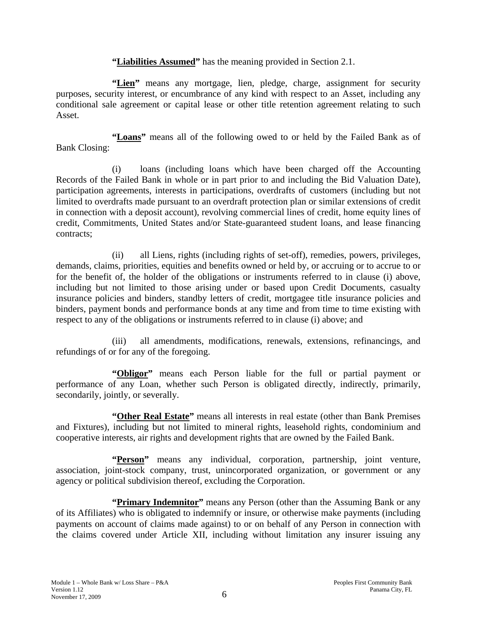**"Liabilities Assumed"** has the meaning provided in Section 2.1.

**"Lien"** means any mortgage, lien, pledge, charge, assignment for security purposes, security interest, or encumbrance of any kind with respect to an Asset, including any conditional sale agreement or capital lease or other title retention agreement relating to such Asset.

**"Loans"** means all of the following owed to or held by the Failed Bank as of Bank Closing:

(i) loans (including loans which have been charged off the Accounting Records of the Failed Bank in whole or in part prior to and including the Bid Valuation Date), participation agreements, interests in participations, overdrafts of customers (including but not limited to overdrafts made pursuant to an overdraft protection plan or similar extensions of credit in connection with a deposit account), revolving commercial lines of credit, home equity lines of credit, Commitments, United States and/or State-guaranteed student loans, and lease financing contracts;

(ii) all Liens, rights (including rights of set-off), remedies, powers, privileges, demands, claims, priorities, equities and benefits owned or held by, or accruing or to accrue to or for the benefit of, the holder of the obligations or instruments referred to in clause (i) above, including but not limited to those arising under or based upon Credit Documents, casualty insurance policies and binders, standby letters of credit, mortgagee title insurance policies and binders, payment bonds and performance bonds at any time and from time to time existing with respect to any of the obligations or instruments referred to in clause (i) above; and

(iii) all amendments, modifications, renewals, extensions, refinancings, and refundings of or for any of the foregoing.

**"Obligor"** means each Person liable for the full or partial payment or performance of any Loan, whether such Person is obligated directly, indirectly, primarily, secondarily, jointly, or severally.

**"Other Real Estate"** means all interests in real estate (other than Bank Premises and Fixtures), including but not limited to mineral rights, leasehold rights, condominium and cooperative interests, air rights and development rights that are owned by the Failed Bank.

**"Person"** means any individual, corporation, partnership, joint venture, association, joint-stock company, trust, unincorporated organization, or government or any agency or political subdivision thereof, excluding the Corporation.

**"Primary Indemnitor"** means any Person (other than the Assuming Bank or any of its Affiliates) who is obligated to indemnify or insure, or otherwise make payments (including payments on account of claims made against) to or on behalf of any Person in connection with the claims covered under Article XII, including without limitation any insurer issuing any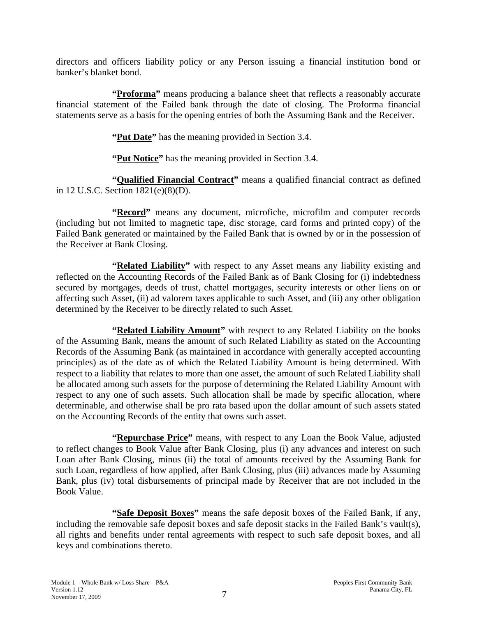directors and officers liability policy or any Person issuing a financial institution bond or banker's blanket bond.

**"Proforma"** means producing a balance sheet that reflects a reasonably accurate financial statement of the Failed bank through the date of closing. The Proforma financial statements serve as a basis for the opening entries of both the Assuming Bank and the Receiver.

**"Put Date"** has the meaning provided in Section 3.4.

**"Put Notice"** has the meaning provided in Section 3.4.

"**Qualified Financial Contract**" means a qualified financial contract as defined in 12 U.S.C. Section 1821(e)(8)(D).

**"Record"** means any document, microfiche, microfilm and computer records (including but not limited to magnetic tape, disc storage, card forms and printed copy) of the Failed Bank generated or maintained by the Failed Bank that is owned by or in the possession of the Receiver at Bank Closing.

**"Related Liability"** with respect to any Asset means any liability existing and reflected on the Accounting Records of the Failed Bank as of Bank Closing for (i) indebtedness secured by mortgages, deeds of trust, chattel mortgages, security interests or other liens on or affecting such Asset, (ii) ad valorem taxes applicable to such Asset, and (iii) any other obligation determined by the Receiver to be directly related to such Asset.

**"Related Liability Amount"** with respect to any Related Liability on the books of the Assuming Bank, means the amount of such Related Liability as stated on the Accounting Records of the Assuming Bank (as maintained in accordance with generally accepted accounting principles) as of the date as of which the Related Liability Amount is being determined. With respect to a liability that relates to more than one asset, the amount of such Related Liability shall be allocated among such assets for the purpose of determining the Related Liability Amount with respect to any one of such assets. Such allocation shall be made by specific allocation, where determinable, and otherwise shall be pro rata based upon the dollar amount of such assets stated on the Accounting Records of the entity that owns such asset.

 **"Repurchase Price"** means, with respect to any Loan the Book Value, adjusted to reflect changes to Book Value after Bank Closing, plus (i) any advances and interest on such Loan after Bank Closing, minus (ii) the total of amounts received by the Assuming Bank for such Loan, regardless of how applied, after Bank Closing, plus (iii) advances made by Assuming Bank, plus (iv) total disbursements of principal made by Receiver that are not included in the Book Value.

**"Safe Deposit Boxes"** means the safe deposit boxes of the Failed Bank, if any, including the removable safe deposit boxes and safe deposit stacks in the Failed Bank's vault(s), all rights and benefits under rental agreements with respect to such safe deposit boxes, and all keys and combinations thereto.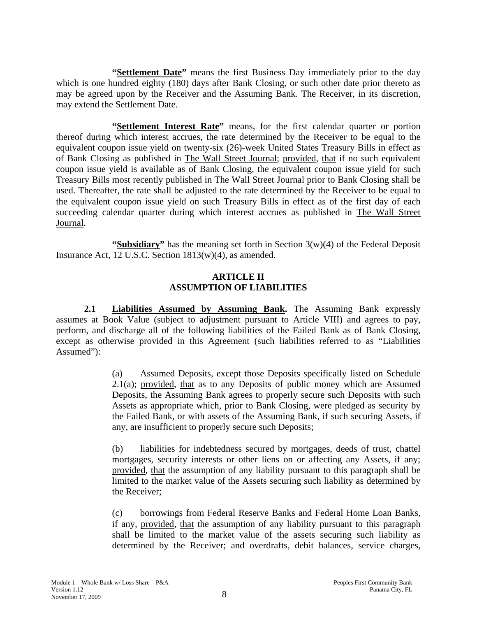**"Settlement Date"** means the first Business Day immediately prior to the day which is one hundred eighty (180) days after Bank Closing, or such other date prior thereto as may be agreed upon by the Receiver and the Assuming Bank. The Receiver, in its discretion, may extend the Settlement Date.

**"Settlement Interest Rate"** means, for the first calendar quarter or portion thereof during which interest accrues, the rate determined by the Receiver to be equal to the equivalent coupon issue yield on twenty-six (26)-week United States Treasury Bills in effect as of Bank Closing as published in The Wall Street Journal; provided, that if no such equivalent coupon issue yield is available as of Bank Closing, the equivalent coupon issue yield for such Treasury Bills most recently published in The Wall Street Journal prior to Bank Closing shall be used. Thereafter, the rate shall be adjusted to the rate determined by the Receiver to be equal to the equivalent coupon issue yield on such Treasury Bills in effect as of the first day of each succeeding calendar quarter during which interest accrues as published in The Wall Street Journal.

**"Subsidiary"** has the meaning set forth in Section 3(w)(4) of the Federal Deposit Insurance Act, 12 U.S.C. Section 1813(w)(4), as amended.

### **ARTICLE II ASSUMPTION OF LIABILITIES**

<span id="page-11-1"></span><span id="page-11-0"></span> **2.1 Liabilities Assumed by Assuming Bank.** The Assuming Bank expressly assumes at Book Value (subject to adjustment pursuant to Article VIII) and agrees to pay, perform, and discharge all of the following liabilities of the Failed Bank as of Bank Closing, except as otherwise provided in this Agreement (such liabilities referred to as "Liabilities Assumed"):

> (a) Assumed Deposits, except those Deposits specifically listed on Schedule 2.1(a); provided, that as to any Deposits of public money which are Assumed Deposits, the Assuming Bank agrees to properly secure such Deposits with such Assets as appropriate which, prior to Bank Closing, were pledged as security by the Failed Bank, or with assets of the Assuming Bank, if such securing Assets, if any, are insufficient to properly secure such Deposits;

> (b) liabilities for indebtedness secured by mortgages, deeds of trust, chattel mortgages, security interests or other liens on or affecting any Assets, if any; provided, that the assumption of any liability pursuant to this paragraph shall be limited to the market value of the Assets securing such liability as determined by the Receiver;

> (c) borrowings from Federal Reserve Banks and Federal Home Loan Banks, if any, provided, that the assumption of any liability pursuant to this paragraph shall be limited to the market value of the assets securing such liability as determined by the Receiver; and overdrafts, debit balances, service charges,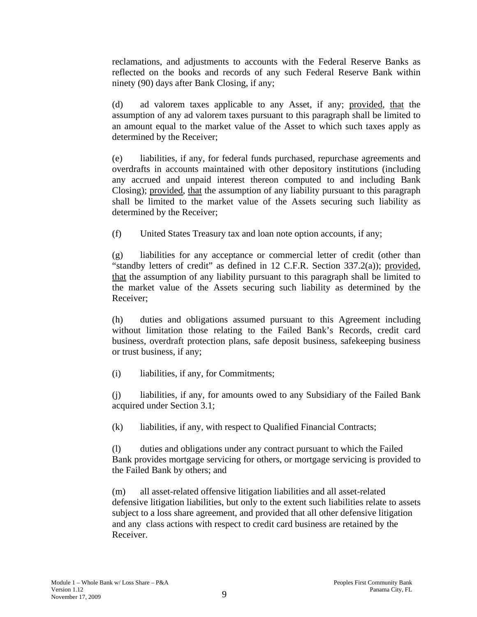reclamations, and adjustments to accounts with the Federal Reserve Banks as reflected on the books and records of any such Federal Reserve Bank within ninety (90) days after Bank Closing, if any;

(d) ad valorem taxes applicable to any Asset, if any; provided, that the assumption of any ad valorem taxes pursuant to this paragraph shall be limited to an amount equal to the market value of the Asset to which such taxes apply as determined by the Receiver;

(e) liabilities, if any, for federal funds purchased, repurchase agreements and overdrafts in accounts maintained with other depository institutions (including any accrued and unpaid interest thereon computed to and including Bank Closing); provided, that the assumption of any liability pursuant to this paragraph shall be limited to the market value of the Assets securing such liability as determined by the Receiver;

(f) United States Treasury tax and loan note option accounts, if any;

(g) liabilities for any acceptance or commercial letter of credit (other than "standby letters of credit" as defined in 12 C.F.R. Section 337.2(a)); provided, that the assumption of any liability pursuant to this paragraph shall be limited to the market value of the Assets securing such liability as determined by the Receiver;

(h) duties and obligations assumed pursuant to this Agreement including without limitation those relating to the Failed Bank's Records, credit card business, overdraft protection plans, safe deposit business, safekeeping business or trust business, if any;

(i) liabilities, if any, for Commitments;

(j) liabilities, if any, for amounts owed to any Subsidiary of the Failed Bank acquired under Section 3.1;

(k) liabilities, if any, with respect to Qualified Financial Contracts;

(l) duties and obligations under any contract pursuant to which the Failed Bank provides mortgage servicing for others, or mortgage servicing is provided to the Failed Bank by others; and

(m) all asset-related offensive litigation liabilities and all asset-related defensive litigation liabilities, but only to the extent such liabilities relate to assets subject to a loss share agreement, and provided that all other defensive litigation and any class actions with respect to credit card business are retained by the Receiver.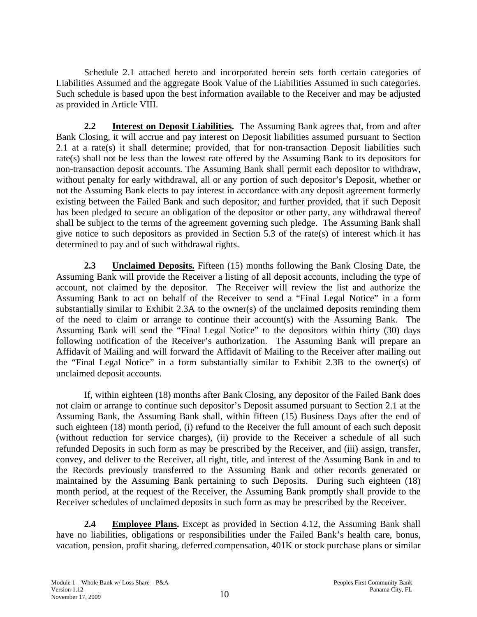Schedule 2.1 attached hereto and incorporated herein sets forth certain categories of Liabilities Assumed and the aggregate Book Value of the Liabilities Assumed in such categories. Such schedule is based upon the best information available to the Receiver and may be adjusted as provided in Article VIII.

<span id="page-13-0"></span>**2.2 Interest on Deposit Liabilities.** The Assuming Bank agrees that, from and after Bank Closing, it will accrue and pay interest on Deposit liabilities assumed pursuant to Section 2.1 at a rate(s) it shall determine; provided, that for non-transaction Deposit liabilities such rate(s) shall not be less than the lowest rate offered by the Assuming Bank to its depositors for non-transaction deposit accounts. The Assuming Bank shall permit each depositor to withdraw, without penalty for early withdrawal, all or any portion of such depositor's Deposit, whether or not the Assuming Bank elects to pay interest in accordance with any deposit agreement formerly existing between the Failed Bank and such depositor; and further provided, that if such Deposit has been pledged to secure an obligation of the depositor or other party, any withdrawal thereof shall be subject to the terms of the agreement governing such pledge. The Assuming Bank shall give notice to such depositors as provided in Section 5.3 of the rate(s) of interest which it has determined to pay and of such withdrawal rights.

<span id="page-13-1"></span>**2.3 Unclaimed Deposits.** Fifteen (15) months following the Bank Closing Date, the Assuming Bank will provide the Receiver a listing of all deposit accounts, including the type of account, not claimed by the depositor. The Receiver will review the list and authorize the Assuming Bank to act on behalf of the Receiver to send a "Final Legal Notice" in a form substantially similar to Exhibit 2.3A to the owner(s) of the unclaimed deposits reminding them of the need to claim or arrange to continue their account(s) with the Assuming Bank. The Assuming Bank will send the "Final Legal Notice" to the depositors within thirty (30) days following notification of the Receiver's authorization. The Assuming Bank will prepare an Affidavit of Mailing and will forward the Affidavit of Mailing to the Receiver after mailing out the "Final Legal Notice" in a form substantially similar to Exhibit 2.3B to the owner(s) of unclaimed deposit accounts.

If, within eighteen (18) months after Bank Closing, any depositor of the Failed Bank does not claim or arrange to continue such depositor's Deposit assumed pursuant to Section 2.1 at the Assuming Bank, the Assuming Bank shall, within fifteen (15) Business Days after the end of such eighteen (18) month period, (i) refund to the Receiver the full amount of each such deposit (without reduction for service charges), (ii) provide to the Receiver a schedule of all such refunded Deposits in such form as may be prescribed by the Receiver, and (iii) assign, transfer, convey, and deliver to the Receiver, all right, title, and interest of the Assuming Bank in and to the Records previously transferred to the Assuming Bank and other records generated or maintained by the Assuming Bank pertaining to such Deposits. During such eighteen (18) month period, at the request of the Receiver, the Assuming Bank promptly shall provide to the Receiver schedules of unclaimed deposits in such form as may be prescribed by the Receiver.

<span id="page-13-2"></span>**2.4 Employee Plans.** Except as provided in Section 4.12, the Assuming Bank shall have no liabilities, obligations or responsibilities under the Failed Bank's health care, bonus, vacation, pension, profit sharing, deferred compensation, 401K or stock purchase plans or similar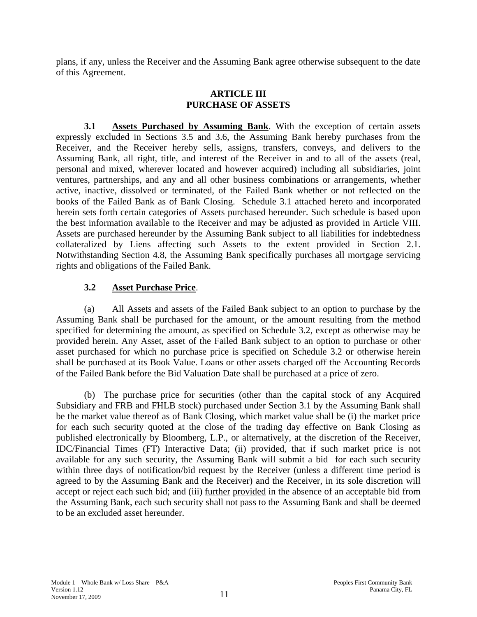plans, if any, unless the Receiver and the Assuming Bank agree otherwise subsequent to the date of this Agreement.

#### **ARTICLE III PURCHASE OF ASSETS**

<span id="page-14-1"></span><span id="page-14-0"></span>the best information available to the Receiver and may be adjusted as provided in Article VIII.  **3.1 Assets Purchased by Assuming Bank**. With the exception of certain assets expressly excluded in Sections 3.5 and 3.6, the Assuming Bank hereby purchases from the Receiver, and the Receiver hereby sells, assigns, transfers, conveys, and delivers to the Assuming Bank, all right, title, and interest of the Receiver in and to all of the assets (real, personal and mixed, wherever located and however acquired) including all subsidiaries, joint ventures, partnerships, and any and all other business combinations or arrangements, whether active, inactive, dissolved or terminated, of the Failed Bank whether or not reflected on the books of the Failed Bank as of Bank Closing. Schedule 3.1 attached hereto and incorporated herein sets forth certain categories of Assets purchased hereunder. Such schedule is based upon Assets are purchased hereunder by the Assuming Bank subject to all liabilities for indebtedness collateralized by Liens affecting such Assets to the extent provided in Section 2.1. Notwithstanding Section 4.8, the Assuming Bank specifically purchases all mortgage servicing rights and obligations of the Failed Bank.

### **3.2 Asset Purchase Price**.

<span id="page-14-2"></span>(a) All Assets and assets of the Failed Bank subject to an option to purchase by the Assuming Bank shall be purchased for the amount, or the amount resulting from the method specified for determining the amount, as specified on Schedule 3.2, except as otherwise may be provided herein. Any Asset, asset of the Failed Bank subject to an option to purchase or other asset purchased for which no purchase price is specified on Schedule 3.2 or otherwise herein shall be purchased at its Book Value. Loans or other assets charged off the Accounting Records of the Failed Bank before the Bid Valuation Date shall be purchased at a price of zero.

(b) The purchase price for securities (other than the capital stock of any Acquired Subsidiary and FRB and FHLB stock) purchased under Section 3.1 by the Assuming Bank shall be the market value thereof as of Bank Closing, which market value shall be (i) the market price for each such security quoted at the close of the trading day effective on Bank Closing as published electronically by Bloomberg, L.P., or alternatively, at the discretion of the Receiver, IDC/Financial Times (FT) Interactive Data; (ii) provided, that if such market price is not available for any such security, the Assuming Bank will submit a bid for each such security within three days of notification/bid request by the Receiver (unless a different time period is agreed to by the Assuming Bank and the Receiver) and the Receiver, in its sole discretion will accept or reject each such bid; and (iii) further provided in the absence of an acceptable bid from the Assuming Bank, each such security shall not pass to the Assuming Bank and shall be deemed to be an excluded asset hereunder.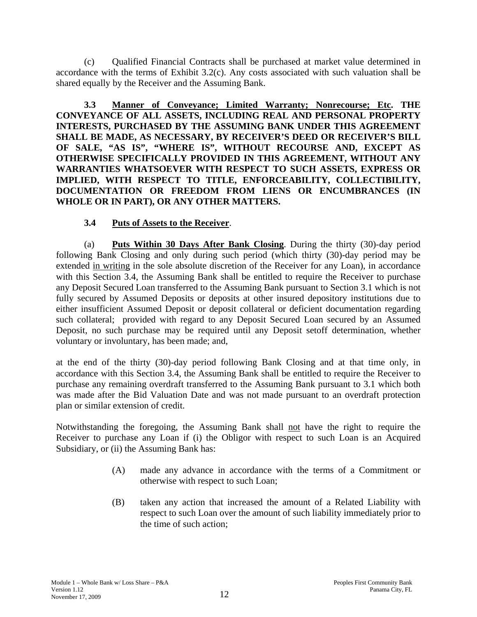(c) Qualified Financial Contracts shall be purchased at market value determined in accordance with the terms of Exhibit 3.2(c). Any costs associated with such valuation shall be shared equally by the Receiver and the Assuming Bank.

<span id="page-15-0"></span>**3.3 Manner of Conveyance; Limited Warranty; Nonrecourse; Etc. THE CONVEYANCE OF ALL ASSETS, INCLUDING REAL AND PERSONAL PROPERTY INTERESTS, PURCHASED BY THE ASSUMING BANK UNDER THIS AGREEMENT SHALL BE MADE, AS NECESSARY, BY RECEIVER'S DEED OR RECEIVER'S BILL OF SALE, "AS IS", "WHERE IS", WITHOUT RECOURSE AND, EXCEPT AS OTHERWISE SPECIFICALLY PROVIDED IN THIS AGREEMENT, WITHOUT ANY WARRANTIES WHATSOEVER WITH RESPECT TO SUCH ASSETS, EXPRESS OR IMPLIED, WITH RESPECT TO TITLE, ENFORCEABILITY, COLLECTIBILITY, DOCUMENTATION OR FREEDOM FROM LIENS OR ENCUMBRANCES (IN WHOLE OR IN PART), OR ANY OTHER MATTERS.** 

### **3.4 Puts of Assets to the Receiver**.

<span id="page-15-1"></span>(a) **Puts Within 30 Days After Bank Closing**. During the thirty (30)-day period following Bank Closing and only during such period (which thirty (30)-day period may be extended in writing in the sole absolute discretion of the Receiver for any Loan), in accordance with this Section 3.4, the Assuming Bank shall be entitled to require the Receiver to purchase any Deposit Secured Loan transferred to the Assuming Bank pursuant to Section 3.1 which is not fully secured by Assumed Deposits or deposits at other insured depository institutions due to either insufficient Assumed Deposit or deposit collateral or deficient documentation regarding such collateral; provided with regard to any Deposit Secured Loan secured by an Assumed Deposit, no such purchase may be required until any Deposit setoff determination, whether voluntary or involuntary, has been made; and,

at the end of the thirty (30)-day period following Bank Closing and at that time only, in accordance with this Section 3.4, the Assuming Bank shall be entitled to require the Receiver to purchase any remaining overdraft transferred to the Assuming Bank pursuant to 3.1 which both was made after the Bid Valuation Date and was not made pursuant to an overdraft protection plan or similar extension of credit.

Notwithstanding the foregoing, the Assuming Bank shall not have the right to require the Receiver to purchase any Loan if (i) the Obligor with respect to such Loan is an Acquired Subsidiary, or (ii) the Assuming Bank has:

- (A) made any advance in accordance with the terms of a Commitment or otherwise with respect to such Loan;
- (B) taken any action that increased the amount of a Related Liability with respect to such Loan over the amount of such liability immediately prior to the time of such action;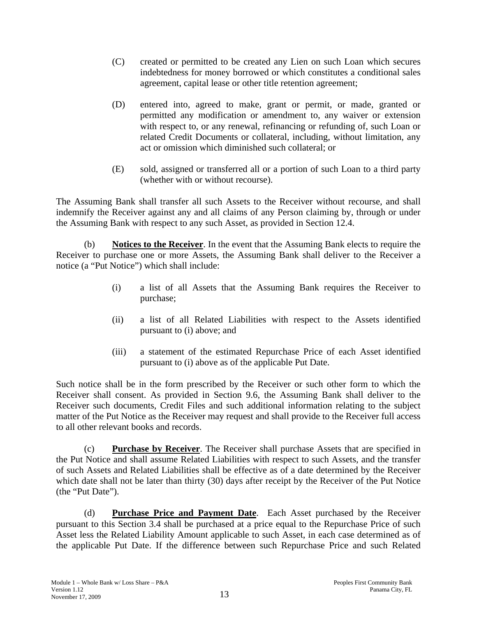- (C) created or permitted to be created any Lien on such Loan which secures indebtedness for money borrowed or which constitutes a conditional sales agreement, capital lease or other title retention agreement;
- (D) entered into, agreed to make, grant or permit, or made, granted or permitted any modification or amendment to, any waiver or extension with respect to, or any renewal, refinancing or refunding of, such Loan or related Credit Documents or collateral, including, without limitation, any act or omission which diminished such collateral; or
- (E) sold, assigned or transferred all or a portion of such Loan to a third party (whether with or without recourse).

The Assuming Bank shall transfer all such Assets to the Receiver without recourse, and shall indemnify the Receiver against any and all claims of any Person claiming by, through or under the Assuming Bank with respect to any such Asset, as provided in Section 12.4.

(b) **Notices to the Receiver**. In the event that the Assuming Bank elects to require the Receiver to purchase one or more Assets, the Assuming Bank shall deliver to the Receiver a notice (a "Put Notice") which shall include:

- (i) a list of all Assets that the Assuming Bank requires the Receiver to purchase;
- (ii) a list of all Related Liabilities with respect to the Assets identified pursuant to (i) above; and
- (iii) a statement of the estimated Repurchase Price of each Asset identified pursuant to (i) above as of the applicable Put Date.

Such notice shall be in the form prescribed by the Receiver or such other form to which the Receiver shall consent. As provided in Section 9.6, the Assuming Bank shall deliver to the Receiver such documents, Credit Files and such additional information relating to the subject matter of the Put Notice as the Receiver may request and shall provide to the Receiver full access to all other relevant books and records.

(c) **Purchase by Receiver**. The Receiver shall purchase Assets that are specified in the Put Notice and shall assume Related Liabilities with respect to such Assets, and the transfer of such Assets and Related Liabilities shall be effective as of a date determined by the Receiver which date shall not be later than thirty (30) days after receipt by the Receiver of the Put Notice (the "Put Date").

(d) **Purchase Price and Payment Date**. Each Asset purchased by the Receiver pursuant to this Section 3.4 shall be purchased at a price equal to the Repurchase Price of such Asset less the Related Liability Amount applicable to such Asset, in each case determined as of the applicable Put Date. If the difference between such Repurchase Price and such Related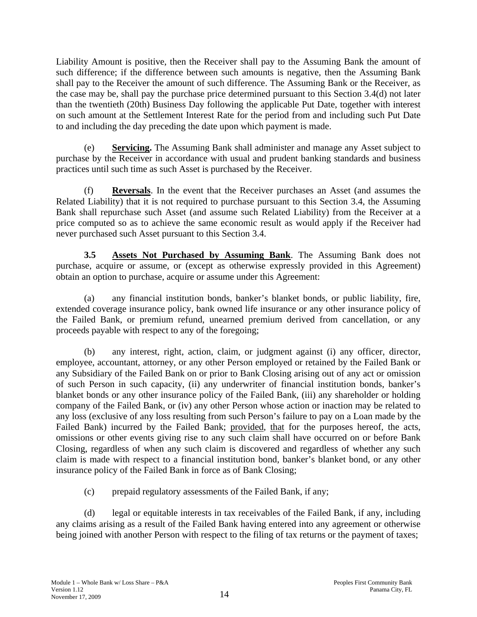Liability Amount is positive, then the Receiver shall pay to the Assuming Bank the amount of such difference; if the difference between such amounts is negative, then the Assuming Bank shall pay to the Receiver the amount of such difference. The Assuming Bank or the Receiver, as the case may be, shall pay the purchase price determined pursuant to this Section 3.4(d) not later than the twentieth (20th) Business Day following the applicable Put Date, together with interest on such amount at the Settlement Interest Rate for the period from and including such Put Date to and including the day preceding the date upon which payment is made.

(e) **Servicing.** The Assuming Bank shall administer and manage any Asset subject to purchase by the Receiver in accordance with usual and prudent banking standards and business practices until such time as such Asset is purchased by the Receiver.

(f) **Reversals**. In the event that the Receiver purchases an Asset (and assumes the Related Liability) that it is not required to purchase pursuant to this Section 3.4, the Assuming Bank shall repurchase such Asset (and assume such Related Liability) from the Receiver at a price computed so as to achieve the same economic result as would apply if the Receiver had never purchased such Asset pursuant to this Section 3.4.

<span id="page-17-0"></span>**3.5 Assets Not Purchased by Assuming Bank**. The Assuming Bank does not purchase, acquire or assume, or (except as otherwise expressly provided in this Agreement) obtain an option to purchase, acquire or assume under this Agreement:

(a) any financial institution bonds, banker's blanket bonds, or public liability, fire, extended coverage insurance policy, bank owned life insurance or any other insurance policy of the Failed Bank, or premium refund, unearned premium derived from cancellation, or any proceeds payable with respect to any of the foregoing;

(b) any interest, right, action, claim, or judgment against (i) any officer, director, employee, accountant, attorney, or any other Person employed or retained by the Failed Bank or any Subsidiary of the Failed Bank on or prior to Bank Closing arising out of any act or omission of such Person in such capacity, (ii) any underwriter of financial institution bonds, banker's blanket bonds or any other insurance policy of the Failed Bank, (iii) any shareholder or holding company of the Failed Bank, or (iv) any other Person whose action or inaction may be related to any loss (exclusive of any loss resulting from such Person's failure to pay on a Loan made by the Failed Bank) incurred by the Failed Bank; provided, that for the purposes hereof, the acts, omissions or other events giving rise to any such claim shall have occurred on or before Bank Closing, regardless of when any such claim is discovered and regardless of whether any such claim is made with respect to a financial institution bond, banker's blanket bond, or any other insurance policy of the Failed Bank in force as of Bank Closing;

(c) prepaid regulatory assessments of the Failed Bank, if any;

(d) legal or equitable interests in tax receivables of the Failed Bank, if any, including any claims arising as a result of the Failed Bank having entered into any agreement or otherwise being joined with another Person with respect to the filing of tax returns or the payment of taxes;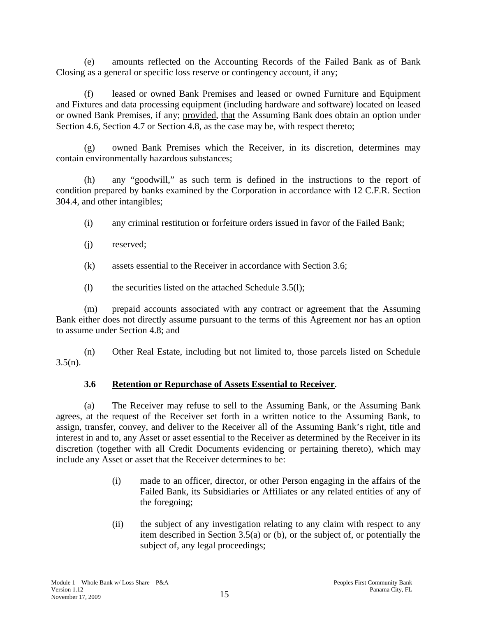(e) amounts reflected on the Accounting Records of the Failed Bank as of Bank Closing as a general or specific loss reserve or contingency account, if any;

(f) leased or owned Bank Premises and leased or owned Furniture and Equipment and Fixtures and data processing equipment (including hardware and software) located on leased or owned Bank Premises, if any; provided, that the Assuming Bank does obtain an option under Section 4.6, Section 4.7 or Section 4.8, as the case may be, with respect thereto;

(g) owned Bank Premises which the Receiver, in its discretion, determines may contain environmentally hazardous substances;

(h) any "goodwill," as such term is defined in the instructions to the report of condition prepared by banks examined by the Corporation in accordance with 12 C.F.R. Section 304.4, and other intangibles;

- (i) any criminal restitution or forfeiture orders issued in favor of the Failed Bank;
- (j) reserved;
- (k) assets essential to the Receiver in accordance with Section 3.6;
- (l) the securities listed on the attached Schedule 3.5(l);

(m) prepaid accounts associated with any contract or agreement that the Assuming Bank either does not directly assume pursuant to the terms of this Agreement nor has an option to assume under Section 4.8; and

(n) Other Real Estate, including but not limited to, those parcels listed on Schedule  $3.5(n)$ .

### **3.6 Retention or Repurchase of Assets Essential to Receiver**.

<span id="page-18-0"></span>(a) The Receiver may refuse to sell to the Assuming Bank, or the Assuming Bank agrees, at the request of the Receiver set forth in a written notice to the Assuming Bank, to assign, transfer, convey, and deliver to the Receiver all of the Assuming Bank's right, title and interest in and to, any Asset or asset essential to the Receiver as determined by the Receiver in its discretion (together with all Credit Documents evidencing or pertaining thereto), which may include any Asset or asset that the Receiver determines to be:

- (i) made to an officer, director, or other Person engaging in the affairs of the Failed Bank, its Subsidiaries or Affiliates or any related entities of any of the foregoing;
- (ii) the subject of any investigation relating to any claim with respect to any item described in Section 3.5(a) or (b), or the subject of, or potentially the subject of, any legal proceedings;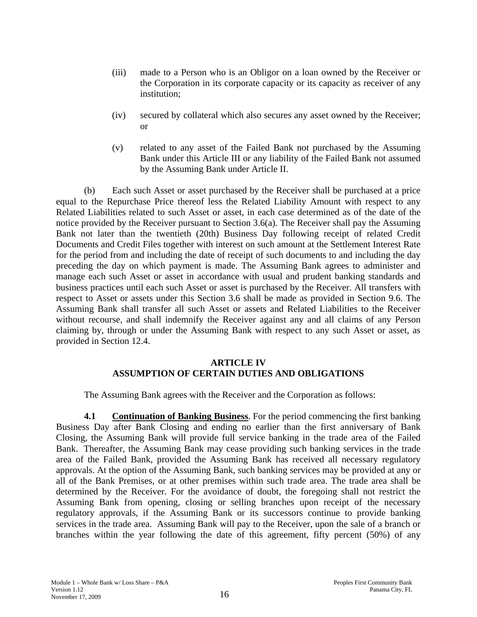- (iii) made to a Person who is an Obligor on a loan owned by the Receiver or the Corporation in its corporate capacity or its capacity as receiver of any institution;
- (iv) secured by collateral which also secures any asset owned by the Receiver; or
- (v) related to any asset of the Failed Bank not purchased by the Assuming Bank under this Article III or any liability of the Failed Bank not assumed by the Assuming Bank under Article II.

(b) Each such Asset or asset purchased by the Receiver shall be purchased at a price equal to the Repurchase Price thereof less the Related Liability Amount with respect to any Related Liabilities related to such Asset or asset, in each case determined as of the date of the notice provided by the Receiver pursuant to Section 3.6(a). The Receiver shall pay the Assuming Bank not later than the twentieth (20th) Business Day following receipt of related Credit Documents and Credit Files together with interest on such amount at the Settlement Interest Rate for the period from and including the date of receipt of such documents to and including the day preceding the day on which payment is made. The Assuming Bank agrees to administer and manage each such Asset or asset in accordance with usual and prudent banking standards and business practices until each such Asset or asset is purchased by the Receiver. All transfers with respect to Asset or assets under this Section 3.6 shall be made as provided in Section 9.6. The Assuming Bank shall transfer all such Asset or assets and Related Liabilities to the Receiver without recourse, and shall indemnify the Receiver against any and all claims of any Person claiming by, through or under the Assuming Bank with respect to any such Asset or asset, as provided in Section 12.4.

### **ARTICLE IV ASSUMPTION OF CERTAIN DUTIES AND OBLIGATIONS**

The Assuming Bank agrees with the Receiver and the Corporation as follows:

<span id="page-19-1"></span><span id="page-19-0"></span>**4.1 Continuation of Banking Business**. For the period commencing the first banking Business Day after Bank Closing and ending no earlier than the first anniversary of Bank Closing, the Assuming Bank will provide full service banking in the trade area of the Failed Bank. Thereafter, the Assuming Bank may cease providing such banking services in the trade area of the Failed Bank, provided the Assuming Bank has received all necessary regulatory approvals. At the option of the Assuming Bank, such banking services may be provided at any or all of the Bank Premises, or at other premises within such trade area. The trade area shall be determined by the Receiver. For the avoidance of doubt, the foregoing shall not restrict the Assuming Bank from opening, closing or selling branches upon receipt of the necessary regulatory approvals, if the Assuming Bank or its successors continue to provide banking services in the trade area. Assuming Bank will pay to the Receiver, upon the sale of a branch or branches within the year following the date of this agreement, fifty percent (50%) of any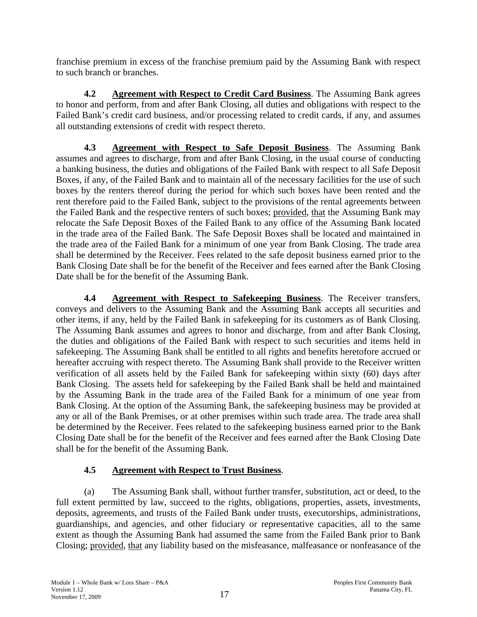franchise premium in excess of the franchise premium paid by the Assuming Bank with respect to such branch or branches.

**4.2 Agreement with Respect to Credit Card Business**. The Assuming Bank agrees to honor and perform, from and after Bank Closing, all duties and obligations with respect to the Failed Bank's credit card business, and/or processing related to credit cards, if any, and assumes all outstanding extensions of credit with respect thereto.

**4.3 Agreement with Respect to Safe Deposit Business**. The Assuming Bank assumes and agrees to discharge, from and after Bank Closing, in the usual course of conducting a banking business, the duties and obligations of the Failed Bank with respect to all Safe Deposit Boxes, if any, of the Failed Bank and to maintain all of the necessary facilities for the use of such boxes by the renters thereof during the period for which such boxes have been rented and the rent therefore paid to the Failed Bank, subject to the provisions of the rental agreements between the Failed Bank and the respective renters of such boxes; provided, that the Assuming Bank may relocate the Safe Deposit Boxes of the Failed Bank to any office of the Assuming Bank located in the trade area of the Failed Bank. The Safe Deposit Boxes shall be located and maintained in the trade area of the Failed Bank for a minimum of one year from Bank Closing. The trade area shall be determined by the Receiver. Fees related to the safe deposit business earned prior to the Bank Closing Date shall be for the benefit of the Receiver and fees earned after the Bank Closing Date shall be for the benefit of the Assuming Bank.

**4.4 Agreement with Respect to Safekeeping Business**. The Receiver transfers, conveys and delivers to the Assuming Bank and the Assuming Bank accepts all securities and other items, if any, held by the Failed Bank in safekeeping for its customers as of Bank Closing. The Assuming Bank assumes and agrees to honor and discharge, from and after Bank Closing, the duties and obligations of the Failed Bank with respect to such securities and items held in safekeeping. The Assuming Bank shall be entitled to all rights and benefits heretofore accrued or hereafter accruing with respect thereto. The Assuming Bank shall provide to the Receiver written verification of all assets held by the Failed Bank for safekeeping within sixty (60) days after Bank Closing. The assets held for safekeeping by the Failed Bank shall be held and maintained by the Assuming Bank in the trade area of the Failed Bank for a minimum of one year from Bank Closing. At the option of the Assuming Bank, the safekeeping business may be provided at any or all of the Bank Premises, or at other premises within such trade area. The trade area shall be determined by the Receiver. Fees related to the safekeeping business earned prior to the Bank Closing Date shall be for the benefit of the Receiver and fees earned after the Bank Closing Date shall be for the benefit of the Assuming Bank.

## **4.5 Agreement with Respect to Trust Business**.

<span id="page-20-0"></span>(a) The Assuming Bank shall, without further transfer, substitution, act or deed, to the full extent permitted by law, succeed to the rights, obligations, properties, assets, investments, deposits, agreements, and trusts of the Failed Bank under trusts, executorships, administrations, guardianships, and agencies, and other fiduciary or representative capacities, all to the same extent as though the Assuming Bank had assumed the same from the Failed Bank prior to Bank Closing; provided, that any liability based on the misfeasance, malfeasance or nonfeasance of the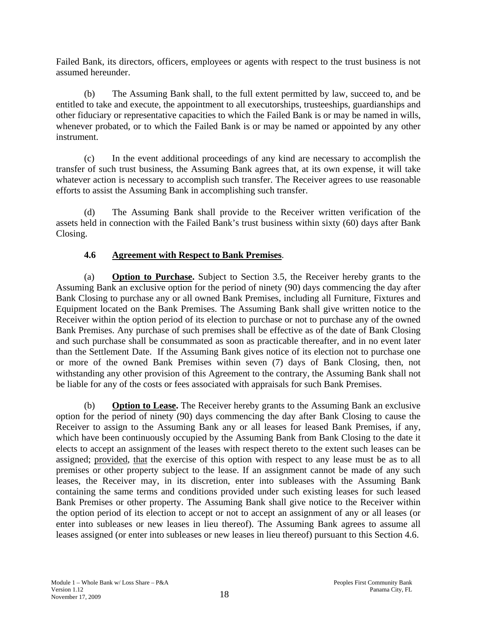Failed Bank, its directors, officers, employees or agents with respect to the trust business is not assumed hereunder.

(b) The Assuming Bank shall, to the full extent permitted by law, succeed to, and be entitled to take and execute, the appointment to all executorships, trusteeships, guardianships and other fiduciary or representative capacities to which the Failed Bank is or may be named in wills, whenever probated, or to which the Failed Bank is or may be named or appointed by any other instrument.

(c) In the event additional proceedings of any kind are necessary to accomplish the transfer of such trust business, the Assuming Bank agrees that, at its own expense, it will take whatever action is necessary to accomplish such transfer. The Receiver agrees to use reasonable efforts to assist the Assuming Bank in accomplishing such transfer.

(d) The Assuming Bank shall provide to the Receiver written verification of the assets held in connection with the Failed Bank's trust business within sixty (60) days after Bank Closing.

### **4.6 Agreement with Respect to Bank Premises**.

<span id="page-21-0"></span>(a) **Option to Purchase.** Subject to Section 3.5, the Receiver hereby grants to the Assuming Bank an exclusive option for the period of ninety (90) days commencing the day after Bank Closing to purchase any or all owned Bank Premises, including all Furniture, Fixtures and Equipment located on the Bank Premises. The Assuming Bank shall give written notice to the Receiver within the option period of its election to purchase or not to purchase any of the owned Bank Premises. Any purchase of such premises shall be effective as of the date of Bank Closing and such purchase shall be consummated as soon as practicable thereafter, and in no event later than the Settlement Date. If the Assuming Bank gives notice of its election not to purchase one or more of the owned Bank Premises within seven (7) days of Bank Closing, then, not withstanding any other provision of this Agreement to the contrary, the Assuming Bank shall not be liable for any of the costs or fees associated with appraisals for such Bank Premises.

(b) **Option to Lease.** The Receiver hereby grants to the Assuming Bank an exclusive option for the period of ninety (90) days commencing the day after Bank Closing to cause the Receiver to assign to the Assuming Bank any or all leases for leased Bank Premises, if any, which have been continuously occupied by the Assuming Bank from Bank Closing to the date it elects to accept an assignment of the leases with respect thereto to the extent such leases can be assigned; provided, that the exercise of this option with respect to any lease must be as to all premises or other property subject to the lease. If an assignment cannot be made of any such leases, the Receiver may, in its discretion, enter into subleases with the Assuming Bank containing the same terms and conditions provided under such existing leases for such leased Bank Premises or other property. The Assuming Bank shall give notice to the Receiver within the option period of its election to accept or not to accept an assignment of any or all leases (or enter into subleases or new leases in lieu thereof). The Assuming Bank agrees to assume all leases assigned (or enter into subleases or new leases in lieu thereof) pursuant to this Section 4.6.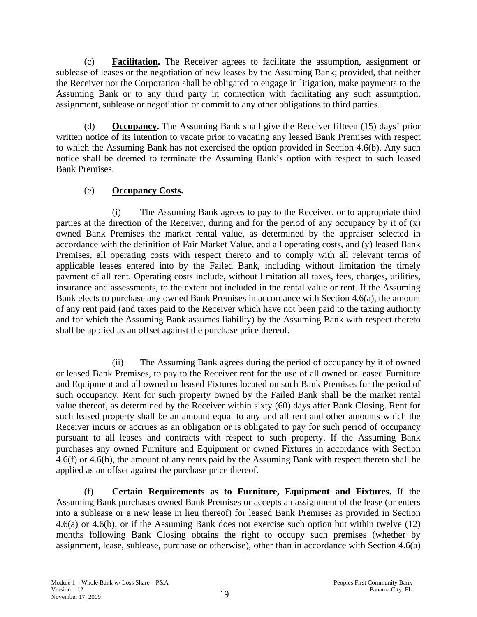(c) **Facilitation.** The Receiver agrees to facilitate the assumption, assignment or sublease of leases or the negotiation of new leases by the Assuming Bank; provided, that neither the Receiver nor the Corporation shall be obligated to engage in litigation, make payments to the Assuming Bank or to any third party in connection with facilitating any such assumption, assignment, sublease or negotiation or commit to any other obligations to third parties.

(d) **Occupancy.** The Assuming Bank shall give the Receiver fifteen (15) days' prior written notice of its intention to vacate prior to vacating any leased Bank Premises with respect to which the Assuming Bank has not exercised the option provided in Section 4.6(b). Any such notice shall be deemed to terminate the Assuming Bank's option with respect to such leased Bank Premises.

### (e) **Occupancy Costs.**

(i) The Assuming Bank agrees to pay to the Receiver, or to appropriate third parties at the direction of the Receiver, during and for the period of any occupancy by it of (x) owned Bank Premises the market rental value, as determined by the appraiser selected in accordance with the definition of Fair Market Value, and all operating costs, and (y) leased Bank Premises, all operating costs with respect thereto and to comply with all relevant terms of applicable leases entered into by the Failed Bank, including without limitation the timely payment of all rent. Operating costs include, without limitation all taxes, fees, charges, utilities, insurance and assessments, to the extent not included in the rental value or rent. If the Assuming Bank elects to purchase any owned Bank Premises in accordance with Section 4.6(a), the amount of any rent paid (and taxes paid to the Receiver which have not been paid to the taxing authority and for which the Assuming Bank assumes liability) by the Assuming Bank with respect thereto shall be applied as an offset against the purchase price thereof.

(ii) The Assuming Bank agrees during the period of occupancy by it of owned or leased Bank Premises, to pay to the Receiver rent for the use of all owned or leased Furniture and Equipment and all owned or leased Fixtures located on such Bank Premises for the period of such occupancy. Rent for such property owned by the Failed Bank shall be the market rental value thereof, as determined by the Receiver within sixty (60) days after Bank Closing. Rent for such leased property shall be an amount equal to any and all rent and other amounts which the Receiver incurs or accrues as an obligation or is obligated to pay for such period of occupancy pursuant to all leases and contracts with respect to such property. If the Assuming Bank purchases any owned Furniture and Equipment or owned Fixtures in accordance with Section 4.6(f) or 4.6(h), the amount of any rents paid by the Assuming Bank with respect thereto shall be applied as an offset against the purchase price thereof.

(f) **Certain Requirements as to Furniture, Equipment and Fixtures.** If the Assuming Bank purchases owned Bank Premises or accepts an assignment of the lease (or enters into a sublease or a new lease in lieu thereof) for leased Bank Premises as provided in Section 4.6(a) or 4.6(b), or if the Assuming Bank does not exercise such option but within twelve (12) months following Bank Closing obtains the right to occupy such premises (whether by assignment, lease, sublease, purchase or otherwise), other than in accordance with Section 4.6(a)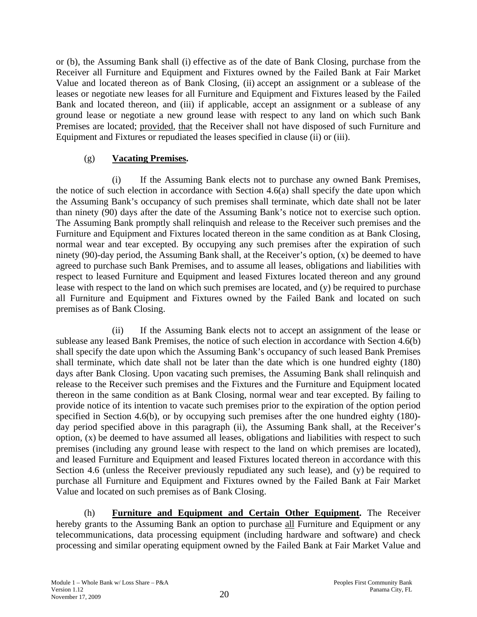or (b), the Assuming Bank shall (i) effective as of the date of Bank Closing, purchase from the Receiver all Furniture and Equipment and Fixtures owned by the Failed Bank at Fair Market Value and located thereon as of Bank Closing, (ii) accept an assignment or a sublease of the leases or negotiate new leases for all Furniture and Equipment and Fixtures leased by the Failed Bank and located thereon, and (iii) if applicable, accept an assignment or a sublease of any ground lease or negotiate a new ground lease with respect to any land on which such Bank Premises are located; provided, that the Receiver shall not have disposed of such Furniture and Equipment and Fixtures or repudiated the leases specified in clause (ii) or (iii).

### (g) **Vacating Premises.**

(i) If the Assuming Bank elects not to purchase any owned Bank Premises, the notice of such election in accordance with Section 4.6(a) shall specify the date upon which the Assuming Bank's occupancy of such premises shall terminate, which date shall not be later than ninety (90) days after the date of the Assuming Bank's notice not to exercise such option. The Assuming Bank promptly shall relinquish and release to the Receiver such premises and the Furniture and Equipment and Fixtures located thereon in the same condition as at Bank Closing, normal wear and tear excepted. By occupying any such premises after the expiration of such ninety (90)-day period, the Assuming Bank shall, at the Receiver's option, (x) be deemed to have agreed to purchase such Bank Premises, and to assume all leases, obligations and liabilities with respect to leased Furniture and Equipment and leased Fixtures located thereon and any ground lease with respect to the land on which such premises are located, and (y) be required to purchase all Furniture and Equipment and Fixtures owned by the Failed Bank and located on such premises as of Bank Closing.

(ii) If the Assuming Bank elects not to accept an assignment of the lease or sublease any leased Bank Premises, the notice of such election in accordance with Section 4.6(b) shall specify the date upon which the Assuming Bank's occupancy of such leased Bank Premises shall terminate, which date shall not be later than the date which is one hundred eighty (180) days after Bank Closing. Upon vacating such premises, the Assuming Bank shall relinquish and release to the Receiver such premises and the Fixtures and the Furniture and Equipment located thereon in the same condition as at Bank Closing, normal wear and tear excepted. By failing to provide notice of its intention to vacate such premises prior to the expiration of the option period specified in Section 4.6(b), or by occupying such premises after the one hundred eighty (180) day period specified above in this paragraph (ii), the Assuming Bank shall, at the Receiver's option, (x) be deemed to have assumed all leases, obligations and liabilities with respect to such premises (including any ground lease with respect to the land on which premises are located), and leased Furniture and Equipment and leased Fixtures located thereon in accordance with this Section 4.6 (unless the Receiver previously repudiated any such lease), and (y) be required to purchase all Furniture and Equipment and Fixtures owned by the Failed Bank at Fair Market Value and located on such premises as of Bank Closing.

(h) **Furniture and Equipment and Certain Other Equipment.** The Receiver hereby grants to the Assuming Bank an option to purchase all Furniture and Equipment or any telecommunications, data processing equipment (including hardware and software) and check processing and similar operating equipment owned by the Failed Bank at Fair Market Value and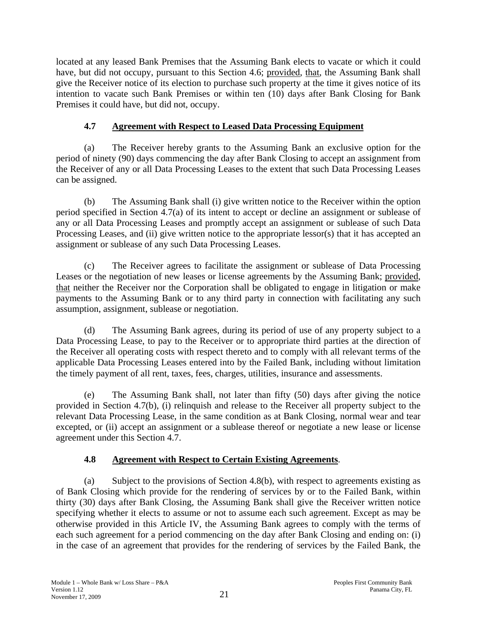located at any leased Bank Premises that the Assuming Bank elects to vacate or which it could have, but did not occupy, pursuant to this Section 4.6; provided, that, the Assuming Bank shall give the Receiver notice of its election to purchase such property at the time it gives notice of its intention to vacate such Bank Premises or within ten (10) days after Bank Closing for Bank Premises it could have, but did not, occupy.

## **4.7 Agreement with Respect to Leased Data Processing Equipment**

<span id="page-24-0"></span>(a) The Receiver hereby grants to the Assuming Bank an exclusive option for the period of ninety (90) days commencing the day after Bank Closing to accept an assignment from the Receiver of any or all Data Processing Leases to the extent that such Data Processing Leases can be assigned.

(b) The Assuming Bank shall (i) give written notice to the Receiver within the option period specified in Section 4.7(a) of its intent to accept or decline an assignment or sublease of any or all Data Processing Leases and promptly accept an assignment or sublease of such Data Processing Leases, and (ii) give written notice to the appropriate lessor(s) that it has accepted an assignment or sublease of any such Data Processing Leases.

(c) The Receiver agrees to facilitate the assignment or sublease of Data Processing Leases or the negotiation of new leases or license agreements by the Assuming Bank; provided, that neither the Receiver nor the Corporation shall be obligated to engage in litigation or make payments to the Assuming Bank or to any third party in connection with facilitating any such assumption, assignment, sublease or negotiation.

(d) The Assuming Bank agrees, during its period of use of any property subject to a Data Processing Lease, to pay to the Receiver or to appropriate third parties at the direction of the Receiver all operating costs with respect thereto and to comply with all relevant terms of the applicable Data Processing Leases entered into by the Failed Bank, including without limitation the timely payment of all rent, taxes, fees, charges, utilities, insurance and assessments.

(e) The Assuming Bank shall, not later than fifty (50) days after giving the notice provided in Section 4.7(b), (i) relinquish and release to the Receiver all property subject to the relevant Data Processing Lease, in the same condition as at Bank Closing, normal wear and tear excepted, or (ii) accept an assignment or a sublease thereof or negotiate a new lease or license agreement under this Section 4.7.

## **4.8 Agreement with Respect to Certain Existing Agreements**.

<span id="page-24-1"></span>(a) Subject to the provisions of Section 4.8(b), with respect to agreements existing as of Bank Closing which provide for the rendering of services by or to the Failed Bank, within thirty (30) days after Bank Closing, the Assuming Bank shall give the Receiver written notice specifying whether it elects to assume or not to assume each such agreement. Except as may be otherwise provided in this Article IV, the Assuming Bank agrees to comply with the terms of each such agreement for a period commencing on the day after Bank Closing and ending on: (i) in the case of an agreement that provides for the rendering of services by the Failed Bank, the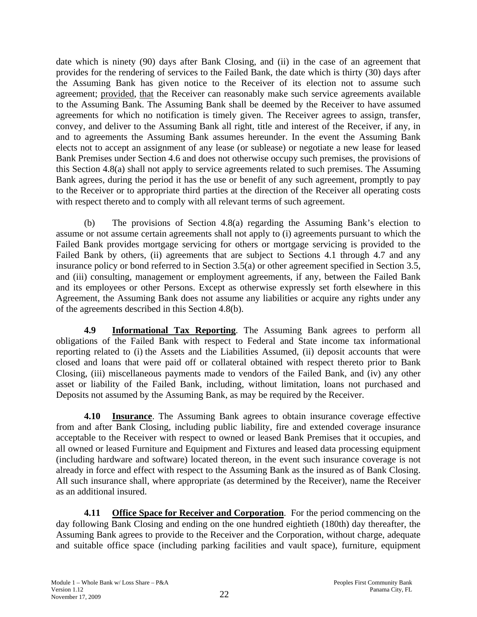date which is ninety (90) days after Bank Closing, and (ii) in the case of an agreement that provides for the rendering of services to the Failed Bank, the date which is thirty (30) days after the Assuming Bank has given notice to the Receiver of its election not to assume such agreement; provided, that the Receiver can reasonably make such service agreements available to the Assuming Bank. The Assuming Bank shall be deemed by the Receiver to have assumed agreements for which no notification is timely given. The Receiver agrees to assign, transfer, convey, and deliver to the Assuming Bank all right, title and interest of the Receiver, if any, in and to agreements the Assuming Bank assumes hereunder. In the event the Assuming Bank elects not to accept an assignment of any lease (or sublease) or negotiate a new lease for leased Bank Premises under Section 4.6 and does not otherwise occupy such premises, the provisions of this Section 4.8(a) shall not apply to service agreements related to such premises. The Assuming Bank agrees, during the period it has the use or benefit of any such agreement, promptly to pay to the Receiver or to appropriate third parties at the direction of the Receiver all operating costs with respect thereto and to comply with all relevant terms of such agreement.

(b) The provisions of Section 4.8(a) regarding the Assuming Bank's election to assume or not assume certain agreements shall not apply to (i) agreements pursuant to which the Failed Bank provides mortgage servicing for others or mortgage servicing is provided to the Failed Bank by others, (ii) agreements that are subject to Sections 4.1 through 4.7 and any insurance policy or bond referred to in Section 3.5(a) or other agreement specified in Section 3.5, and (iii) consulting, management or employment agreements, if any, between the Failed Bank and its employees or other Persons. Except as otherwise expressly set forth elsewhere in this Agreement, the Assuming Bank does not assume any liabilities or acquire any rights under any of the agreements described in this Section 4.8(b).

<span id="page-25-0"></span>**4.9 Informational Tax Reporting**. The Assuming Bank agrees to perform all obligations of the Failed Bank with respect to Federal and State income tax informational reporting related to (i) the Assets and the Liabilities Assumed, (ii) deposit accounts that were closed and loans that were paid off or collateral obtained with respect thereto prior to Bank Closing, (iii) miscellaneous payments made to vendors of the Failed Bank, and (iv) any other asset or liability of the Failed Bank, including, without limitation, loans not purchased and Deposits not assumed by the Assuming Bank, as may be required by the Receiver.

<span id="page-25-1"></span>**4.10 Insurance**. The Assuming Bank agrees to obtain insurance coverage effective from and after Bank Closing, including public liability, fire and extended coverage insurance acceptable to the Receiver with respect to owned or leased Bank Premises that it occupies, and all owned or leased Furniture and Equipment and Fixtures and leased data processing equipment (including hardware and software) located thereon, in the event such insurance coverage is not already in force and effect with respect to the Assuming Bank as the insured as of Bank Closing. All such insurance shall, where appropriate (as determined by the Receiver), name the Receiver as an additional insured.

<span id="page-25-2"></span>**4.11 Office Space for Receiver and Corporation**. For the period commencing on the day following Bank Closing and ending on the one hundred eightieth (180th) day thereafter, the Assuming Bank agrees to provide to the Receiver and the Corporation, without charge, adequate and suitable office space (including parking facilities and vault space), furniture, equipment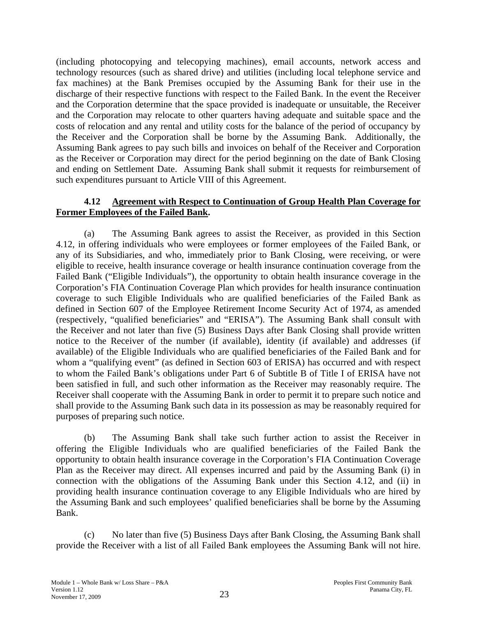(including photocopying and telecopying machines), email accounts, network access and technology resources (such as shared drive) and utilities (including local telephone service and fax machines) at the Bank Premises occupied by the Assuming Bank for their use in the discharge of their respective functions with respect to the Failed Bank. In the event the Receiver and the Corporation determine that the space provided is inadequate or unsuitable, the Receiver and the Corporation may relocate to other quarters having adequate and suitable space and the costs of relocation and any rental and utility costs for the balance of the period of occupancy by the Receiver and the Corporation shall be borne by the Assuming Bank. Additionally, the Assuming Bank agrees to pay such bills and invoices on behalf of the Receiver and Corporation as the Receiver or Corporation may direct for the period beginning on the date of Bank Closing and ending on Settlement Date. Assuming Bank shall submit it requests for reimbursement of such expenditures pursuant to Article VIII of this Agreement.

### <span id="page-26-0"></span>**4.12 Agreement with Respect to Continuation of Group Health Plan Coverage for Former Employees of the Failed Bank.**

(a) The Assuming Bank agrees to assist the Receiver, as provided in this Section 4.12, in offering individuals who were employees or former employees of the Failed Bank, or any of its Subsidiaries, and who, immediately prior to Bank Closing, were receiving, or were eligible to receive, health insurance coverage or health insurance continuation coverage from the Failed Bank ("Eligible Individuals"), the opportunity to obtain health insurance coverage in the Corporation's FIA Continuation Coverage Plan which provides for health insurance continuation coverage to such Eligible Individuals who are qualified beneficiaries of the Failed Bank as defined in Section 607 of the Employee Retirement Income Security Act of 1974, as amended (respectively, "qualified beneficiaries" and "ERISA"). The Assuming Bank shall consult with the Receiver and not later than five (5) Business Days after Bank Closing shall provide written notice to the Receiver of the number (if available), identity (if available) and addresses (if available) of the Eligible Individuals who are qualified beneficiaries of the Failed Bank and for whom a "qualifying event" (as defined in Section 603 of ERISA) has occurred and with respect to whom the Failed Bank's obligations under Part 6 of Subtitle B of Title I of ERISA have not been satisfied in full, and such other information as the Receiver may reasonably require. The Receiver shall cooperate with the Assuming Bank in order to permit it to prepare such notice and shall provide to the Assuming Bank such data in its possession as may be reasonably required for purposes of preparing such notice.

(b) The Assuming Bank shall take such further action to assist the Receiver in offering the Eligible Individuals who are qualified beneficiaries of the Failed Bank the opportunity to obtain health insurance coverage in the Corporation's FIA Continuation Coverage Plan as the Receiver may direct. All expenses incurred and paid by the Assuming Bank (i) in connection with the obligations of the Assuming Bank under this Section 4.12, and (ii) in providing health insurance continuation coverage to any Eligible Individuals who are hired by the Assuming Bank and such employees' qualified beneficiaries shall be borne by the Assuming Bank.

(c) No later than five (5) Business Days after Bank Closing, the Assuming Bank shall provide the Receiver with a list of all Failed Bank employees the Assuming Bank will not hire.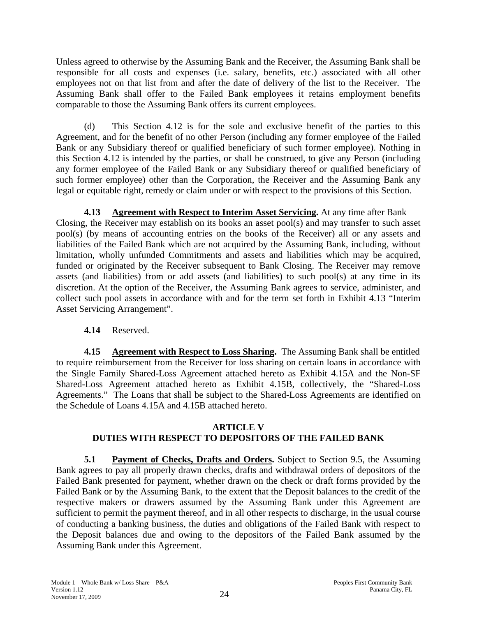Unless agreed to otherwise by the Assuming Bank and the Receiver, the Assuming Bank shall be responsible for all costs and expenses (i.e. salary, benefits, etc.) associated with all other employees not on that list from and after the date of delivery of the list to the Receiver. The Assuming Bank shall offer to the Failed Bank employees it retains employment benefits comparable to those the Assuming Bank offers its current employees.

(d) This Section 4.12 is for the sole and exclusive benefit of the parties to this Agreement, and for the benefit of no other Person (including any former employee of the Failed Bank or any Subsidiary thereof or qualified beneficiary of such former employee). Nothing in this Section 4.12 is intended by the parties, or shall be construed, to give any Person (including any former employee of the Failed Bank or any Subsidiary thereof or qualified beneficiary of such former employee) other than the Corporation, the Receiver and the Assuming Bank any legal or equitable right, remedy or claim under or with respect to the provisions of this Section.

<span id="page-27-0"></span>**4.13 Agreement with Respect to Interim Asset Servicing.** At any time after Bank Closing, the Receiver may establish on its books an asset pool(s) and may transfer to such asset pool(s) (by means of accounting entries on the books of the Receiver) all or any assets and liabilities of the Failed Bank which are not acquired by the Assuming Bank, including, without limitation, wholly unfunded Commitments and assets and liabilities which may be acquired, funded or originated by the Receiver subsequent to Bank Closing. The Receiver may remove assets (and liabilities) from or add assets (and liabilities) to such pool(s) at any time in its discretion. At the option of the Receiver, the Assuming Bank agrees to service, administer, and collect such pool assets in accordance with and for the term set forth in Exhibit 4.13 "Interim Asset Servicing Arrangement".

**4.14** Reserved.

**4.15 Agreement with Respect to Loss Sharing.** The Assuming Bank shall be entitled to require reimbursement from the Receiver for loss sharing on certain loans in accordance with the Single Family Shared-Loss Agreement attached hereto as Exhibit 4.15A and the Non-SF Shared-Loss Agreement attached hereto as Exhibit 4.15B, collectively, the "Shared-Loss Agreements." The Loans that shall be subject to the Shared-Loss Agreements are identified on the Schedule of Loans 4.15A and 4.15B attached hereto.

### **ARTICLE V**

## **DUTIES WITH RESPECT TO DEPOSITORS OF THE FAILED BANK**

<span id="page-27-2"></span><span id="page-27-1"></span> **5.1 Payment of Checks, Drafts and Orders.** Subject to Section 9.5, the Assuming Bank agrees to pay all properly drawn checks, drafts and withdrawal orders of depositors of the Failed Bank presented for payment, whether drawn on the check or draft forms provided by the Failed Bank or by the Assuming Bank, to the extent that the Deposit balances to the credit of the respective makers or drawers assumed by the Assuming Bank under this Agreement are sufficient to permit the payment thereof, and in all other respects to discharge, in the usual course of conducting a banking business, the duties and obligations of the Failed Bank with respect to the Deposit balances due and owing to the depositors of the Failed Bank assumed by the Assuming Bank under this Agreement.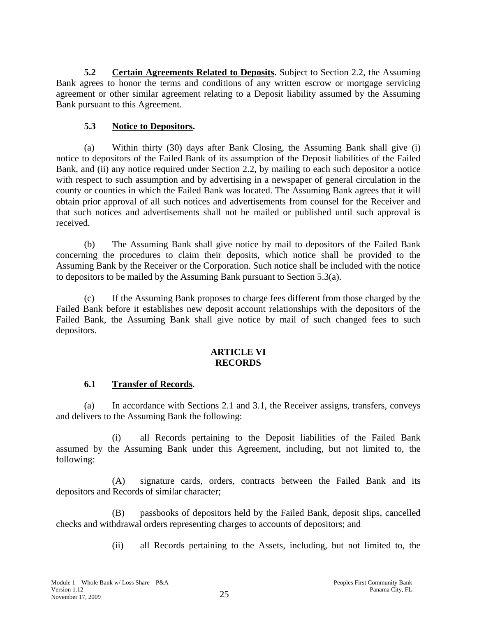<span id="page-28-0"></span>**5.2** Certain Agreements Related to Deposits. Subject to Section 2.2, the Assuming Bank agrees to honor the terms and conditions of any written escrow or mortgage servicing agreement or other similar agreement relating to a Deposit liability assumed by the Assuming Bank pursuant to this Agreement.

### **5.3 Notice to Depositors.**

<span id="page-28-1"></span>(a) Within thirty (30) days after Bank Closing, the Assuming Bank shall give (i) notice to depositors of the Failed Bank of its assumption of the Deposit liabilities of the Failed Bank, and (ii) any notice required under Section 2.2, by mailing to each such depositor a notice with respect to such assumption and by advertising in a newspaper of general circulation in the county or counties in which the Failed Bank was located. The Assuming Bank agrees that it will obtain prior approval of all such notices and advertisements from counsel for the Receiver and that such notices and advertisements shall not be mailed or published until such approval is received.

(b) The Assuming Bank shall give notice by mail to depositors of the Failed Bank concerning the procedures to claim their deposits, which notice shall be provided to the Assuming Bank by the Receiver or the Corporation. Such notice shall be included with the notice to depositors to be mailed by the Assuming Bank pursuant to Section 5.3(a).

(c) If the Assuming Bank proposes to charge fees different from those charged by the Failed Bank before it establishes new deposit account relationships with the depositors of the Failed Bank, the Assuming Bank shall give notice by mail of such changed fees to such depositors.

#### **ARTICLE VI RECORDS**

### **6.1 Transfer of Records**.

<span id="page-28-3"></span><span id="page-28-2"></span>(a) In accordance with Sections 2.1 and 3.1, the Receiver assigns, transfers, conveys and delivers to the Assuming Bank the following:

(i) all Records pertaining to the Deposit liabilities of the Failed Bank assumed by the Assuming Bank under this Agreement, including, but not limited to, the following:

(A) signature cards, orders, contracts between the Failed Bank and its depositors and Records of similar character;

(B) passbooks of depositors held by the Failed Bank, deposit slips, cancelled checks and withdrawal orders representing charges to accounts of depositors; and

(ii) all Records pertaining to the Assets, including, but not limited to, the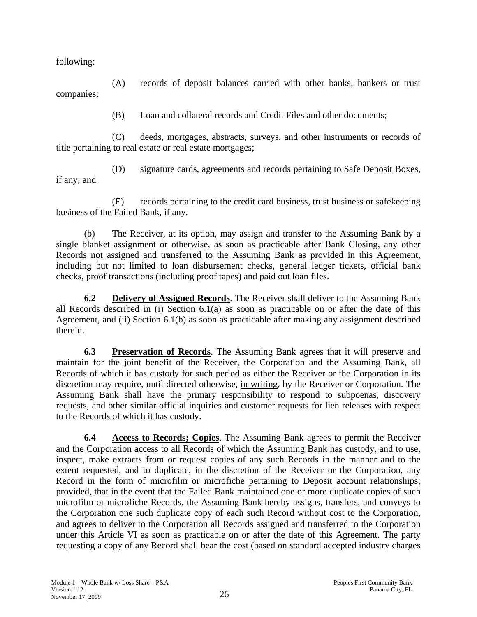following:

(A) records of deposit balances carried with other banks, bankers or trust companies;

(B) Loan and collateral records and Credit Files and other documents;

(C) deeds, mortgages, abstracts, surveys, and other instruments or records of title pertaining to real estate or real estate mortgages;

(D) signature cards, agreements and records pertaining to Safe Deposit Boxes, if any; and

(E) records pertaining to the credit card business, trust business or safekeeping business of the Failed Bank, if any.

(b) The Receiver, at its option, may assign and transfer to the Assuming Bank by a single blanket assignment or otherwise, as soon as practicable after Bank Closing, any other Records not assigned and transferred to the Assuming Bank as provided in this Agreement, including but not limited to loan disbursement checks, general ledger tickets, official bank checks, proof transactions (including proof tapes) and paid out loan files.

<span id="page-29-0"></span>**6.2 Delivery of Assigned Records**. The Receiver shall deliver to the Assuming Bank all Records described in (i) Section 6.1(a) as soon as practicable on or after the date of this Agreement, and (ii) Section 6.1(b) as soon as practicable after making any assignment described therein.

<span id="page-29-1"></span>**6.3 Preservation of Records**. The Assuming Bank agrees that it will preserve and maintain for the joint benefit of the Receiver, the Corporation and the Assuming Bank, all Records of which it has custody for such period as either the Receiver or the Corporation in its discretion may require, until directed otherwise, in writing, by the Receiver or Corporation. The Assuming Bank shall have the primary responsibility to respond to subpoenas, discovery requests, and other similar official inquiries and customer requests for lien releases with respect to the Records of which it has custody.

**6.4 Access to Records; Copies**. The Assuming Bank agrees to permit the Receiver and the Corporation access to all Records of which the Assuming Bank has custody, and to use, inspect, make extracts from or request copies of any such Records in the manner and to the extent requested, and to duplicate, in the discretion of the Receiver or the Corporation, any Record in the form of microfilm or microfiche pertaining to Deposit account relationships; provided, that in the event that the Failed Bank maintained one or more duplicate copies of such microfilm or microfiche Records, the Assuming Bank hereby assigns, transfers, and conveys to the Corporation one such duplicate copy of each such Record without cost to the Corporation, and agrees to deliver to the Corporation all Records assigned and transferred to the Corporation under this Article VI as soon as practicable on or after the date of this Agreement. The party requesting a copy of any Record shall bear the cost (based on standard accepted industry charges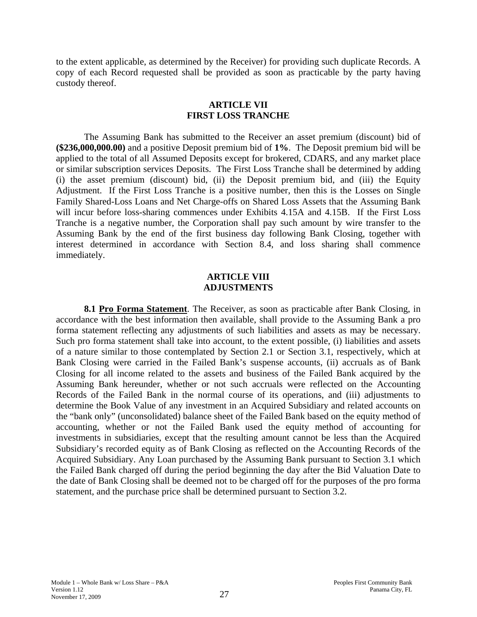to the extent applicable, as determined by the Receiver) for providing such duplicate Records. A copy of each Record requested shall be provided as soon as practicable by the party having custody thereof.

### **ARTICLE VII FIRST LOSS TRANCHE**

 The Assuming Bank has submitted to the Receiver an asset premium (discount) bid of **(\$236,000,000.00)** and a positive Deposit premium bid of **1%**. The Deposit premium bid will be applied to the total of all Assumed Deposits except for brokered, CDARS, and any market place or similar subscription services Deposits. The First Loss Tranche shall be determined by adding (i) the asset premium (discount) bid, (ii) the Deposit premium bid, and (iii) the Equity Adjustment. If the First Loss Tranche is a positive number, then this is the Losses on Single Family Shared-Loss Loans and Net Charge-offs on Shared Loss Assets that the Assuming Bank will incur before loss-sharing commences under Exhibits 4.15A and 4.15B. If the First Loss Tranche is a negative number, the Corporation shall pay such amount by wire transfer to the Assuming Bank by the end of the first business day following Bank Closing, together with interest determined in accordance with Section 8.4, and loss sharing shall commence immediately.

#### **ARTICLE VIII ADJUSTMENTS**

<span id="page-30-1"></span><span id="page-30-0"></span>**8.1 Pro Forma Statement**. The Receiver, as soon as practicable after Bank Closing, in accordance with the best information then available, shall provide to the Assuming Bank a pro forma statement reflecting any adjustments of such liabilities and assets as may be necessary. Such pro forma statement shall take into account, to the extent possible, (i) liabilities and assets of a nature similar to those contemplated by Section 2.1 or Section 3.1, respectively, which at Bank Closing were carried in the Failed Bank's suspense accounts, (ii) accruals as of Bank Closing for all income related to the assets and business of the Failed Bank acquired by the Assuming Bank hereunder, whether or not such accruals were reflected on the Accounting Records of the Failed Bank in the normal course of its operations, and (iii) adjustments to determine the Book Value of any investment in an Acquired Subsidiary and related accounts on the "bank only" (unconsolidated) balance sheet of the Failed Bank based on the equity method of accounting, whether or not the Failed Bank used the equity method of accounting for investments in subsidiaries, except that the resulting amount cannot be less than the Acquired Subsidiary's recorded equity as of Bank Closing as reflected on the Accounting Records of the Acquired Subsidiary. Any Loan purchased by the Assuming Bank pursuant to Section 3.1 which the Failed Bank charged off during the period beginning the day after the Bid Valuation Date to the date of Bank Closing shall be deemed not to be charged off for the purposes of the pro forma statement, and the purchase price shall be determined pursuant to Section 3.2.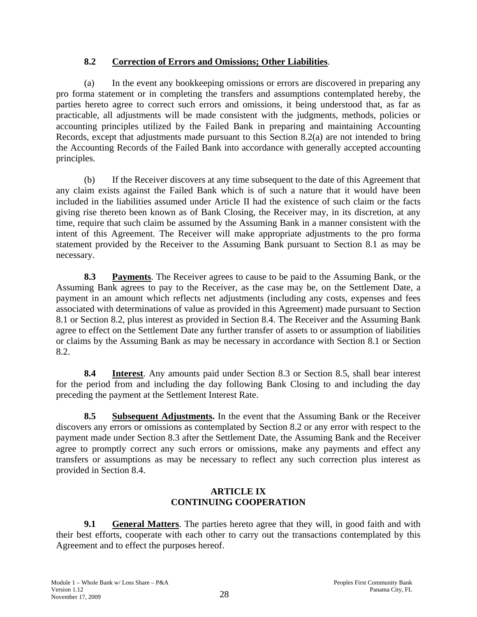### **8.2 Correction of Errors and Omissions; Other Liabilities**.

(a) In the event any bookkeeping omissions or errors are discovered in preparing any pro forma statement or in completing the transfers and assumptions contemplated hereby, the parties hereto agree to correct such errors and omissions, it being understood that, as far as practicable, all adjustments will be made consistent with the judgments, methods, policies or accounting principles utilized by the Failed Bank in preparing and maintaining Accounting Records, except that adjustments made pursuant to this Section 8.2(a) are not intended to bring the Accounting Records of the Failed Bank into accordance with generally accepted accounting principles.

(b) If the Receiver discovers at any time subsequent to the date of this Agreement that any claim exists against the Failed Bank which is of such a nature that it would have been included in the liabilities assumed under Article II had the existence of such claim or the facts giving rise thereto been known as of Bank Closing, the Receiver may, in its discretion, at any time, require that such claim be assumed by the Assuming Bank in a manner consistent with the intent of this Agreement. The Receiver will make appropriate adjustments to the pro forma statement provided by the Receiver to the Assuming Bank pursuant to Section 8.1 as may be necessary.

<span id="page-31-0"></span>**8.3 Payments**. The Receiver agrees to cause to be paid to the Assuming Bank, or the Assuming Bank agrees to pay to the Receiver, as the case may be, on the Settlement Date, a payment in an amount which reflects net adjustments (including any costs, expenses and fees associated with determinations of value as provided in this Agreement) made pursuant to Section 8.1 or Section 8.2, plus interest as provided in Section 8.4. The Receiver and the Assuming Bank agree to effect on the Settlement Date any further transfer of assets to or assumption of liabilities or claims by the Assuming Bank as may be necessary in accordance with Section 8.1 or Section 8.2.

<span id="page-31-1"></span>**8.4 Interest**. Any amounts paid under Section 8.3 or Section 8.5, shall bear interest for the period from and including the day following Bank Closing to and including the day preceding the payment at the Settlement Interest Rate.

<span id="page-31-2"></span>**8.5 Subsequent Adjustments.** In the event that the Assuming Bank or the Receiver discovers any errors or omissions as contemplated by Section 8.2 or any error with respect to the payment made under Section 8.3 after the Settlement Date, the Assuming Bank and the Receiver agree to promptly correct any such errors or omissions, make any payments and effect any transfers or assumptions as may be necessary to reflect any such correction plus interest as provided in Section 8.4.

### **ARTICLE IX CONTINUING COOPERATION**

<span id="page-31-4"></span><span id="page-31-3"></span>**9.1 General Matters**. The parties hereto agree that they will, in good faith and with their best efforts, cooperate with each other to carry out the transactions contemplated by this Agreement and to effect the purposes hereof.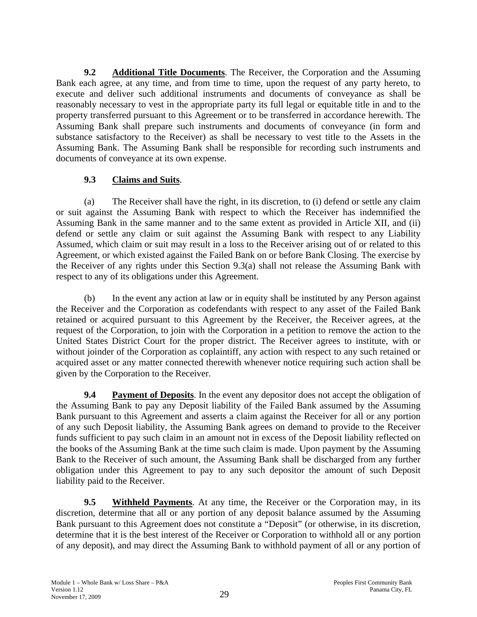<span id="page-32-0"></span>**9.2** Additional Title Documents. The Receiver, the Corporation and the Assuming Bank each agree, at any time, and from time to time, upon the request of any party hereto, to execute and deliver such additional instruments and documents of conveyance as shall be reasonably necessary to vest in the appropriate party its full legal or equitable title in and to the property transferred pursuant to this Agreement or to be transferred in accordance herewith. The Assuming Bank shall prepare such instruments and documents of conveyance (in form and substance satisfactory to the Receiver) as shall be necessary to vest title to the Assets in the Assuming Bank. The Assuming Bank shall be responsible for recording such instruments and documents of conveyance at its own expense.

### **9.3 Claims and Suits**.

<span id="page-32-1"></span>(a) The Receiver shall have the right, in its discretion, to (i) defend or settle any claim or suit against the Assuming Bank with respect to which the Receiver has indemnified the Assuming Bank in the same manner and to the same extent as provided in Article XII, and (ii) defend or settle any claim or suit against the Assuming Bank with respect to any Liability Assumed, which claim or suit may result in a loss to the Receiver arising out of or related to this Agreement, or which existed against the Failed Bank on or before Bank Closing. The exercise by the Receiver of any rights under this Section 9.3(a) shall not release the Assuming Bank with respect to any of its obligations under this Agreement.

(b) In the event any action at law or in equity shall be instituted by any Person against the Receiver and the Corporation as codefendants with respect to any asset of the Failed Bank retained or acquired pursuant to this Agreement by the Receiver, the Receiver agrees, at the request of the Corporation, to join with the Corporation in a petition to remove the action to the United States District Court for the proper district. The Receiver agrees to institute, with or without joinder of the Corporation as coplaintiff, any action with respect to any such retained or acquired asset or any matter connected therewith whenever notice requiring such action shall be given by the Corporation to the Receiver.

<span id="page-32-2"></span>**9.4 Payment of Deposits**. In the event any depositor does not accept the obligation of the Assuming Bank to pay any Deposit liability of the Failed Bank assumed by the Assuming Bank pursuant to this Agreement and asserts a claim against the Receiver for all or any portion of any such Deposit liability, the Assuming Bank agrees on demand to provide to the Receiver funds sufficient to pay such claim in an amount not in excess of the Deposit liability reflected on the books of the Assuming Bank at the time such claim is made. Upon payment by the Assuming Bank to the Receiver of such amount, the Assuming Bank shall be discharged from any further obligation under this Agreement to pay to any such depositor the amount of such Deposit liability paid to the Receiver.

<span id="page-32-3"></span>**9.5 Withheld Payments**. At any time, the Receiver or the Corporation may, in its discretion, determine that all or any portion of any deposit balance assumed by the Assuming Bank pursuant to this Agreement does not constitute a "Deposit" (or otherwise, in its discretion, determine that it is the best interest of the Receiver or Corporation to withhold all or any portion of any deposit), and may direct the Assuming Bank to withhold payment of all or any portion of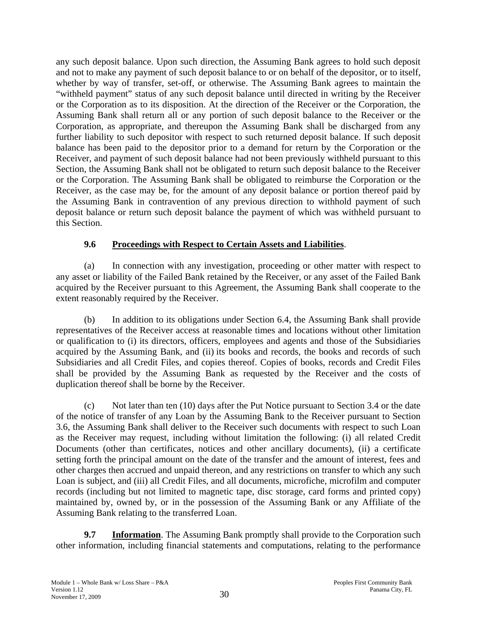any such deposit balance. Upon such direction, the Assuming Bank agrees to hold such deposit and not to make any payment of such deposit balance to or on behalf of the depositor, or to itself, whether by way of transfer, set-off, or otherwise. The Assuming Bank agrees to maintain the "withheld payment" status of any such deposit balance until directed in writing by the Receiver or the Corporation as to its disposition. At the direction of the Receiver or the Corporation, the Assuming Bank shall return all or any portion of such deposit balance to the Receiver or the Corporation, as appropriate, and thereupon the Assuming Bank shall be discharged from any further liability to such depositor with respect to such returned deposit balance. If such deposit balance has been paid to the depositor prior to a demand for return by the Corporation or the Receiver, and payment of such deposit balance had not been previously withheld pursuant to this Section, the Assuming Bank shall not be obligated to return such deposit balance to the Receiver or the Corporation. The Assuming Bank shall be obligated to reimburse the Corporation or the Receiver, as the case may be, for the amount of any deposit balance or portion thereof paid by the Assuming Bank in contravention of any previous direction to withhold payment of such deposit balance or return such deposit balance the payment of which was withheld pursuant to this Section.

### **9.6 Proceedings with Respect to Certain Assets and Liabilities**.

<span id="page-33-0"></span>(a) In connection with any investigation, proceeding or other matter with respect to any asset or liability of the Failed Bank retained by the Receiver, or any asset of the Failed Bank acquired by the Receiver pursuant to this Agreement, the Assuming Bank shall cooperate to the extent reasonably required by the Receiver.

(b) In addition to its obligations under Section 6.4, the Assuming Bank shall provide representatives of the Receiver access at reasonable times and locations without other limitation or qualification to (i) its directors, officers, employees and agents and those of the Subsidiaries acquired by the Assuming Bank, and (ii) its books and records, the books and records of such Subsidiaries and all Credit Files, and copies thereof. Copies of books, records and Credit Files shall be provided by the Assuming Bank as requested by the Receiver and the costs of duplication thereof shall be borne by the Receiver.

(c) Not later than ten (10) days after the Put Notice pursuant to Section 3.4 or the date of the notice of transfer of any Loan by the Assuming Bank to the Receiver pursuant to Section 3.6, the Assuming Bank shall deliver to the Receiver such documents with respect to such Loan as the Receiver may request, including without limitation the following: (i) all related Credit Documents (other than certificates, notices and other ancillary documents), (ii) a certificate setting forth the principal amount on the date of the transfer and the amount of interest, fees and other charges then accrued and unpaid thereon, and any restrictions on transfer to which any such Loan is subject, and (iii) all Credit Files, and all documents, microfiche, microfilm and computer records (including but not limited to magnetic tape, disc storage, card forms and printed copy) maintained by, owned by, or in the possession of the Assuming Bank or any Affiliate of the Assuming Bank relating to the transferred Loan.

<span id="page-33-1"></span>**9.7 Information**. The Assuming Bank promptly shall provide to the Corporation such other information, including financial statements and computations, relating to the performance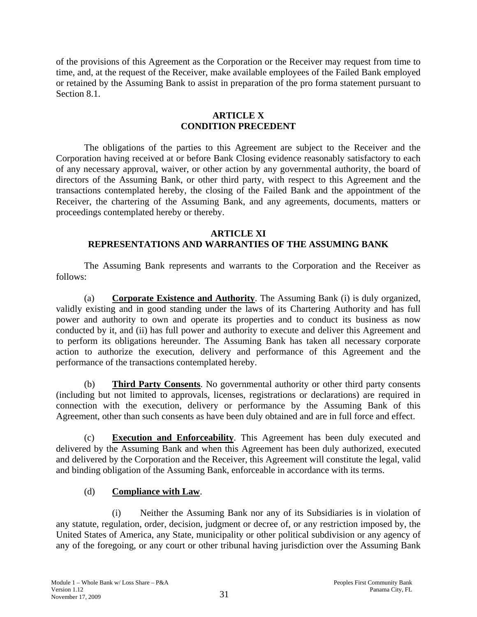of the provisions of this Agreement as the Corporation or the Receiver may request from time to time, and, at the request of the Receiver, make available employees of the Failed Bank employed or retained by the Assuming Bank to assist in preparation of the pro forma statement pursuant to Section 8.1.

#### **ARTICLE X CONDITION PRECEDENT**

<span id="page-34-0"></span>The obligations of the parties to this Agreement are subject to the Receiver and the Corporation having received at or before Bank Closing evidence reasonably satisfactory to each of any necessary approval, waiver, or other action by any governmental authority, the board of directors of the Assuming Bank, or other third party, with respect to this Agreement and the transactions contemplated hereby, the closing of the Failed Bank and the appointment of the Receiver, the chartering of the Assuming Bank, and any agreements, documents, matters or proceedings contemplated hereby or thereby.

#### **ARTICLE XI REPRESENTATIONS AND WARRANTIES OF THE ASSUMING BANK**

<span id="page-34-1"></span>The Assuming Bank represents and warrants to the Corporation and the Receiver as follows:

(a) **Corporate Existence and Authority**. The Assuming Bank (i) is duly organized, validly existing and in good standing under the laws of its Chartering Authority and has full power and authority to own and operate its properties and to conduct its business as now conducted by it, and (ii) has full power and authority to execute and deliver this Agreement and to perform its obligations hereunder. The Assuming Bank has taken all necessary corporate action to authorize the execution, delivery and performance of this Agreement and the performance of the transactions contemplated hereby.

(b) **Third Party Consents**. No governmental authority or other third party consents (including but not limited to approvals, licenses, registrations or declarations) are required in connection with the execution, delivery or performance by the Assuming Bank of this Agreement, other than such consents as have been duly obtained and are in full force and effect.

(c) **Execution and Enforceability**. This Agreement has been duly executed and delivered by the Assuming Bank and when this Agreement has been duly authorized, executed and delivered by the Corporation and the Receiver, this Agreement will constitute the legal, valid and binding obligation of the Assuming Bank, enforceable in accordance with its terms.

### (d) **Compliance with Law**.

(i) Neither the Assuming Bank nor any of its Subsidiaries is in violation of any statute, regulation, order, decision, judgment or decree of, or any restriction imposed by, the United States of America, any State, municipality or other political subdivision or any agency of any of the foregoing, or any court or other tribunal having jurisdiction over the Assuming Bank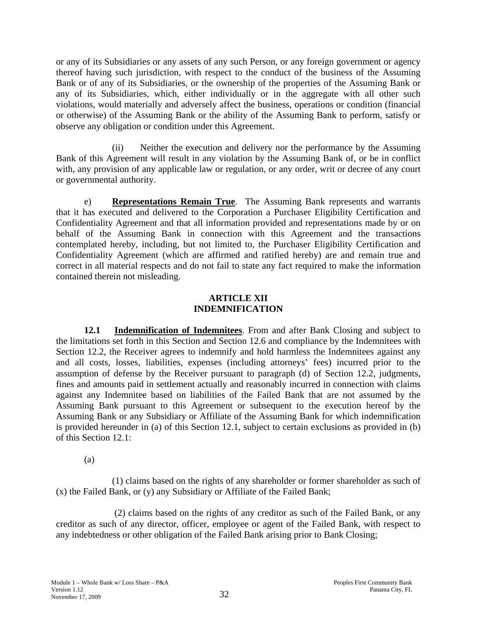or any of its Subsidiaries or any assets of any such Person, or any foreign government or agency thereof having such jurisdiction, with respect to the conduct of the business of the Assuming Bank or of any of its Subsidiaries, or the ownership of the properties of the Assuming Bank or any of its Subsidiaries, which, either individually or in the aggregate with all other such violations, would materially and adversely affect the business, operations or condition (financial or otherwise) of the Assuming Bank or the ability of the Assuming Bank to perform, satisfy or observe any obligation or condition under this Agreement.

(ii) Neither the execution and delivery nor the performance by the Assuming Bank of this Agreement will result in any violation by the Assuming Bank of, or be in conflict with, any provision of any applicable law or regulation, or any order, writ or decree of any court or governmental authority.

e) **Representations Remain True**. The Assuming Bank represents and warrants that it has executed and delivered to the Corporation a Purchaser Eligibility Certification and Confidentiality Agreement and that all information provided and representations made by or on behalf of the Assuming Bank in connection with this Agreement and the transactions contemplated hereby, including, but not limited to, the Purchaser Eligibility Certification and Confidentiality Agreement (which are affirmed and ratified hereby) are and remain true and correct in all material respects and do not fail to state any fact required to make the information contained therein not misleading.

### **ARTICLE XII INDEMNIFICATION**

<span id="page-35-0"></span>12.1 **Indemnification of Indemnitees**. From and after Bank Closing and subject to the limitations set forth in this Section and Section 12.6 and compliance by the Indemnitees with Section 12.2, the Receiver agrees to indemnify and hold harmless the Indemnitees against any and all costs, losses, liabilities, expenses (including attorneys' fees) incurred prior to the assumption of defense by the Receiver pursuant to paragraph (d) of Section 12.2, judgments, fines and amounts paid in settlement actually and reasonably incurred in connection with claims against any Indemnitee based on liabilities of the Failed Bank that are not assumed by the Assuming Bank pursuant to this Agreement or subsequent to the execution hereof by the Assuming Bank or any Subsidiary or Affiliate of the Assuming Bank for which indemnification is provided hereunder in (a) of this Section 12.1, subject to certain exclusions as provided in (b) of this Section 12.1:

(1) claims based on the rights of any shareholder or former shareholder as such of (x) the Failed Bank, or (y) any Subsidiary or Affiliate of the Failed Bank;

(2) claims based on the rights of any creditor as such of the Failed Bank, or any creditor as such of any director, officer, employee or agent of the Failed Bank, with respect to any indebtedness or other obligation of the Failed Bank arising prior to Bank Closing;

<sup>(</sup>a)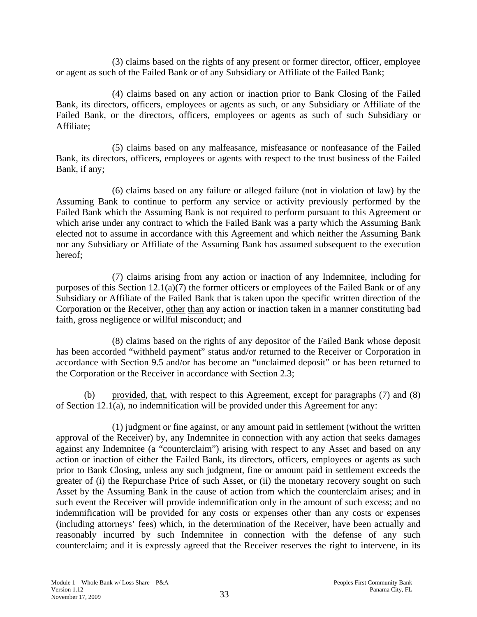(3) claims based on the rights of any present or former director, officer, employee or agent as such of the Failed Bank or of any Subsidiary or Affiliate of the Failed Bank;

(4) claims based on any action or inaction prior to Bank Closing of the Failed Bank, its directors, officers, employees or agents as such, or any Subsidiary or Affiliate of the Failed Bank, or the directors, officers, employees or agents as such of such Subsidiary or Affiliate;

(5) claims based on any malfeasance, misfeasance or nonfeasance of the Failed Bank, its directors, officers, employees or agents with respect to the trust business of the Failed Bank, if any;

(6) claims based on any failure or alleged failure (not in violation of law) by the Assuming Bank to continue to perform any service or activity previously performed by the Failed Bank which the Assuming Bank is not required to perform pursuant to this Agreement or which arise under any contract to which the Failed Bank was a party which the Assuming Bank elected not to assume in accordance with this Agreement and which neither the Assuming Bank nor any Subsidiary or Affiliate of the Assuming Bank has assumed subsequent to the execution hereof;

(7) claims arising from any action or inaction of any Indemnitee, including for purposes of this Section 12.1(a)(7) the former officers or employees of the Failed Bank or of any Subsidiary or Affiliate of the Failed Bank that is taken upon the specific written direction of the Corporation or the Receiver, other than any action or inaction taken in a manner constituting bad faith, gross negligence or willful misconduct; and

(8) claims based on the rights of any depositor of the Failed Bank whose deposit has been accorded "withheld payment" status and/or returned to the Receiver or Corporation in accordance with Section 9.5 and/or has become an "unclaimed deposit" or has been returned to the Corporation or the Receiver in accordance with Section 2.3;

(b) provided, that, with respect to this Agreement, except for paragraphs (7) and (8) of Section 12.1(a), no indemnification will be provided under this Agreement for any:

(1) judgment or fine against, or any amount paid in settlement (without the written approval of the Receiver) by, any Indemnitee in connection with any action that seeks damages against any Indemnitee (a "counterclaim") arising with respect to any Asset and based on any action or inaction of either the Failed Bank, its directors, officers, employees or agents as such prior to Bank Closing, unless any such judgment, fine or amount paid in settlement exceeds the greater of (i) the Repurchase Price of such Asset, or (ii) the monetary recovery sought on such Asset by the Assuming Bank in the cause of action from which the counterclaim arises; and in such event the Receiver will provide indemnification only in the amount of such excess; and no indemnification will be provided for any costs or expenses other than any costs or expenses (including attorneys' fees) which, in the determination of the Receiver, have been actually and reasonably incurred by such Indemnitee in connection with the defense of any such counterclaim; and it is expressly agreed that the Receiver reserves the right to intervene, in its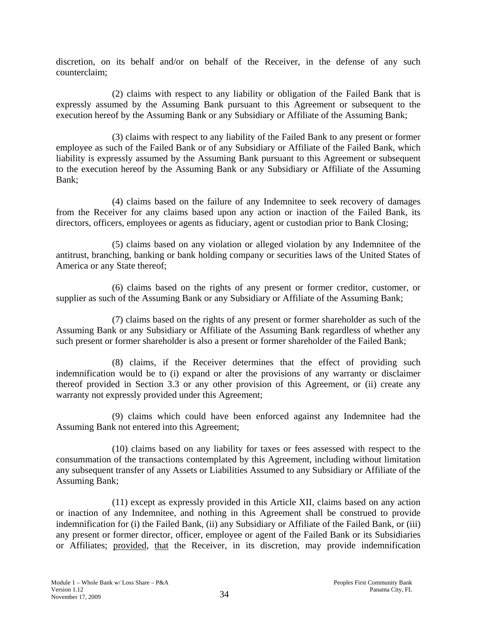discretion, on its behalf and/or on behalf of the Receiver, in the defense of any such counterclaim;

(2) claims with respect to any liability or obligation of the Failed Bank that is expressly assumed by the Assuming Bank pursuant to this Agreement or subsequent to the execution hereof by the Assuming Bank or any Subsidiary or Affiliate of the Assuming Bank;

(3) claims with respect to any liability of the Failed Bank to any present or former employee as such of the Failed Bank or of any Subsidiary or Affiliate of the Failed Bank, which liability is expressly assumed by the Assuming Bank pursuant to this Agreement or subsequent to the execution hereof by the Assuming Bank or any Subsidiary or Affiliate of the Assuming Bank;

(4) claims based on the failure of any Indemnitee to seek recovery of damages from the Receiver for any claims based upon any action or inaction of the Failed Bank, its directors, officers, employees or agents as fiduciary, agent or custodian prior to Bank Closing;

(5) claims based on any violation or alleged violation by any Indemnitee of the antitrust, branching, banking or bank holding company or securities laws of the United States of America or any State thereof;

(6) claims based on the rights of any present or former creditor, customer, or supplier as such of the Assuming Bank or any Subsidiary or Affiliate of the Assuming Bank;

(7) claims based on the rights of any present or former shareholder as such of the Assuming Bank or any Subsidiary or Affiliate of the Assuming Bank regardless of whether any such present or former shareholder is also a present or former shareholder of the Failed Bank;

(8) claims, if the Receiver determines that the effect of providing such indemnification would be to (i) expand or alter the provisions of any warranty or disclaimer thereof provided in Section 3.3 or any other provision of this Agreement, or (ii) create any warranty not expressly provided under this Agreement;

(9) claims which could have been enforced against any Indemnitee had the Assuming Bank not entered into this Agreement;

(10) claims based on any liability for taxes or fees assessed with respect to the consummation of the transactions contemplated by this Agreement, including without limitation any subsequent transfer of any Assets or Liabilities Assumed to any Subsidiary or Affiliate of the Assuming Bank;

(11) except as expressly provided in this Article XII, claims based on any action or inaction of any Indemnitee, and nothing in this Agreement shall be construed to provide indemnification for (i) the Failed Bank, (ii) any Subsidiary or Affiliate of the Failed Bank, or (iii) any present or former director, officer, employee or agent of the Failed Bank or its Subsidiaries or Affiliates; provided, that the Receiver, in its discretion, may provide indemnification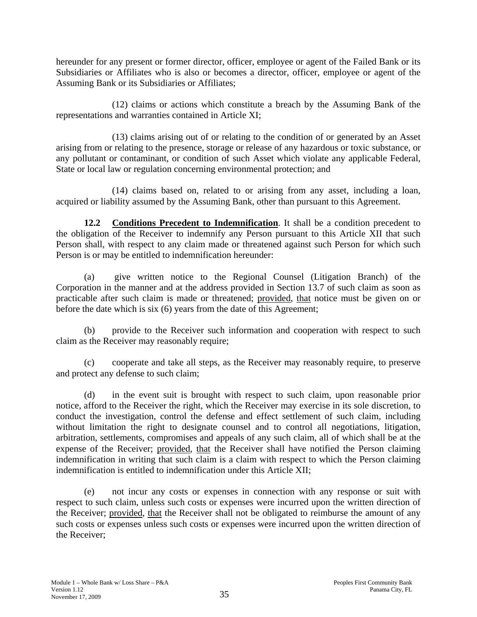hereunder for any present or former director, officer, employee or agent of the Failed Bank or its Subsidiaries or Affiliates who is also or becomes a director, officer, employee or agent of the Assuming Bank or its Subsidiaries or Affiliates;

(12) claims or actions which constitute a breach by the Assuming Bank of the representations and warranties contained in Article XI;

(13) claims arising out of or relating to the condition of or generated by an Asset arising from or relating to the presence, storage or release of any hazardous or toxic substance, or any pollutant or contaminant, or condition of such Asset which violate any applicable Federal, State or local law or regulation concerning environmental protection; and

(14) claims based on, related to or arising from any asset, including a loan, acquired or liability assumed by the Assuming Bank, other than pursuant to this Agreement.

**12.2 Conditions Precedent to Indemnification**. It shall be a condition precedent to the obligation of the Receiver to indemnify any Person pursuant to this Article XII that such Person shall, with respect to any claim made or threatened against such Person for which such Person is or may be entitled to indemnification hereunder:

(a) give written notice to the Regional Counsel (Litigation Branch) of the Corporation in the manner and at the address provided in Section 13.7 of such claim as soon as practicable after such claim is made or threatened; provided, that notice must be given on or before the date which is six (6) years from the date of this Agreement;

(b) provide to the Receiver such information and cooperation with respect to such claim as the Receiver may reasonably require;

(c) cooperate and take all steps, as the Receiver may reasonably require, to preserve and protect any defense to such claim;

(d) in the event suit is brought with respect to such claim, upon reasonable prior notice, afford to the Receiver the right, which the Receiver may exercise in its sole discretion, to conduct the investigation, control the defense and effect settlement of such claim, including without limitation the right to designate counsel and to control all negotiations, litigation, arbitration, settlements, compromises and appeals of any such claim, all of which shall be at the expense of the Receiver; provided, that the Receiver shall have notified the Person claiming indemnification in writing that such claim is a claim with respect to which the Person claiming indemnification is entitled to indemnification under this Article XII;

(e) not incur any costs or expenses in connection with any response or suit with respect to such claim, unless such costs or expenses were incurred upon the written direction of the Receiver; provided, that the Receiver shall not be obligated to reimburse the amount of any such costs or expenses unless such costs or expenses were incurred upon the written direction of the Receiver;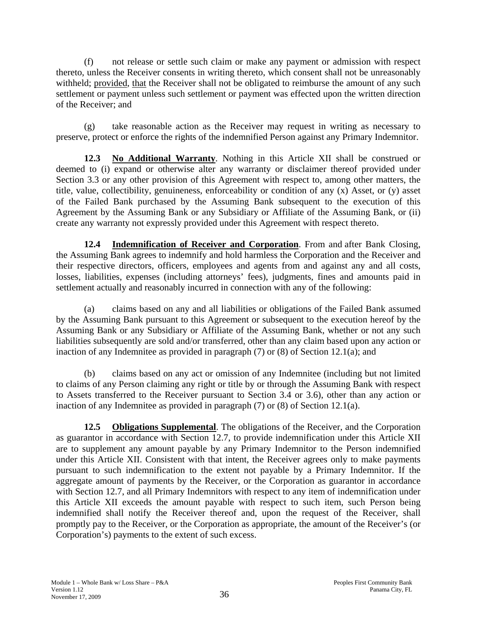(f) not release or settle such claim or make any payment or admission with respect thereto, unless the Receiver consents in writing thereto, which consent shall not be unreasonably withheld; provided, that the Receiver shall not be obligated to reimburse the amount of any such settlement or payment unless such settlement or payment was effected upon the written direction of the Receiver; and

(g) take reasonable action as the Receiver may request in writing as necessary to preserve, protect or enforce the rights of the indemnified Person against any Primary Indemnitor.

**12.3 No Additional Warranty**. Nothing in this Article XII shall be construed or deemed to (i) expand or otherwise alter any warranty or disclaimer thereof provided under Section 3.3 or any other provision of this Agreement with respect to, among other matters, the title, value, collectibility, genuineness, enforceability or condition of any (x) Asset, or (y) asset of the Failed Bank purchased by the Assuming Bank subsequent to the execution of this Agreement by the Assuming Bank or any Subsidiary or Affiliate of the Assuming Bank, or (ii) create any warranty not expressly provided under this Agreement with respect thereto.

**12.4 Indemnification of Receiver and Corporation**. From and after Bank Closing, the Assuming Bank agrees to indemnify and hold harmless the Corporation and the Receiver and their respective directors, officers, employees and agents from and against any and all costs, losses, liabilities, expenses (including attorneys' fees), judgments, fines and amounts paid in settlement actually and reasonably incurred in connection with any of the following:

(a) claims based on any and all liabilities or obligations of the Failed Bank assumed by the Assuming Bank pursuant to this Agreement or subsequent to the execution hereof by the Assuming Bank or any Subsidiary or Affiliate of the Assuming Bank, whether or not any such liabilities subsequently are sold and/or transferred, other than any claim based upon any action or inaction of any Indemnitee as provided in paragraph (7) or (8) of Section 12.1(a); and

(b) claims based on any act or omission of any Indemnitee (including but not limited to claims of any Person claiming any right or title by or through the Assuming Bank with respect to Assets transferred to the Receiver pursuant to Section 3.4 or 3.6), other than any action or inaction of any Indemnitee as provided in paragraph (7) or (8) of Section 12.1(a).

**12.5 Obligations Supplemental**. The obligations of the Receiver, and the Corporation as guarantor in accordance with Section 12.7, to provide indemnification under this Article XII are to supplement any amount payable by any Primary Indemnitor to the Person indemnified under this Article XII. Consistent with that intent, the Receiver agrees only to make payments pursuant to such indemnification to the extent not payable by a Primary Indemnitor. If the aggregate amount of payments by the Receiver, or the Corporation as guarantor in accordance with Section 12.7, and all Primary Indemnitors with respect to any item of indemnification under this Article XII exceeds the amount payable with respect to such item, such Person being indemnified shall notify the Receiver thereof and, upon the request of the Receiver, shall promptly pay to the Receiver, or the Corporation as appropriate, the amount of the Receiver's (or Corporation's) payments to the extent of such excess.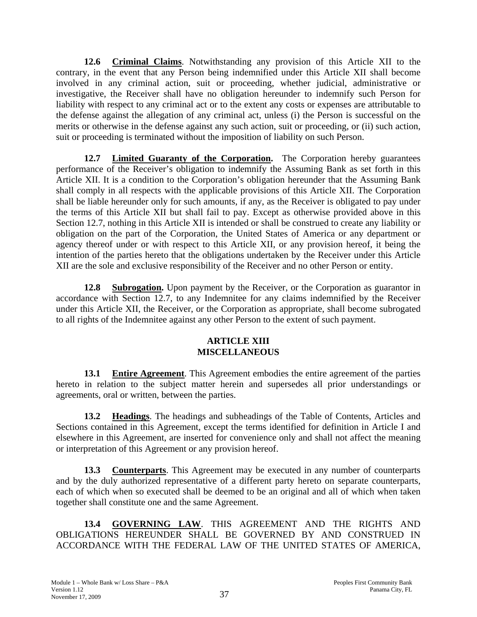**12.6 Criminal Claims**. Notwithstanding any provision of this Article XII to the contrary, in the event that any Person being indemnified under this Article XII shall become involved in any criminal action, suit or proceeding, whether judicial, administrative or investigative, the Receiver shall have no obligation hereunder to indemnify such Person for liability with respect to any criminal act or to the extent any costs or expenses are attributable to the defense against the allegation of any criminal act, unless (i) the Person is successful on the merits or otherwise in the defense against any such action, suit or proceeding, or (ii) such action, suit or proceeding is terminated without the imposition of liability on such Person.

**12.7 Limited Guaranty of the Corporation.** The Corporation hereby guarantees performance of the Receiver's obligation to indemnify the Assuming Bank as set forth in this Article XII. It is a condition to the Corporation's obligation hereunder that the Assuming Bank shall comply in all respects with the applicable provisions of this Article XII. The Corporation shall be liable hereunder only for such amounts, if any, as the Receiver is obligated to pay under the terms of this Article XII but shall fail to pay. Except as otherwise provided above in this Section 12.7, nothing in this Article XII is intended or shall be construed to create any liability or obligation on the part of the Corporation, the United States of America or any department or agency thereof under or with respect to this Article XII, or any provision hereof, it being the intention of the parties hereto that the obligations undertaken by the Receiver under this Article XII are the sole and exclusive responsibility of the Receiver and no other Person or entity.

**12.8 Subrogation.** Upon payment by the Receiver, or the Corporation as guarantor in accordance with Section 12.7, to any Indemnitee for any claims indemnified by the Receiver under this Article XII, the Receiver, or the Corporation as appropriate, shall become subrogated to all rights of the Indemnitee against any other Person to the extent of such payment.

# **ARTICLE XIII MISCELLANEOUS**

**13.1 Entire Agreement**. This Agreement embodies the entire agreement of the parties hereto in relation to the subject matter herein and supersedes all prior understandings or agreements, oral or written, between the parties.

**13.2 Headings**. The headings and subheadings of the Table of Contents, Articles and Sections contained in this Agreement, except the terms identified for definition in Article I and elsewhere in this Agreement, are inserted for convenience only and shall not affect the meaning or interpretation of this Agreement or any provision hereof.

**13.3 Counterparts**. This Agreement may be executed in any number of counterparts and by the duly authorized representative of a different party hereto on separate counterparts, each of which when so executed shall be deemed to be an original and all of which when taken together shall constitute one and the same Agreement.

**13.4 GOVERNING LAW**. THIS AGREEMENT AND THE RIGHTS AND OBLIGATIONS HEREUNDER SHALL BE GOVERNED BY AND CONSTRUED IN ACCORDANCE WITH THE FEDERAL LAW OF THE UNITED STATES OF AMERICA,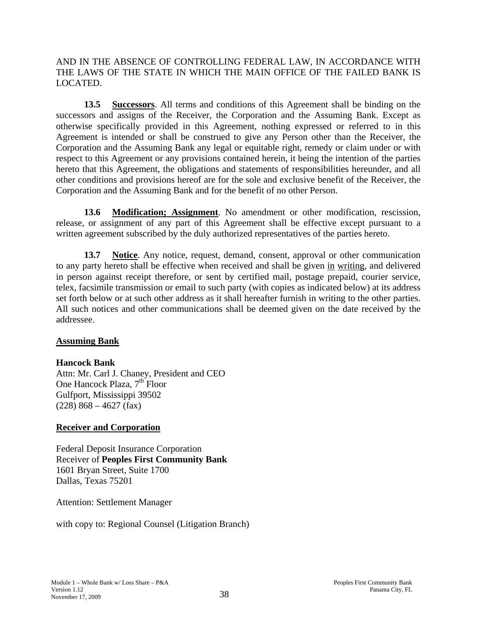AND IN THE ABSENCE OF CONTROLLING FEDERAL LAW, IN ACCORDANCE WITH THE LAWS OF THE STATE IN WHICH THE MAIN OFFICE OF THE FAILED BANK IS LOCATED.

 **13.5 Successors**. All terms and conditions of this Agreement shall be binding on the successors and assigns of the Receiver, the Corporation and the Assuming Bank. Except as otherwise specifically provided in this Agreement, nothing expressed or referred to in this Agreement is intended or shall be construed to give any Person other than the Receiver, the Corporation and the Assuming Bank any legal or equitable right, remedy or claim under or with respect to this Agreement or any provisions contained herein, it being the intention of the parties hereto that this Agreement, the obligations and statements of responsibilities hereunder, and all other conditions and provisions hereof are for the sole and exclusive benefit of the Receiver, the Corporation and the Assuming Bank and for the benefit of no other Person.

**13.6 Modification; Assignment**. No amendment or other modification, rescission, release, or assignment of any part of this Agreement shall be effective except pursuant to a written agreement subscribed by the duly authorized representatives of the parties hereto.

**13.7** Notice. Any notice, request, demand, consent, approval or other communication to any party hereto shall be effective when received and shall be given in writing, and delivered in person against receipt therefore, or sent by certified mail, postage prepaid, courier service, telex, facsimile transmission or email to such party (with copies as indicated below) at its address set forth below or at such other address as it shall hereafter furnish in writing to the other parties. All such notices and other communications shall be deemed given on the date received by the addressee.

# **Assuming Bank**

# **Hancock Bank**

Attn: Mr. Carl J. Chaney, President and CEO One Hancock Plaza, 7<sup>th</sup> Floor Gulfport, Mississippi 39502  $(228)$  868 – 4627 (fax)

# **Receiver and Corporation**

Federal Deposit Insurance Corporation Receiver of **Peoples First Community Bank**  1601 Bryan Street, Suite 1700 Dallas, Texas 75201

Attention: Settlement Manager

with copy to: Regional Counsel (Litigation Branch)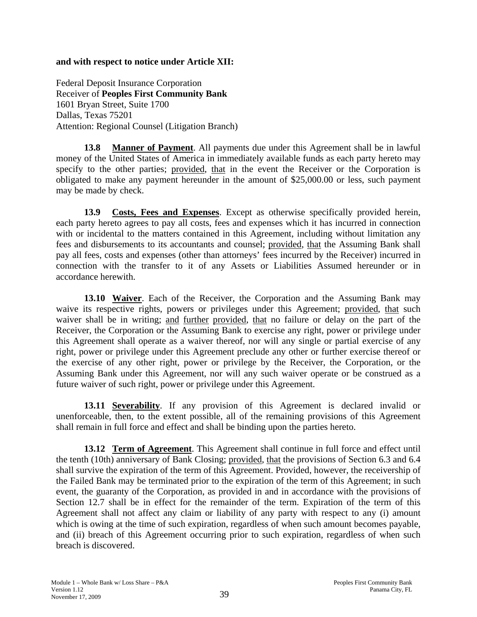### **and with respect to notice under Article XII:**

Federal Deposit Insurance Corporation Receiver of **Peoples First Community Bank**  1601 Bryan Street, Suite 1700 Dallas, Texas 75201 Attention: Regional Counsel (Litigation Branch)

 **13.8 Manner of Payment**. All payments due under this Agreement shall be in lawful money of the United States of America in immediately available funds as each party hereto may specify to the other parties; provided, that in the event the Receiver or the Corporation is obligated to make any payment hereunder in the amount of \$25,000.00 or less, such payment may be made by check.

**13.9 Costs, Fees and Expenses**. Except as otherwise specifically provided herein, each party hereto agrees to pay all costs, fees and expenses which it has incurred in connection with or incidental to the matters contained in this Agreement, including without limitation any fees and disbursements to its accountants and counsel; provided, that the Assuming Bank shall pay all fees, costs and expenses (other than attorneys' fees incurred by the Receiver) incurred in connection with the transfer to it of any Assets or Liabilities Assumed hereunder or in accordance herewith.

**13.10 Waiver**. Each of the Receiver, the Corporation and the Assuming Bank may waive its respective rights, powers or privileges under this Agreement; provided, that such waiver shall be in writing; and further provided, that no failure or delay on the part of the Receiver, the Corporation or the Assuming Bank to exercise any right, power or privilege under this Agreement shall operate as a waiver thereof, nor will any single or partial exercise of any right, power or privilege under this Agreement preclude any other or further exercise thereof or the exercise of any other right, power or privilege by the Receiver, the Corporation, or the Assuming Bank under this Agreement, nor will any such waiver operate or be construed as a future waiver of such right, power or privilege under this Agreement.

**13.11 Severability**. If any provision of this Agreement is declared invalid or unenforceable, then, to the extent possible, all of the remaining provisions of this Agreement shall remain in full force and effect and shall be binding upon the parties hereto.

**13.12 Term of Agreement**. This Agreement shall continue in full force and effect until the tenth (10th) anniversary of Bank Closing; provided, that the provisions of Section 6.3 and 6.4 shall survive the expiration of the term of this Agreement. Provided, however, the receivership of the Failed Bank may be terminated prior to the expiration of the term of this Agreement; in such event, the guaranty of the Corporation, as provided in and in accordance with the provisions of Section 12.7 shall be in effect for the remainder of the term. Expiration of the term of this Agreement shall not affect any claim or liability of any party with respect to any (i) amount which is owing at the time of such expiration, regardless of when such amount becomes payable, and (ii) breach of this Agreement occurring prior to such expiration, regardless of when such breach is discovered.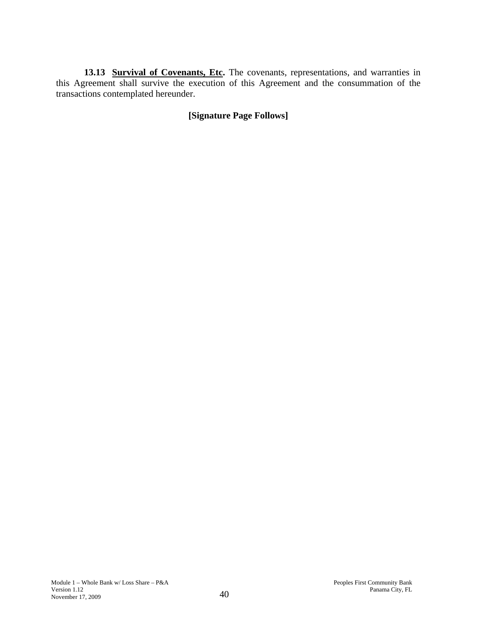13.13 **Survival of Covenants, Etc.** The covenants, representations, and warranties in this Agreement shall survive the execution of this Agreement and the consummation of the transactions contemplated hereunder.

# **[Signature Page Follows]**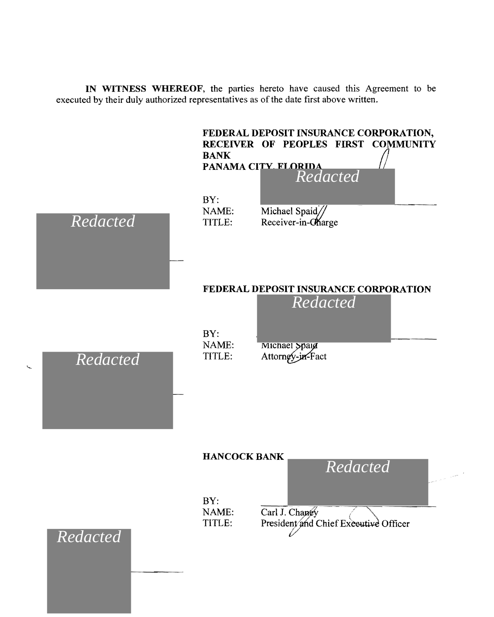**IN WITNESS WHEREOF,** the parties hereto have caused this Agreement to be executed by their duly authorized representatives as of the date first above written.

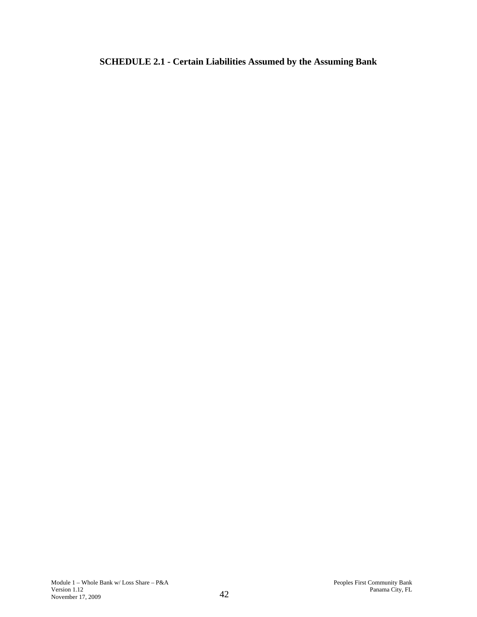**SCHEDULE 2.1 - Certain Liabilities Assumed by the Assuming Bank**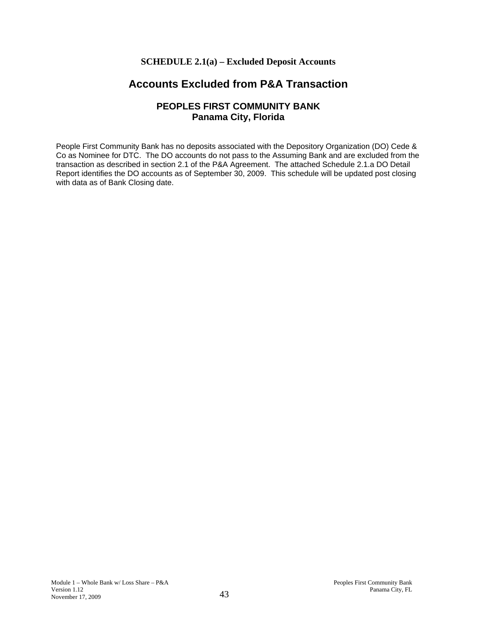### **SCHEDULE 2.1(a) – Excluded Deposit Accounts**

# **Accounts Excluded from P&A Transaction**

# **PEOPLES FIRST COMMUNITY BANK Panama City, Florida**

People First Community Bank has no deposits associated with the Depository Organization (DO) Cede & Co as Nominee for DTC. The DO accounts do not pass to the Assuming Bank and are excluded from the transaction as described in section 2.1 of the P&A Agreement. The attached Schedule 2.1.a DO Detail Report identifies the DO accounts as of September 30, 2009. This schedule will be updated post closing with data as of Bank Closing date.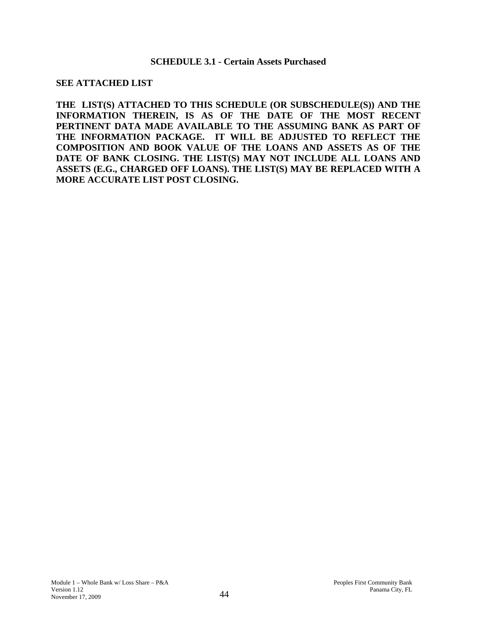### **SEE ATTACHED LIST**

THE LIST(S) ATTACHED TO THIS SCHEDULE (OR SUBSCHEDULE(S)) AND THE **INFORMATION THEREIN, IS AS OF THE DATE OF THE MOST RECENT PERTINENT DATA MADE AVAILABLE TO THE ASSUMING BANK AS PART OF THE INFORMATION PACKAGE. IT WILL BE ADJUSTED TO REFLECT THE COMPOSITION AND BOOK VALUE OF THE LOANS AND ASSETS AS OF THE DATE OF BANK CLOSING. THE LIST(S) MAY NOT INCLUDE ALL LOANS AND ASSETS (E.G., CHARGED OFF LOANS). THE LIST(S) MAY BE REPLACED WITH A MORE ACCURATE LIST POST CLOSING.**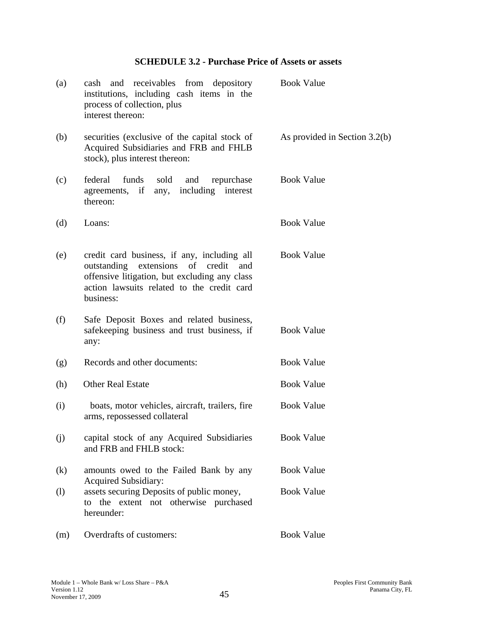# **SCHEDULE 3.2 - Purchase Price of Assets or assets**

| (a) | cash and receivables from depository<br>institutions, including cash items in the<br>process of collection, plus<br>interest thereon:                                                              | <b>Book Value</b>               |
|-----|----------------------------------------------------------------------------------------------------------------------------------------------------------------------------------------------------|---------------------------------|
| (b) | securities (exclusive of the capital stock of<br>Acquired Subsidiaries and FRB and FHLB<br>stock), plus interest thereon:                                                                          | As provided in Section $3.2(b)$ |
| (c) | federal<br>funds<br>sold<br>and<br>repurchase<br>if<br>agreements,<br>including interest<br>any,<br>thereon:                                                                                       | <b>Book Value</b>               |
| (d) | Loans:                                                                                                                                                                                             | <b>Book Value</b>               |
| (e) | credit card business, if any, including all<br>outstanding extensions<br>of credit and<br>offensive litigation, but excluding any class<br>action lawsuits related to the credit card<br>business: | <b>Book Value</b>               |
| (f) | Safe Deposit Boxes and related business,<br>safekeeping business and trust business, if<br>any:                                                                                                    | <b>Book Value</b>               |
| (g) | Records and other documents:                                                                                                                                                                       | <b>Book Value</b>               |
| (h) | <b>Other Real Estate</b>                                                                                                                                                                           | <b>Book Value</b>               |
| (i) | boats, motor vehicles, aircraft, trailers, fire<br>arms, repossessed collateral                                                                                                                    | <b>Book Value</b>               |
| (j) | capital stock of any Acquired Subsidiaries<br>and FRB and FHLB stock:                                                                                                                              | <b>Book Value</b>               |
| (k) | amounts owed to the Failed Bank by any                                                                                                                                                             | <b>Book Value</b>               |
| (1) | <b>Acquired Subsidiary:</b><br>assets securing Deposits of public money,<br>to the extent not otherwise purchased<br>hereunder:                                                                    | <b>Book Value</b>               |
| (m) | Overdrafts of customers:                                                                                                                                                                           | <b>Book Value</b>               |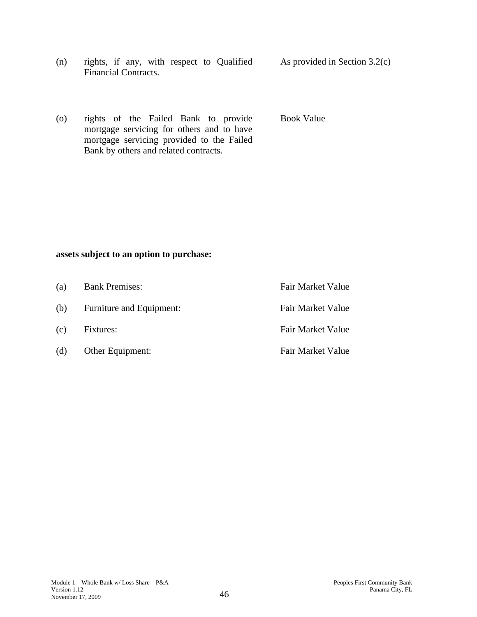(n) rights, if any, with respect to Qualified As provided in Section 3.2(c) Financial Contracts.

(o) rights of the Failed Bank to provide Book Value mortgage servicing for others and to have mortgage servicing provided to the Failed Bank by others and related contracts.

# **assets subject to an option to purchase:**

| (a) | <b>Bank Premises:</b>    | Fair Market Value |
|-----|--------------------------|-------------------|
| (b) | Furniture and Equipment: | Fair Market Value |
| (c) | Fixtures:                | Fair Market Value |
| (d) | Other Equipment:         | Fair Market Value |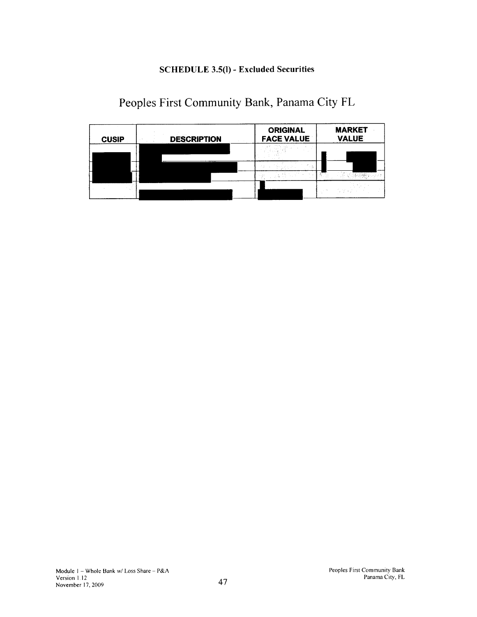# SCHEDULE 3.5(1) - Excluded Securities

# Peoples First Community Bank, Panama City FL

| <b>CUSIP</b> | 110000<br><b>DESCRIPTION</b> | <b>ORIGINAL</b><br><b>FACE VALUE</b> | <b>MARKET</b><br><b>VALUE</b> |
|--------------|------------------------------|--------------------------------------|-------------------------------|
|              |                              |                                      |                               |
|              |                              |                                      |                               |
|              |                              | A.L.                                 | Le Sigen                      |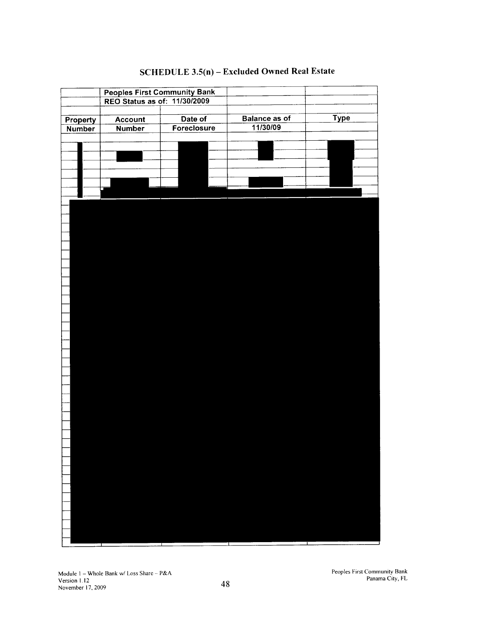# SCHEDULE 3.5(n) - Excluded Owned Real Estate

|                 | Peoples First Community Bank<br>REO Status as of: 11/30/2009 |             |                      |             |
|-----------------|--------------------------------------------------------------|-------------|----------------------|-------------|
|                 |                                                              |             |                      |             |
| <b>Property</b> | <b>Account</b>                                               | Date of     | <b>Balance as of</b> | <b>Type</b> |
| <b>Number</b>   | <b>Number</b>                                                | Foreclosure | 11/30/09             |             |
|                 |                                                              |             |                      |             |
|                 |                                                              |             |                      |             |
|                 |                                                              |             |                      |             |
|                 |                                                              |             |                      |             |
|                 |                                                              |             |                      |             |
|                 |                                                              |             |                      |             |
|                 |                                                              |             |                      |             |
|                 |                                                              |             |                      |             |
|                 |                                                              |             |                      |             |
|                 |                                                              |             |                      |             |
|                 |                                                              |             |                      |             |
|                 |                                                              |             |                      |             |
|                 |                                                              |             |                      |             |
|                 |                                                              |             |                      |             |
|                 |                                                              |             |                      |             |
|                 |                                                              |             |                      |             |
|                 |                                                              |             |                      |             |
|                 |                                                              |             |                      |             |
|                 |                                                              |             |                      |             |
|                 |                                                              |             |                      |             |
|                 |                                                              |             |                      |             |
|                 |                                                              |             |                      |             |
|                 |                                                              |             |                      |             |
|                 |                                                              |             |                      |             |
|                 |                                                              |             |                      |             |
|                 |                                                              |             |                      |             |
|                 |                                                              |             |                      |             |
|                 |                                                              |             |                      |             |
|                 |                                                              |             |                      |             |
|                 |                                                              |             |                      |             |
|                 |                                                              |             |                      |             |
|                 |                                                              |             |                      |             |
|                 |                                                              |             |                      |             |
|                 |                                                              |             |                      |             |
|                 |                                                              |             |                      |             |
|                 |                                                              |             |                      |             |
|                 |                                                              |             |                      |             |
|                 |                                                              |             |                      |             |
|                 |                                                              |             |                      |             |
|                 |                                                              |             |                      |             |
|                 |                                                              |             |                      |             |
|                 |                                                              |             |                      |             |
|                 |                                                              |             |                      |             |
|                 |                                                              |             |                      |             |
|                 |                                                              |             |                      |             |
|                 |                                                              |             |                      |             |

Module i - Whole Bank wi Loss Share - P&A Peoples First Community Bank Panama City, FL Version i 12 48 November i 7, 2009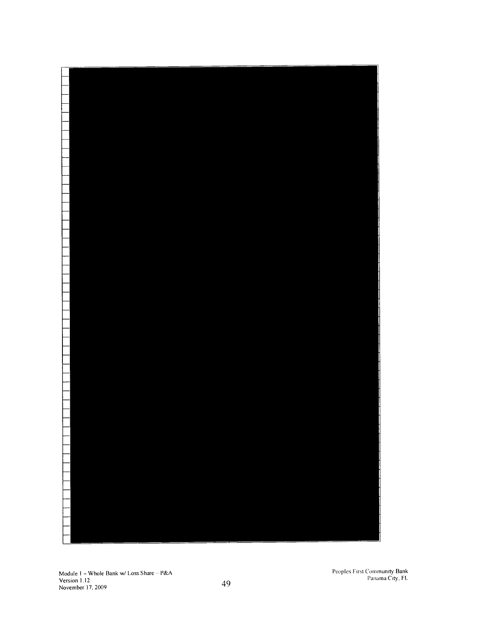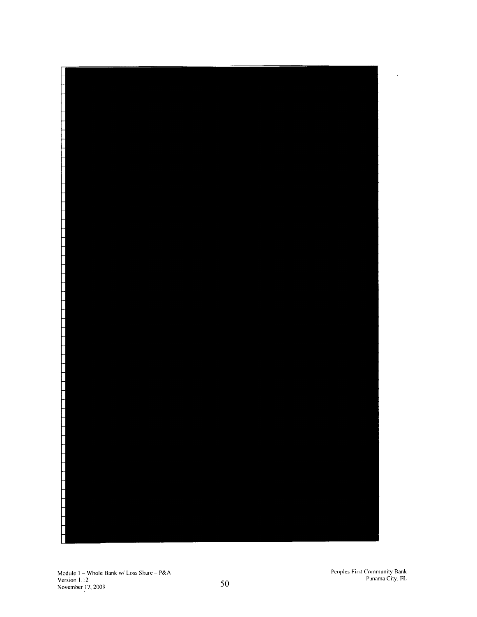

Module 1 – Whole Bank w/ Loss Share – P&A Peoples First Community Bank [Versi](#page-5-0)on I 12 Panama City, FL November 17, 2009  $\overline{O}$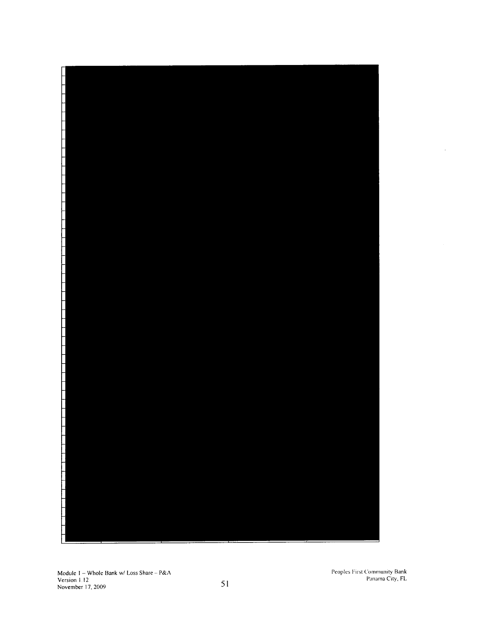

Module 1 – Whole Bank w/ Loss Share – P&A Peoples First Community Bank [Versi](#page-5-0)on I 12 Panama City, FL Version 1.12<br>November 17, 2009 51

 $\bar{z}$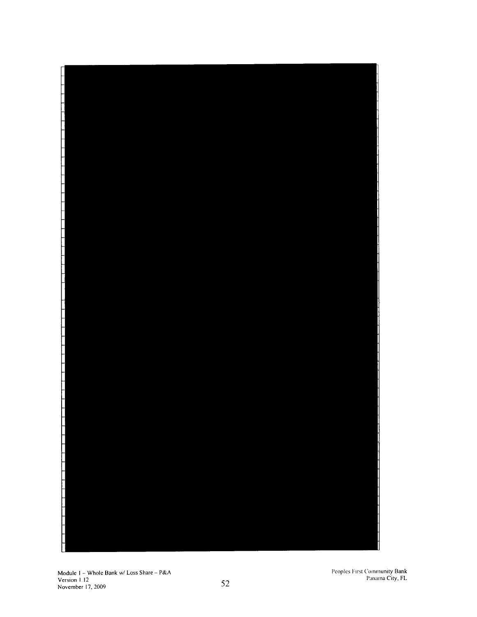

Module 1 - Whole Bank w/ Loss Share – P&A [Versio](#page-5-0)n 1.12<br>November 17, 2009 Version 1.12<br>November 17, 2009 52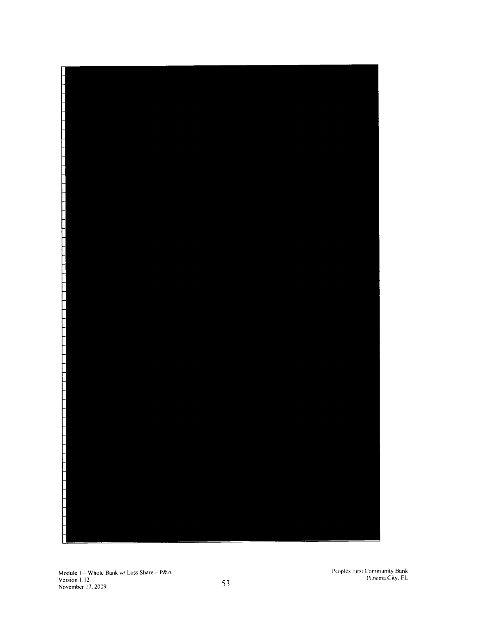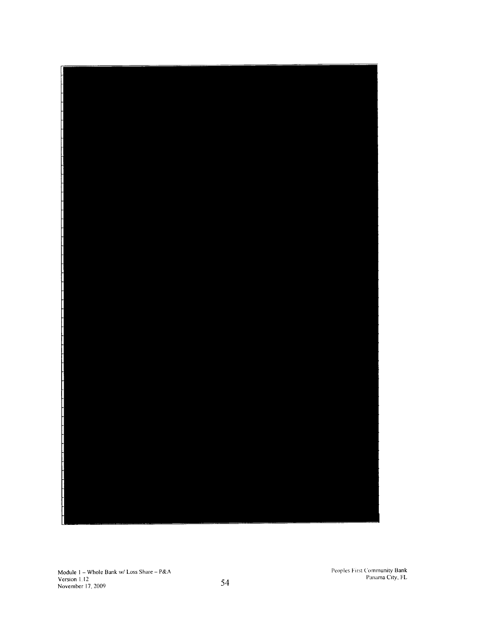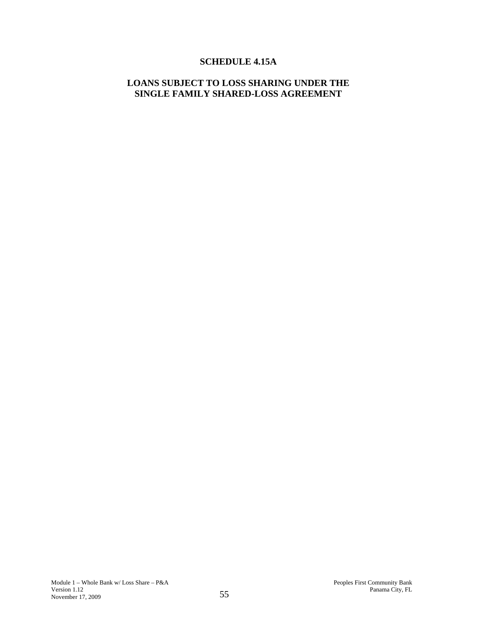# **SCHEDULE 4.15A**

# **LOANS SUBJECT TO LOSS SHARING UNDER THE SINGLE FAMILY SHARED-LOSS AGREEMENT**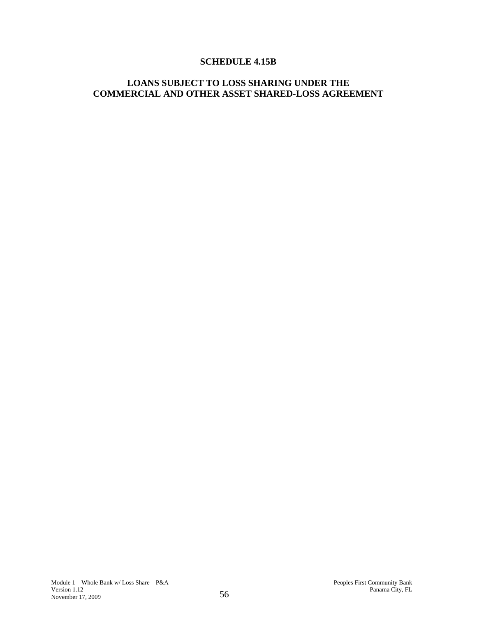### **SCHEDULE 4.15B**

### **LOANS SUBJECT TO LOSS SHARING UNDER THE COMMERCIAL AND OTHER ASSET SHARED-LOSS AGREEMENT**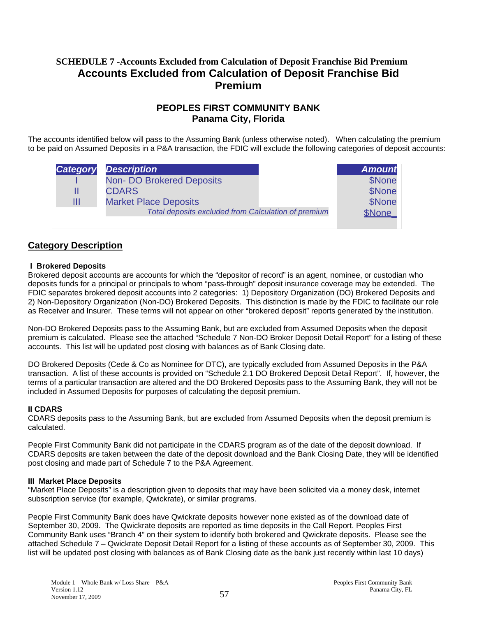# **Premium SCHEDULE 7 -Accounts Excluded from Calculation of Deposit Franchise Bid Premium Accounts Excluded from Calculation of Deposit Franchise Bid**

# **PEOPLES FIRST COMMUNITY BANK Panama City, Florida**

The accounts identified below will pass to the Assuming Bank (unless otherwise noted). When calculating the premium to be paid on Assumed Deposits in a P&A transaction, the FDIC will exclude the following categories of deposit accounts:

| <b>Category</b> | <b>Description</b>                                  | <b>Amount</b> |
|-----------------|-----------------------------------------------------|---------------|
|                 | <b>Non-DO Brokered Deposits</b>                     | \$None        |
|                 | <b>CDARS</b>                                        | \$None        |
| Ш               | <b>Market Place Deposits</b>                        | \$None        |
|                 | Total deposits excluded from Calculation of premium | <b>\$None</b> |
|                 |                                                     |               |

# **Category Description**

#### **I Brokered Deposits**

Brokered deposit accounts are accounts for which the "depositor of record" is an agent, nominee, or custodian who deposits funds for a principal or principals to whom "pass-through" deposit insurance coverage may be extended. The FDIC separates brokered deposit accounts into 2 categories: 1) Depository Organization (DO) Brokered Deposits and 2) Non-Depository Organization (Non-DO) Brokered Deposits. This distinction is made by the FDIC to facilitate our role as Receiver and Insurer. These terms will not appear on other "brokered deposit" reports generated by the institution.

Non-DO Brokered Deposits pass to the Assuming Bank, but are excluded from Assumed Deposits when the deposit premium is calculated. Please see the attached "Schedule 7 Non-DO Broker Deposit Detail Report" for a listing of these accounts. This list will be updated post closing with balances as of Bank Closing date.

DO Brokered Deposits (Cede & Co as Nominee for DTC), are typically excluded from Assumed Deposits in the P&A transaction. A list of these accounts is provided on "Schedule 2.1 DO Brokered Deposit Detail Report". If, however, the terms of a particular transaction are altered and the DO Brokered Deposits pass to the Assuming Bank, they will not be included in Assumed Deposits for purposes of calculating the deposit premium.

#### **II CDARS**

CDARS deposits pass to the Assuming Bank, but are excluded from Assumed Deposits when the deposit premium is calculated.

People First Community Bank did not participate in the CDARS program as of the date of the deposit download. If CDARS deposits are taken between the date of the deposit download and the Bank Closing Date, they will be identified post closing and made part of Schedule 7 to the P&A Agreement.

#### **III Market Place Deposits**

"Market Place Deposits" is a description given to deposits that may have been solicited via a money desk, internet subscription service (for example, Qwickrate), or similar programs.

People First Community Bank does have Qwickrate deposits however none existed as of the download date of September 30, 2009. The Qwickrate deposits are reported as time deposits in the Call Report. Peoples First Community Bank uses "Branch 4" on their system to identify both brokered and Qwickrate deposits. Please see the attached Schedule 7 – Qwickrate Deposit Detail Report for a listing of these accounts as of September 30, 2009. This list will be updated post closing with balances as of Bank Closing date as the bank just recently within last 10 days)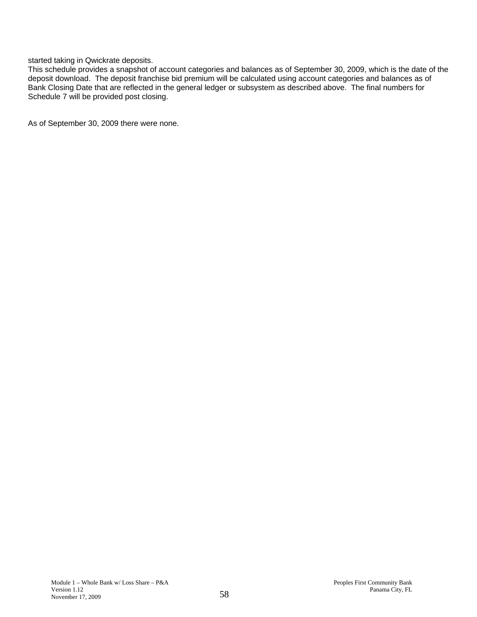started taking in Qwickrate deposits.

This schedule provides a snapshot of account categories and balances as of September 30, 2009, which is the date of the deposit download. The deposit franchise bid premium will be calculated using account categories and balances as of Bank Closing Date that are reflected in the general ledger or subsystem as described above. The final numbers for Schedule 7 will be provided post closing.

As of September 30, 2009 there were none.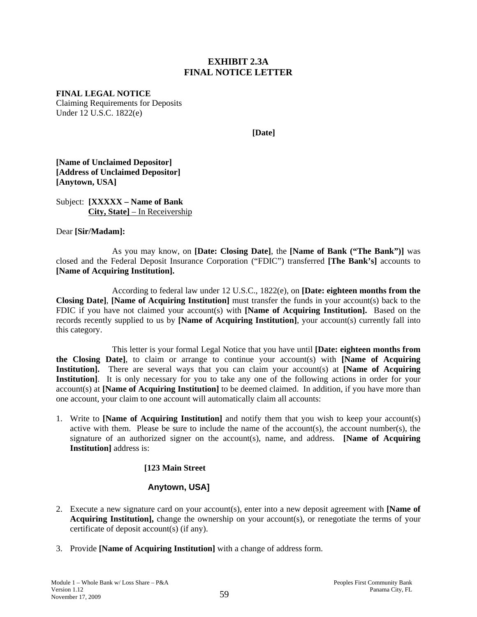### **EXHIBIT 2.3A FINAL NOTICE LETTER**

#### **FINAL LEGAL NOTICE**

Claiming Requirements for Deposits Under 12 U.S.C. 1822(e)

**[Date]** 

**[Name of Unclaimed Depositor] [Address of Unclaimed Depositor] [Anytown, USA]** 

Subject: **[XXXXX – Name of Bank City, State]** – In Receivership

Dear **[Sir/Madam]:** 

As you may know, on **[Date: Closing Date]**, the **[Name of Bank ("The Bank")]** was closed and the Federal Deposit Insurance Corporation ("FDIC") transferred **[The Bank's]** accounts to **[Name of Acquiring Institution].** 

According to federal law under 12 U.S.C., 1822(e), on **[Date: eighteen months from the Closing Date]**, **[Name of Acquiring Institution]** must transfer the funds in your account(s) back to the FDIC if you have not claimed your account(s) with **[Name of Acquiring Institution].** Based on the records recently supplied to us by **[Name of Acquiring Institution]**, your account(s) currently fall into this category.

This letter is your formal Legal Notice that you have until **[Date: eighteen months from the Closing Date]**, to claim or arrange to continue your account(s) with **[Name of Acquiring Institution].** There are several ways that you can claim your account(s) at **[Name of Acquiring Institution]**. It is only necessary for you to take any one of the following actions in order for your account(s) at **[Name of Acquiring Institution]** to be deemed claimed. In addition, if you have more than one account, your claim to one account will automatically claim all accounts:

 signature of an authorized signer on the account(s), name, and address. **[Name of Acquiring**  1. Write to **[Name of Acquiring Institution]** and notify them that you wish to keep your account(s) active with them. Please be sure to include the name of the account(s), the account number(s), the **Institution]** address is:

### **[123 Main Street**

# **Anytown, USA]**

- 2. Execute a new signature card on your account(s), enter into a new deposit agreement with **[Name of Acquiring Institution],** change the ownership on your account(s), or renegotiate the terms of your certificate of deposit account(s) (if any).
- 3. Provide **[Name of Acquiring Institution]** with a change of address form.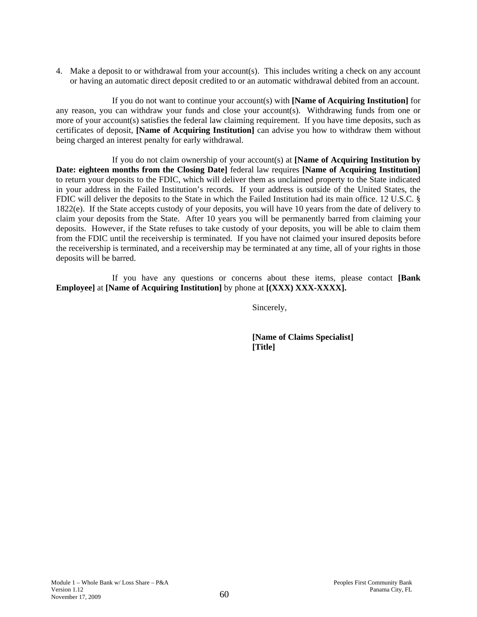4. Make a deposit to or withdrawal from your account(s). This includes writing a check on any account or having an automatic direct deposit credited to or an automatic withdrawal debited from an account.

If you do not want to continue your account(s) with **[Name of Acquiring Institution]** for any reason, you can withdraw your funds and close your account(s). Withdrawing funds from one or more of your account(s) satisfies the federal law claiming requirement. If you have time deposits, such as certificates of deposit, **[Name of Acquiring Institution]** can advise you how to withdraw them without being charged an interest penalty for early withdrawal.

If you do not claim ownership of your account(s) at **[Name of Acquiring Institution by Date: eighteen months from the Closing Date]** federal law requires **[Name of Acquiring Institution]**  to return your deposits to the FDIC, which will deliver them as unclaimed property to the State indicated in your address in the Failed Institution's records. If your address is outside of the United States, the FDIC will deliver the deposits to the State in which the Failed Institution had its main office. 12 U.S.C. § 1822(e). If the State accepts custody of your deposits, you will have 10 years from the date of delivery to claim your deposits from the State. After 10 years you will be permanently barred from claiming your deposits. However, if the State refuses to take custody of your deposits, you will be able to claim them from the FDIC until the receivership is terminated. If you have not claimed your insured deposits before the receivership is terminated, and a receivership may be terminated at any time, all of your rights in those deposits will be barred.

If you have any questions or concerns about these items, please contact **[Bank Employee]** at **[Name of Acquiring Institution]** by phone at **[(XXX) XXX-XXXX].** 

Sincerely,

**[Name of Claims Specialist] [Title]**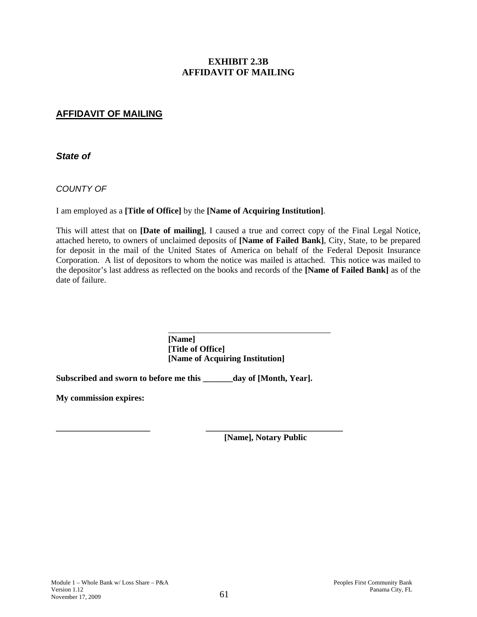# **EXHIBIT 2.3B AFFIDAVIT OF MAILING**

# **AFFIDAVIT OF MAILING**

*State of* 

*COUNTY OF* 

I am employed as a **[Title of Office]** by the **[Name of Acquiring Institution]**.

This will attest that on **[Date of mailing]**, I caused a true and correct copy of the Final Legal Notice, attached hereto, to owners of unclaimed deposits of **[Name of Failed Bank]**, City, State, to be prepared for deposit in the mail of the United States of America on behalf of the Federal Deposit Insurance Corporation. A list of depositors to whom the notice was mailed is attached. This notice was mailed to the depositor's last address as reflected on the books and records of the **[Name of Failed Bank]** as of the date of failure.

 $\overline{\phantom{a}}$  , and the contract of the contract of the contract of the contract of the contract of the contract of the contract of the contract of the contract of the contract of the contract of the contract of the contrac **[Name] [Title of Office] [Name of Acquiring Institution]** 

**Subscribed and sworn to before me this \_\_\_\_\_\_\_day of [Month, Year].** 

**\_\_\_\_\_\_\_\_\_\_\_\_\_\_\_\_\_\_\_\_\_\_ \_\_\_\_\_\_\_\_\_\_\_\_\_\_\_\_\_\_\_\_\_\_\_\_\_\_\_\_\_\_\_\_** 

**My commission expires:** 

 **[Name], Notary Public**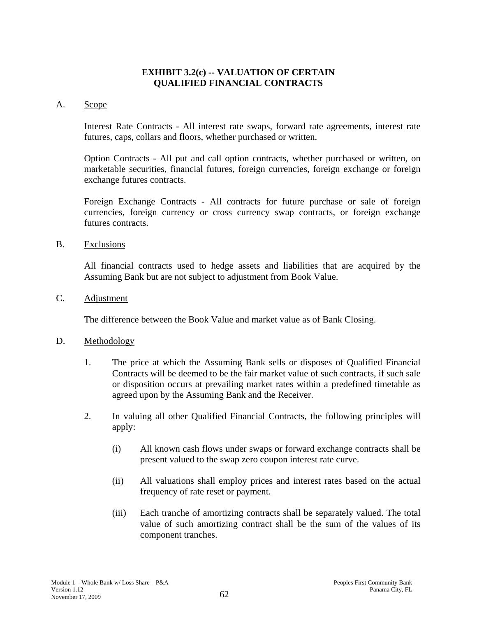# **EXHIBIT 3.2(c) -- VALUATION OF CERTAIN QUALIFIED FINANCIAL CONTRACTS**

### A. Scope

Interest Rate Contracts - All interest rate swaps, forward rate agreements, interest rate futures, caps, collars and floors, whether purchased or written.

Option Contracts - All put and call option contracts, whether purchased or written, on marketable securities, financial futures, foreign currencies, foreign exchange or foreign exchange futures contracts.

Foreign Exchange Contracts - All contracts for future purchase or sale of foreign currencies, foreign currency or cross currency swap contracts, or foreign exchange futures contracts.

#### B. Exclusions

All financial contracts used to hedge assets and liabilities that are acquired by the Assuming Bank but are not subject to adjustment from Book Value.

#### C. Adjustment

The difference between the Book Value and market value as of Bank Closing.

### D. Methodology

- 1. The price at which the Assuming Bank sells or disposes of Qualified Financial Contracts will be deemed to be the fair market value of such contracts, if such sale or disposition occurs at prevailing market rates within a predefined timetable as agreed upon by the Assuming Bank and the Receiver.
- 2. In valuing all other Qualified Financial Contracts, the following principles will apply:
	- (i) All known cash flows under swaps or forward exchange contracts shall be present valued to the swap zero coupon interest rate curve.
	- (ii) All valuations shall employ prices and interest rates based on the actual frequency of rate reset or payment.
	- (iii) Each tranche of amortizing contracts shall be separately valued. The total value of such amortizing contract shall be the sum of the values of its component tranches.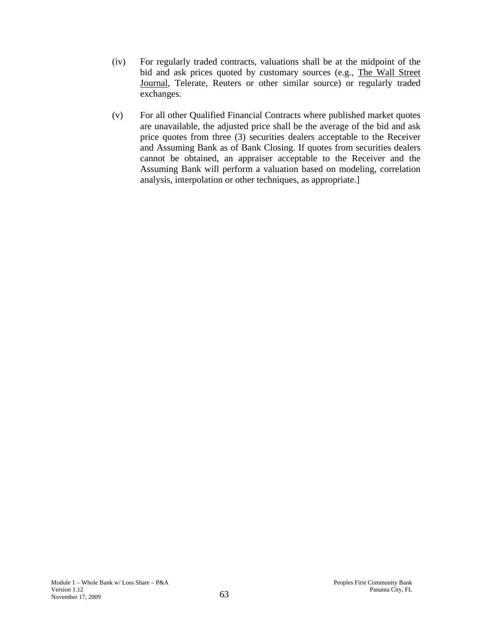- (iv) For regularly traded contracts, valuations shall be at the midpoint of the bid and ask prices quoted by customary sources (e.g., The Wall Street Journal, Telerate, Reuters or other similar source) or regularly traded exchanges.
- (v) For all other Qualified Financial Contracts where published market quotes are unavailable, the adjusted price shall be the average of the bid and ask price quotes from three (3) securities dealers acceptable to the Receiver and Assuming Bank as of Bank Closing. If quotes from securities dealers cannot be obtained, an appraiser acceptable to the Receiver and the Assuming Bank will perform a valuation based on modeling, correlation analysis, interpolation or other techniques, as appropriate.]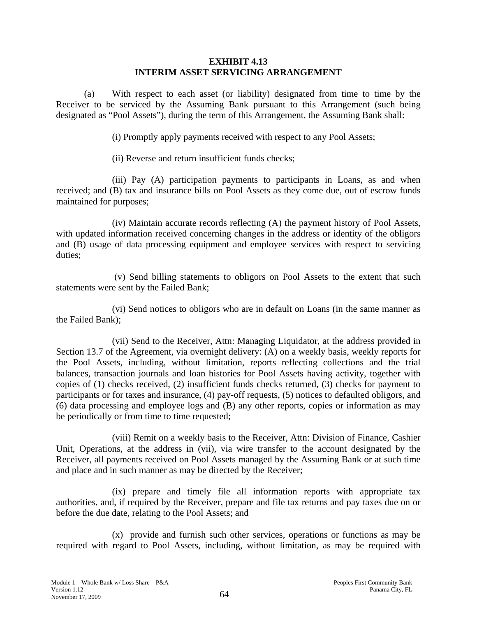### **EXHIBIT 4.13 INTERIM ASSET SERVICING ARRANGEMENT**

(a) With respect to each asset (or liability) designated from time to time by the Receiver to be serviced by the Assuming Bank pursuant to this Arrangement (such being designated as "Pool Assets"), during the term of this Arrangement, the Assuming Bank shall:

(i) Promptly apply payments received with respect to any Pool Assets;

(ii) Reverse and return insufficient funds checks;

(iii) Pay (A) participation payments to participants in Loans, as and when received; and (B) tax and insurance bills on Pool Assets as they come due, out of escrow funds maintained for purposes;

(iv) Maintain accurate records reflecting (A) the payment history of Pool Assets, with updated information received concerning changes in the address or identity of the obligors and (B) usage of data processing equipment and employee services with respect to servicing duties;

(v) Send billing statements to obligors on Pool Assets to the extent that such statements were sent by the Failed Bank;

(vi) Send notices to obligors who are in default on Loans (in the same manner as the Failed Bank);

(vii) Send to the Receiver, Attn: Managing Liquidator, at the address provided in Section 13.7 of the Agreement, via overnight delivery: (A) on a weekly basis, weekly reports for the Pool Assets, including, without limitation, reports reflecting collections and the trial balances, transaction journals and loan histories for Pool Assets having activity, together with copies of (1) checks received, (2) insufficient funds checks returned, (3) checks for payment to participants or for taxes and insurance, (4) pay-off requests, (5) notices to defaulted obligors, and (6) data processing and employee logs and (B) any other reports, copies or information as may be periodically or from time to time requested;

(viii) Remit on a weekly basis to the Receiver, Attn: Division of Finance, Cashier Unit, Operations, at the address in (vii), via wire transfer to the account designated by the Receiver, all payments received on Pool Assets managed by the Assuming Bank or at such time and place and in such manner as may be directed by the Receiver;

(ix) prepare and timely file all information reports with appropriate tax authorities, and, if required by the Receiver, prepare and file tax returns and pay taxes due on or before the due date, relating to the Pool Assets; and

(x) provide and furnish such other services, operations or functions as may be required with regard to Pool Assets, including, without limitation, as may be required with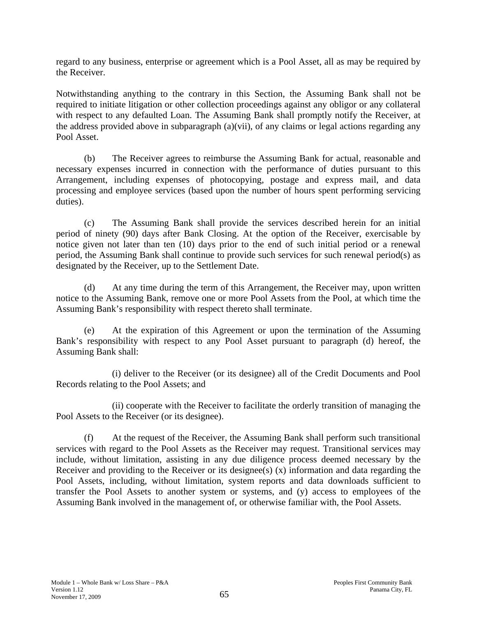regard to any business, enterprise or agreement which is a Pool Asset, all as may be required by the Receiver.

Notwithstanding anything to the contrary in this Section, the Assuming Bank shall not be required to initiate litigation or other collection proceedings against any obligor or any collateral with respect to any defaulted Loan. The Assuming Bank shall promptly notify the Receiver, at the address provided above in subparagraph (a)(vii), of any claims or legal actions regarding any Pool Asset.

(b) The Receiver agrees to reimburse the Assuming Bank for actual, reasonable and necessary expenses incurred in connection with the performance of duties pursuant to this Arrangement, including expenses of photocopying, postage and express mail, and data processing and employee services (based upon the number of hours spent performing servicing duties).

(c) The Assuming Bank shall provide the services described herein for an initial period of ninety (90) days after Bank Closing. At the option of the Receiver, exercisable by notice given not later than ten (10) days prior to the end of such initial period or a renewal period, the Assuming Bank shall continue to provide such services for such renewal period(s) as designated by the Receiver, up to the Settlement Date.

(d) At any time during the term of this Arrangement, the Receiver may, upon written notice to the Assuming Bank, remove one or more Pool Assets from the Pool, at which time the Assuming Bank's responsibility with respect thereto shall terminate.

(e) At the expiration of this Agreement or upon the termination of the Assuming Bank's responsibility with respect to any Pool Asset pursuant to paragraph (d) hereof, the Assuming Bank shall:

(i) deliver to the Receiver (or its designee) all of the Credit Documents and Pool Records relating to the Pool Assets; and

(ii) cooperate with the Receiver to facilitate the orderly transition of managing the Pool Assets to the Receiver (or its designee).

(f) At the request of the Receiver, the Assuming Bank shall perform such transitional services with regard to the Pool Assets as the Receiver may request. Transitional services may include, without limitation, assisting in any due diligence process deemed necessary by the Receiver and providing to the Receiver or its designee(s) (x) information and data regarding the Pool Assets, including, without limitation, system reports and data downloads sufficient to transfer the Pool Assets to another system or systems, and (y) access to employees of the Assuming Bank involved in the management of, or otherwise familiar with, the Pool Assets.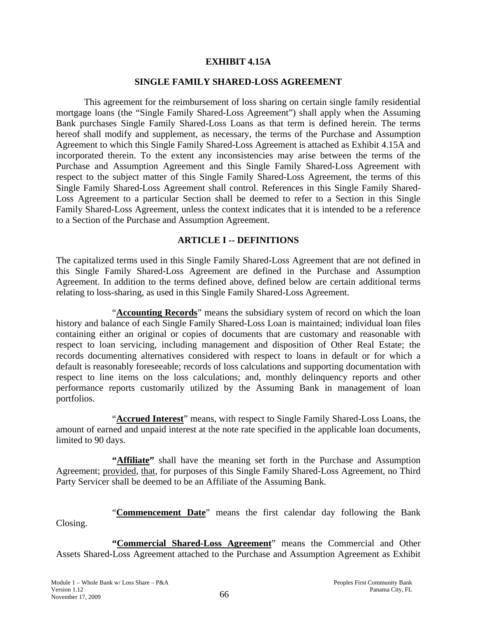### **EXHIBIT 4.15A**

#### **SINGLE FAMILY SHARED-LOSS AGREEMENT**

This agreement for the reimbursement of loss sharing on certain single family residential mortgage loans (the "Single Family Shared-Loss Agreement") shall apply when the Assuming Bank purchases Single Family Shared-Loss Loans as that term is defined herein. The terms hereof shall modify and supplement, as necessary, the terms of the Purchase and Assumption Agreement to which this Single Family Shared-Loss Agreement is attached as Exhibit 4.15A and incorporated therein. To the extent any inconsistencies may arise between the terms of the Purchase and Assumption Agreement and this Single Family Shared-Loss Agreement with respect to the subject matter of this Single Family Shared-Loss Agreement, the terms of this Single Family Shared-Loss Agreement shall control. References in this Single Family Shared-Loss Agreement to a particular Section shall be deemed to refer to a Section in this Single Family Shared-Loss Agreement, unless the context indicates that it is intended to be a reference to a Section of the Purchase and Assumption Agreement.

### **ARTICLE I -- DEFINITIONS**

The capitalized terms used in this Single Family Shared-Loss Agreement that are not defined in this Single Family Shared-Loss Agreement are defined in the Purchase and Assumption Agreement. In addition to the terms defined above, defined below are certain additional terms relating to loss-sharing, as used in this Single Family Shared-Loss Agreement.

"**Accounting Records**" means the subsidiary system of record on which the loan history and balance of each Single Family Shared-Loss Loan is maintained; individual loan files containing either an original or copies of documents that are customary and reasonable with respect to loan servicing, including management and disposition of Other Real Estate; the records documenting alternatives considered with respect to loans in default or for which a default is reasonably foreseeable; records of loss calculations and supporting documentation with respect to line items on the loss calculations; and, monthly delinquency reports and other performance reports customarily utilized by the Assuming Bank in management of loan portfolios.

"**Accrued Interest**" means, with respect to Single Family Shared-Loss Loans, the amount of earned and unpaid interest at the note rate specified in the applicable loan documents, limited to 90 days.

**"Affiliate"** shall have the meaning set forth in the Purchase and Assumption Agreement; provided, that, for purposes of this Single Family Shared-Loss Agreement, no Third Party Servicer shall be deemed to be an Affiliate of the Assuming Bank.

"**Commencement Date**" means the first calendar day following the Bank Closing.

**"Commercial Shared-Loss Agreement**" means the Commercial and Other Assets Shared-Loss Agreement attached to the Purchase and Assumption Agreement as Exhibit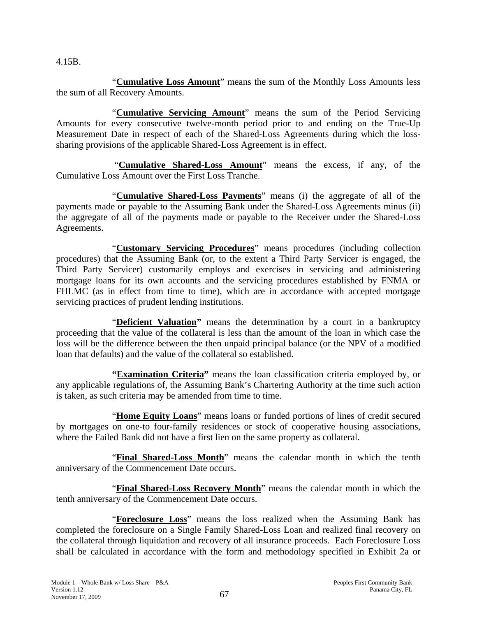4.15B.

"**Cumulative Loss Amount**" means the sum of the Monthly Loss Amounts less the sum of all Recovery Amounts.

"**Cumulative Servicing Amount**" means the sum of the Period Servicing Amounts for every consecutive twelve-month period prior to and ending on the True-Up Measurement Date in respect of each of the Shared-Loss Agreements during which the losssharing provisions of the applicable Shared-Loss Agreement is in effect.

"**Cumulative Shared-Loss Amount**" means the excess, if any, of the Cumulative Loss Amount over the First Loss Tranche.

"**Cumulative Shared-Loss Payments**" means (i) the aggregate of all of the payments made or payable to the Assuming Bank under the Shared-Loss Agreements minus (ii) the aggregate of all of the payments made or payable to the Receiver under the Shared-Loss Agreements.

"**Customary Servicing Procedures**" means procedures (including collection procedures) that the Assuming Bank (or, to the extent a Third Party Servicer is engaged, the Third Party Servicer) customarily employs and exercises in servicing and administering mortgage loans for its own accounts and the servicing procedures established by FNMA or FHLMC (as in effect from time to time), which are in accordance with accepted mortgage servicing practices of prudent lending institutions.

"**Deficient Valuation"** means the determination by a court in a bankruptcy proceeding that the value of the collateral is less than the amount of the loan in which case the loss will be the difference between the then unpaid principal balance (or the NPV of a modified loan that defaults) and the value of the collateral so established.

**"Examination Criteria"** means the loan classification criteria employed by, or any applicable regulations of, the Assuming Bank's Chartering Authority at the time such action is taken, as such criteria may be amended from time to time.

"**Home Equity Loans**" means loans or funded portions of lines of credit secured by mortgages on one-to four-family residences or stock of cooperative housing associations, where the Failed Bank did not have a first lien on the same property as collateral.

"**Final Shared-Loss Month**" means the calendar month in which the tenth anniversary of the Commencement Date occurs.

"**Final Shared-Loss Recovery Month**" means the calendar month in which the tenth anniversary of the Commencement Date occurs.

"**Foreclosure Loss**" means the loss realized when the Assuming Bank has completed the foreclosure on a Single Family Shared-Loss Loan and realized final recovery on the collateral through liquidation and recovery of all insurance proceeds. Each Foreclosure Loss shall be calculated in accordance with the form and methodology specified in Exhibit 2a or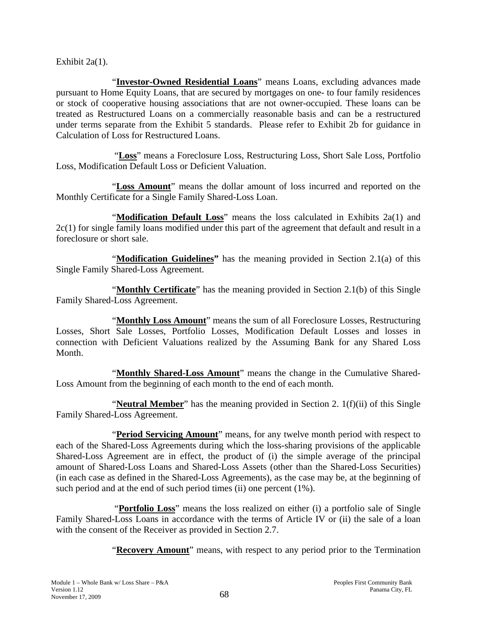Exhibit 2a(1).

"**Investor-Owned Residential Loans**" means Loans, excluding advances made pursuant to Home Equity Loans, that are secured by mortgages on one- to four family residences or stock of cooperative housing associations that are not owner-occupied. These loans can be treated as Restructured Loans on a commercially reasonable basis and can be a restructured under terms separate from the Exhibit 5 standards. Please refer to Exhibit 2b for guidance in Calculation of Loss for Restructured Loans.

"**Loss**" means a Foreclosure Loss, Restructuring Loss, Short Sale Loss, Portfolio Loss, Modification Default Loss or Deficient Valuation.

"**Loss Amount**" means the dollar amount of loss incurred and reported on the Monthly Certificate for a Single Family Shared-Loss Loan.

"**Modification Default Loss**" means the loss calculated in Exhibits 2a(1) and 2c(1) for single family loans modified under this part of the agreement that default and result in a foreclosure or short sale.

"**Modification Guidelines"** has the meaning provided in Section 2.1(a) of this Single Family Shared-Loss Agreement.

"**Monthly Certificate**" has the meaning provided in Section 2.1(b) of this Single Family Shared-Loss Agreement.

"Monthly Loss Amount" means the sum of all Foreclosure Losses, Restructuring Losses, Short Sale Losses, Portfolio Losses, Modification Default Losses and losses in connection with Deficient Valuations realized by the Assuming Bank for any Shared Loss Month.

"**Monthly Shared-Loss Amount**" means the change in the Cumulative Shared-Loss Amount from the beginning of each month to the end of each month.

"**Neutral Member**" has the meaning provided in Section 2. 1(f)(ii) of this Single Family Shared-Loss Agreement.

"**Period Servicing Amount**" means, for any twelve month period with respect to each of the Shared-Loss Agreements during which the loss-sharing provisions of the applicable Shared-Loss Agreement are in effect, the product of (i) the simple average of the principal amount of Shared-Loss Loans and Shared-Loss Assets (other than the Shared-Loss Securities) (in each case as defined in the Shared-Loss Agreements), as the case may be, at the beginning of such period and at the end of such period times (ii) one percent (1%).

"**Portfolio Loss**" means the loss realized on either (i) a portfolio sale of Single Family Shared-Loss Loans in accordance with the terms of Article IV or (ii) the sale of a loan with the consent of the Receiver as provided in Section 2.7.

"**Recovery Amount**" means, with respect to any period prior to the Termination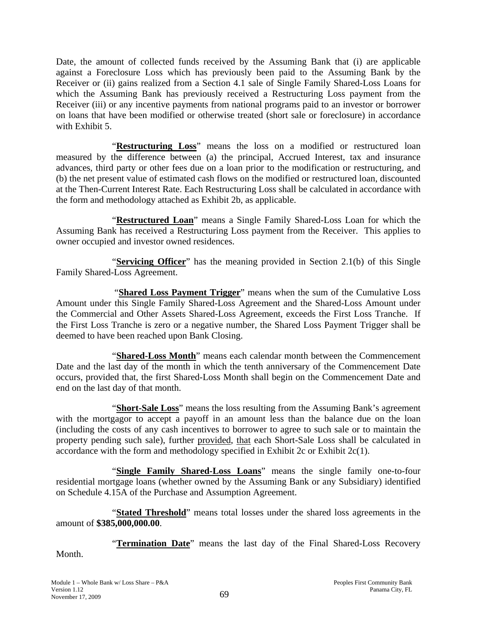Date, the amount of collected funds received by the Assuming Bank that (i) are applicable against a Foreclosure Loss which has previously been paid to the Assuming Bank by the Receiver or (ii) gains realized from a Section 4.1 sale of Single Family Shared-Loss Loans for which the Assuming Bank has previously received a Restructuring Loss payment from the Receiver (iii) or any incentive payments from national programs paid to an investor or borrower on loans that have been modified or otherwise treated (short sale or foreclosure) in accordance with Exhibit 5.

"**Restructuring Loss**" means the loss on a modified or restructured loan measured by the difference between (a) the principal, Accrued Interest, tax and insurance advances, third party or other fees due on a loan prior to the modification or restructuring, and (b) the net present value of estimated cash flows on the modified or restructured loan, discounted at the Then-Current Interest Rate. Each Restructuring Loss shall be calculated in accordance with the form and methodology attached as Exhibit 2b, as applicable.

"**Restructured Loan**" means a Single Family Shared-Loss Loan for which the Assuming Bank has received a Restructuring Loss payment from the Receiver. This applies to owner occupied and investor owned residences.

"**Servicing Officer**" has the meaning provided in Section 2.1(b) of this Single Family Shared-Loss Agreement.

"Shared Loss Payment Trigger" means when the sum of the Cumulative Loss Amount under this Single Family Shared-Loss Agreement and the Shared-Loss Amount under the Commercial and Other Assets Shared-Loss Agreement, exceeds the First Loss Tranche. If the First Loss Tranche is zero or a negative number, the Shared Loss Payment Trigger shall be deemed to have been reached upon Bank Closing.

"**Shared-Loss Month**" means each calendar month between the Commencement Date and the last day of the month in which the tenth anniversary of the Commencement Date occurs, provided that, the first Shared-Loss Month shall begin on the Commencement Date and end on the last day of that month.

"**Short-Sale Loss**" means the loss resulting from the Assuming Bank's agreement with the mortgagor to accept a payoff in an amount less than the balance due on the loan (including the costs of any cash incentives to borrower to agree to such sale or to maintain the property pending such sale), further provided, that each Short-Sale Loss shall be calculated in accordance with the form and methodology specified in Exhibit 2c or Exhibit 2c(1).

"**Single Family Shared-Loss Loans**" means the single family one-to-four residential mortgage loans (whether owned by the Assuming Bank or any Subsidiary) identified on Schedule 4.15A of the Purchase and Assumption Agreement.

"**Stated Threshold**" means total losses under the shared loss agreements in the amount of **\$385,000,000.00**.

"**Termination Date**" means the last day of the Final Shared-Loss Recovery Month.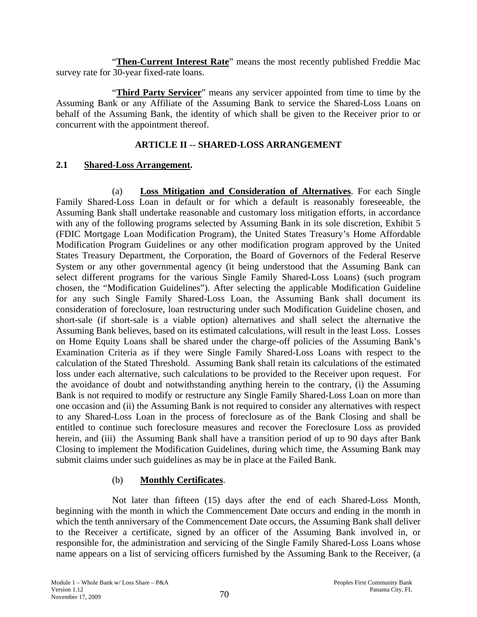"**Then-Current Interest Rate**" means the most recently published Freddie Mac survey rate for 30-year fixed-rate loans.

"**Third Party Servicer**" means any servicer appointed from time to time by the Assuming Bank or any Affiliate of the Assuming Bank to service the Shared-Loss Loans on behalf of the Assuming Bank, the identity of which shall be given to the Receiver prior to or concurrent with the appointment thereof.

## **ARTICLE II -- SHARED-LOSS ARRANGEMENT**

## **2.1 Shared-Loss Arrangement.**

(a) **Loss Mitigation and Consideration of Alternatives**. For each Single Family Shared-Loss Loan in default or for which a default is reasonably foreseeable, the Assuming Bank shall undertake reasonable and customary loss mitigation efforts, in accordance with any of the following programs selected by Assuming Bank in its sole discretion, Exhibit 5 (FDIC Mortgage Loan Modification Program), the United States Treasury's Home Affordable Modification Program Guidelines or any other modification program approved by the United States Treasury Department, the Corporation, the Board of Governors of the Federal Reserve System or any other governmental agency (it being understood that the Assuming Bank can select different programs for the various Single Family Shared-Loss Loans) (such program chosen, the "Modification Guidelines"). After selecting the applicable Modification Guideline for any such Single Family Shared-Loss Loan, the Assuming Bank shall document its consideration of foreclosure, loan restructuring under such Modification Guideline chosen, and short-sale (if short-sale is a viable option) alternatives and shall select the alternative the Assuming Bank believes, based on its estimated calculations, will result in the least Loss. Losses on Home Equity Loans shall be shared under the charge-off policies of the Assuming Bank's Examination Criteria as if they were Single Family Shared-Loss Loans with respect to the calculation of the Stated Threshold. Assuming Bank shall retain its calculations of the estimated loss under each alternative, such calculations to be provided to the Receiver upon request. For the avoidance of doubt and notwithstanding anything herein to the contrary, (i) the Assuming Bank is not required to modify or restructure any Single Family Shared-Loss Loan on more than one occasion and (ii) the Assuming Bank is not required to consider any alternatives with respect to any Shared-Loss Loan in the process of foreclosure as of the Bank Closing and shall be entitled to continue such foreclosure measures and recover the Foreclosure Loss as provided herein, and (iii) the Assuming Bank shall have a transition period of up to 90 days after Bank Closing to implement the Modification Guidelines, during which time, the Assuming Bank may submit claims under such guidelines as may be in place at the Failed Bank.

## (b) **Monthly Certificates**.

Not later than fifteen (15) days after the end of each Shared-Loss Month, beginning with the month in which the Commencement Date occurs and ending in the month in which the tenth anniversary of the Commencement Date occurs, the Assuming Bank shall deliver to the Receiver a certificate, signed by an officer of the Assuming Bank involved in, or responsible for, the administration and servicing of the Single Family Shared-Loss Loans whose name appears on a list of servicing officers furnished by the Assuming Bank to the Receiver, (a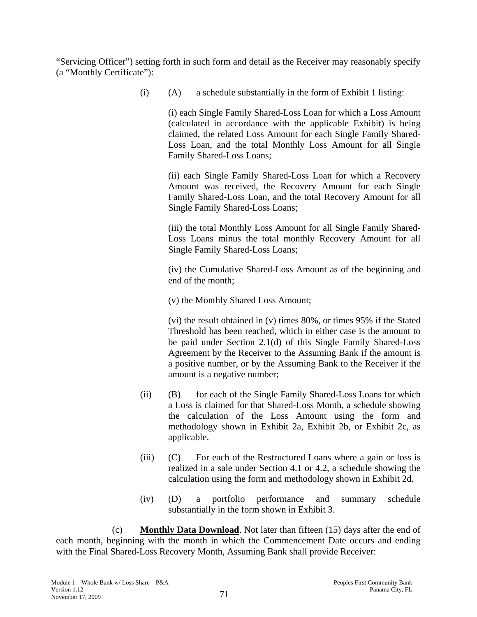"Servicing Officer") setting forth in such form and detail as the Receiver may reasonably specify (a "Monthly Certificate"):

 $(i)$  (A) a schedule substantially in the form of Exhibit 1 listing:

(i) each Single Family Shared-Loss Loan for which a Loss Amount (calculated in accordance with the applicable Exhibit) is being claimed, the related Loss Amount for each Single Family Shared-Loss Loan, and the total Monthly Loss Amount for all Single Family Shared-Loss Loans;

(ii) each Single Family Shared-Loss Loan for which a Recovery Amount was received, the Recovery Amount for each Single Family Shared-Loss Loan, and the total Recovery Amount for all Single Family Shared-Loss Loans;

(iii) the total Monthly Loss Amount for all Single Family Shared-Loss Loans minus the total monthly Recovery Amount for all Single Family Shared-Loss Loans;

(iv) the Cumulative Shared-Loss Amount as of the beginning and end of the month;

(v) the Monthly Shared Loss Amount;

(vi) the result obtained in (v) times 80%, or times 95% if the Stated Threshold has been reached, which in either case is the amount to be paid under Section 2.1(d) of this Single Family Shared-Loss Agreement by the Receiver to the Assuming Bank if the amount is a positive number, or by the Assuming Bank to the Receiver if the amount is a negative number;

- (ii) (B) for each of the Single Family Shared-Loss Loans for which a Loss is claimed for that Shared-Loss Month, a schedule showing the calculation of the Loss Amount using the form and methodology shown in Exhibit 2a, Exhibit 2b, or Exhibit 2c, as applicable.
- (iii) (C) For each of the Restructured Loans where a gain or loss is realized in a sale under Section 4.1 or 4.2, a schedule showing the calculation using the form and methodology shown in Exhibit 2d.
- (iv) (D) a portfolio performance and summary schedule substantially in the form shown in Exhibit 3.

(c) **Monthly Data Download**. Not later than fifteen (15) days after the end of each month, beginning with the month in which the Commencement Date occurs and ending with the Final Shared-Loss Recovery Month, Assuming Bank shall provide Receiver: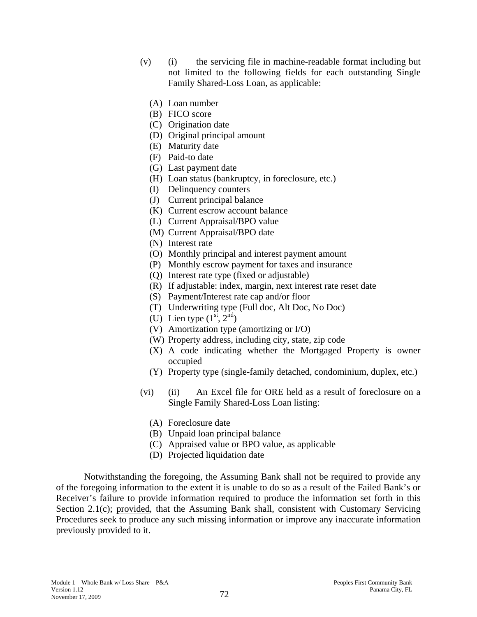- $(v)$  (i) the servicing file in machine-readable format including but not limited to the following fields for each outstanding Single Family Shared-Loss Loan, as applicable:
	- (A) Loan number
	- (B) FICO score
	- (C) Origination date
	- (D) Original principal amount
	- (E) Maturity date
	- (F) Paid-to date
	- (G) Last payment date
	- (H) Loan status (bankruptcy, in foreclosure, etc.)
	- (I) Delinquency counters
	- (J) Current principal balance
	- (K) Current escrow account balance
	- (L) Current Appraisal/BPO value
	- (M) Current Appraisal/BPO date
	- (N) Interest rate
	- (O) Monthly principal and interest payment amount
	- (P) Monthly escrow payment for taxes and insurance
	- (Q) Interest rate type (fixed or adjustable)
	- (R) If adjustable: index, margin, next interest rate reset date
	- (S) Payment/Interest rate cap and/or floor
	- (T) Underwriting type (Full doc, Alt Doc, No Doc)
	- (U) Lien type  $(1<sup>st</sup>, 2<sup>nd</sup>)$
	- (V) Amortization type (amortizing or I/O)
	- (W) Property address, including city, state, zip code
	- (X) A code indicating whether the Mortgaged Property is owner occupied
	- (Y) Property type (single-family detached, condominium, duplex, etc.)
- (vi) (ii) An Excel file for ORE held as a result of foreclosure on a Single Family Shared-Loss Loan listing:
	- (A) Foreclosure date
	- (B) Unpaid loan principal balance
	- (C) Appraised value or BPO value, as applicable
	- (D) Projected liquidation date

Notwithstanding the foregoing, the Assuming Bank shall not be required to provide any of the foregoing information to the extent it is unable to do so as a result of the Failed Bank's or Receiver's failure to provide information required to produce the information set forth in this Section 2.1(c); provided, that the Assuming Bank shall, consistent with Customary Servicing Procedures seek to produce any such missing information or improve any inaccurate information previously provided to it.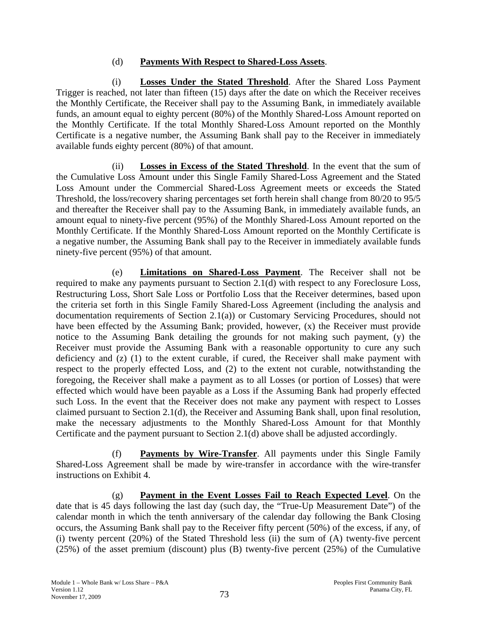## (d) **Payments With Respect to Shared-Loss Assets**.

(i) **Losses Under the Stated Threshold**. After the Shared Loss Payment Trigger is reached, not later than fifteen (15) days after the date on which the Receiver receives the Monthly Certificate, the Receiver shall pay to the Assuming Bank, in immediately available funds, an amount equal to eighty percent (80%) of the Monthly Shared-Loss Amount reported on the Monthly Certificate. If the total Monthly Shared-Loss Amount reported on the Monthly Certificate is a negative number, the Assuming Bank shall pay to the Receiver in immediately available funds eighty percent (80%) of that amount.

(ii) **Losses in Excess of the Stated Threshold**. In the event that the sum of the Cumulative Loss Amount under this Single Family Shared-Loss Agreement and the Stated Loss Amount under the Commercial Shared-Loss Agreement meets or exceeds the Stated Threshold, the loss/recovery sharing percentages set forth herein shall change from 80/20 to 95/5 and thereafter the Receiver shall pay to the Assuming Bank, in immediately available funds, an amount equal to ninety-five percent (95%) of the Monthly Shared-Loss Amount reported on the Monthly Certificate. If the Monthly Shared-Loss Amount reported on the Monthly Certificate is a negative number, the Assuming Bank shall pay to the Receiver in immediately available funds ninety-five percent (95%) of that amount.

(e) **Limitations on Shared-Loss Payment**. The Receiver shall not be required to make any payments pursuant to Section 2.1(d) with respect to any Foreclosure Loss, Restructuring Loss, Short Sale Loss or Portfolio Loss that the Receiver determines, based upon the criteria set forth in this Single Family Shared-Loss Agreement (including the analysis and documentation requirements of Section 2.1(a)) or Customary Servicing Procedures, should not have been effected by the Assuming Bank; provided, however, (x) the Receiver must provide notice to the Assuming Bank detailing the grounds for not making such payment, (y) the Receiver must provide the Assuming Bank with a reasonable opportunity to cure any such deficiency and (z) (1) to the extent curable, if cured, the Receiver shall make payment with respect to the properly effected Loss, and (2) to the extent not curable, notwithstanding the foregoing, the Receiver shall make a payment as to all Losses (or portion of Losses) that were effected which would have been payable as a Loss if the Assuming Bank had properly effected such Loss. In the event that the Receiver does not make any payment with respect to Losses claimed pursuant to Section 2.1(d), the Receiver and Assuming Bank shall, upon final resolution, make the necessary adjustments to the Monthly Shared-Loss Amount for that Monthly Certificate and the payment pursuant to Section 2.1(d) above shall be adjusted accordingly.

(f) **Payments by Wire-Transfer**. All payments under this Single Family Shared-Loss Agreement shall be made by wire-transfer in accordance with the wire-transfer instructions on Exhibit 4.

 (g) **Payment in the Event Losses Fail to Reach Expected Level**. On the date that is 45 days following the last day (such day, the "True-Up Measurement Date") of the calendar month in which the tenth anniversary of the calendar day following the Bank Closing occurs, the Assuming Bank shall pay to the Receiver fifty percent (50%) of the excess, if any, of (i) twenty percent (20%) of the Stated Threshold less (ii) the sum of (A) twenty-five percent (25%) of the asset premium (discount) plus (B) twenty-five percent (25%) of the Cumulative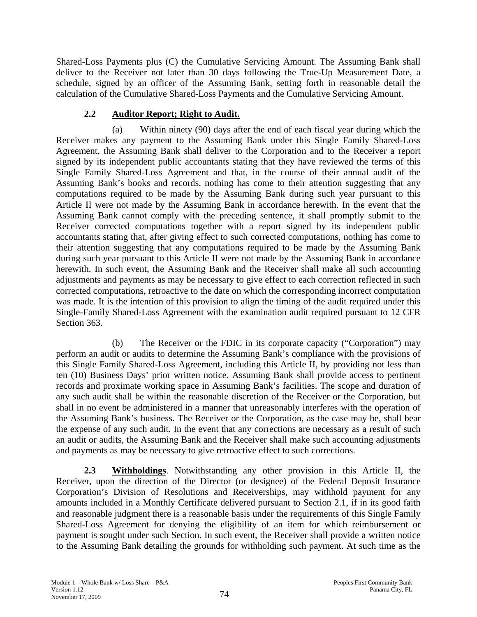Shared-Loss Payments plus (C) the Cumulative Servicing Amount. The Assuming Bank shall deliver to the Receiver not later than 30 days following the True-Up Measurement Date, a schedule, signed by an officer of the Assuming Bank, setting forth in reasonable detail the calculation of the Cumulative Shared-Loss Payments and the Cumulative Servicing Amount.

# **2.2 Auditor Report; Right to Audit.**

(a) Within ninety (90) days after the end of each fiscal year during which the Receiver makes any payment to the Assuming Bank under this Single Family Shared-Loss Agreement, the Assuming Bank shall deliver to the Corporation and to the Receiver a report signed by its independent public accountants stating that they have reviewed the terms of this Single Family Shared-Loss Agreement and that, in the course of their annual audit of the Assuming Bank's books and records, nothing has come to their attention suggesting that any computations required to be made by the Assuming Bank during such year pursuant to this Article II were not made by the Assuming Bank in accordance herewith. In the event that the Assuming Bank cannot comply with the preceding sentence, it shall promptly submit to the Receiver corrected computations together with a report signed by its independent public accountants stating that, after giving effect to such corrected computations, nothing has come to their attention suggesting that any computations required to be made by the Assuming Bank during such year pursuant to this Article II were not made by the Assuming Bank in accordance herewith. In such event, the Assuming Bank and the Receiver shall make all such accounting adjustments and payments as may be necessary to give effect to each correction reflected in such corrected computations, retroactive to the date on which the corresponding incorrect computation was made. It is the intention of this provision to align the timing of the audit required under this Single-Family Shared-Loss Agreement with the examination audit required pursuant to 12 CFR Section 363.

(b) The Receiver or the FDIC in its corporate capacity ("Corporation") may perform an audit or audits to determine the Assuming Bank's compliance with the provisions of this Single Family Shared-Loss Agreement, including this Article II, by providing not less than ten (10) Business Days' prior written notice. Assuming Bank shall provide access to pertinent records and proximate working space in Assuming Bank's facilities. The scope and duration of any such audit shall be within the reasonable discretion of the Receiver or the Corporation, but shall in no event be administered in a manner that unreasonably interferes with the operation of the Assuming Bank's business. The Receiver or the Corporation, as the case may be, shall bear the expense of any such audit. In the event that any corrections are necessary as a result of such an audit or audits, the Assuming Bank and the Receiver shall make such accounting adjustments and payments as may be necessary to give retroactive effect to such corrections.

**2.3 Withholdings**. Notwithstanding any other provision in this Article II, the Receiver, upon the direction of the Director (or designee) of the Federal Deposit Insurance Corporation's Division of Resolutions and Receiverships, may withhold payment for any amounts included in a Monthly Certificate delivered pursuant to Section 2.1, if in its good faith and reasonable judgment there is a reasonable basis under the requirements of this Single Family Shared-Loss Agreement for denying the eligibility of an item for which reimbursement or payment is sought under such Section. In such event, the Receiver shall provide a written notice to the Assuming Bank detailing the grounds for withholding such payment. At such time as the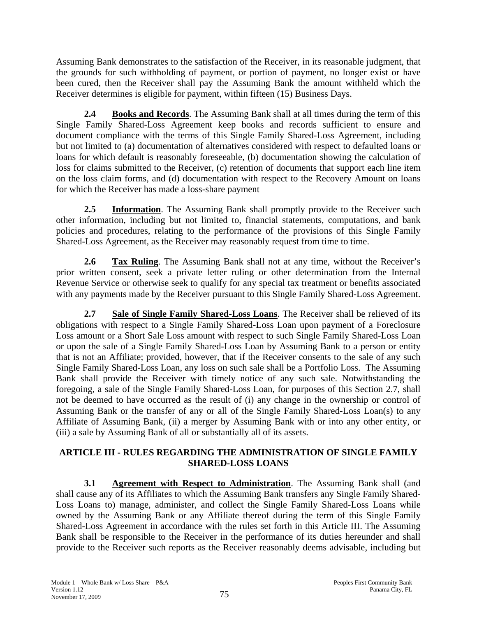Assuming Bank demonstrates to the satisfaction of the Receiver, in its reasonable judgment, that the grounds for such withholding of payment, or portion of payment, no longer exist or have been cured, then the Receiver shall pay the Assuming Bank the amount withheld which the Receiver determines is eligible for payment, within fifteen (15) Business Days.

**2.4 Books and Records**. The Assuming Bank shall at all times during the term of this Single Family Shared-Loss Agreement keep books and records sufficient to ensure and document compliance with the terms of this Single Family Shared-Loss Agreement, including but not limited to (a) documentation of alternatives considered with respect to defaulted loans or loans for which default is reasonably foreseeable, (b) documentation showing the calculation of loss for claims submitted to the Receiver, (c) retention of documents that support each line item on the loss claim forms, and (d) documentation with respect to the Recovery Amount on loans for which the Receiver has made a loss-share payment

**2.5 Information**. The Assuming Bank shall promptly provide to the Receiver such other information, including but not limited to, financial statements, computations, and bank policies and procedures, relating to the performance of the provisions of this Single Family Shared-Loss Agreement, as the Receiver may reasonably request from time to time.

**2.6 Tax Ruling**. The Assuming Bank shall not at any time, without the Receiver's prior written consent, seek a private letter ruling or other determination from the Internal Revenue Service or otherwise seek to qualify for any special tax treatment or benefits associated with any payments made by the Receiver pursuant to this Single Family Shared-Loss Agreement.

**2.7 Sale of Single Family Shared-Loss Loans**. The Receiver shall be relieved of its obligations with respect to a Single Family Shared-Loss Loan upon payment of a Foreclosure Loss amount or a Short Sale Loss amount with respect to such Single Family Shared-Loss Loan or upon the sale of a Single Family Shared-Loss Loan by Assuming Bank to a person or entity that is not an Affiliate; provided, however, that if the Receiver consents to the sale of any such Single Family Shared-Loss Loan, any loss on such sale shall be a Portfolio Loss. The Assuming Bank shall provide the Receiver with timely notice of any such sale. Notwithstanding the foregoing, a sale of the Single Family Shared-Loss Loan, for purposes of this Section 2.7, shall not be deemed to have occurred as the result of (i) any change in the ownership or control of Assuming Bank or the transfer of any or all of the Single Family Shared-Loss Loan(s) to any Affiliate of Assuming Bank, (ii) a merger by Assuming Bank with or into any other entity, or (iii) a sale by Assuming Bank of all or substantially all of its assets.

# **ARTICLE III - RULES REGARDING THE ADMINISTRATION OF SINGLE FAMILY SHARED-LOSS LOANS**

**3.1 Agreement with Respect to Administration**. The Assuming Bank shall (and shall cause any of its Affiliates to which the Assuming Bank transfers any Single Family Shared-Loss Loans to) manage, administer, and collect the Single Family Shared-Loss Loans while owned by the Assuming Bank or any Affiliate thereof during the term of this Single Family Shared-Loss Agreement in accordance with the rules set forth in this Article III. The Assuming Bank shall be responsible to the Receiver in the performance of its duties hereunder and shall provide to the Receiver such reports as the Receiver reasonably deems advisable, including but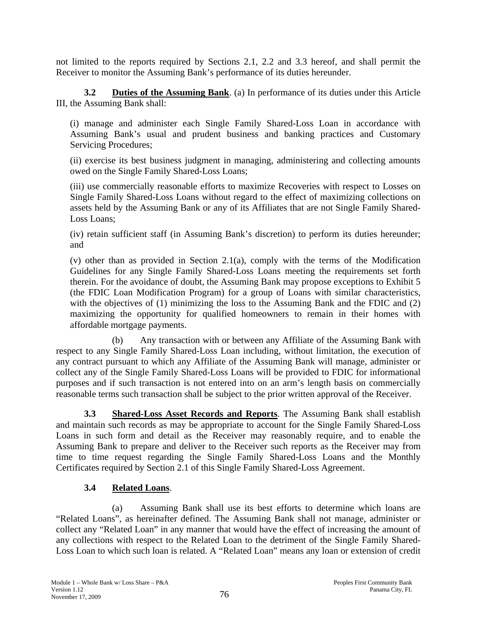not limited to the reports required by Sections 2.1, 2.2 and 3.3 hereof, and shall permit the Receiver to monitor the Assuming Bank's performance of its duties hereunder.

**3.2 Duties of the Assuming Bank**. (a) In performance of its duties under this Article III, the Assuming Bank shall:

(i) manage and administer each Single Family Shared-Loss Loan in accordance with Assuming Bank's usual and prudent business and banking practices and Customary Servicing Procedures;

(ii) exercise its best business judgment in managing, administering and collecting amounts owed on the Single Family Shared-Loss Loans;

(iii) use commercially reasonable efforts to maximize Recoveries with respect to Losses on Single Family Shared-Loss Loans without regard to the effect of maximizing collections on assets held by the Assuming Bank or any of its Affiliates that are not Single Family Shared-Loss Loans;

(iv) retain sufficient staff (in Assuming Bank's discretion) to perform its duties hereunder; and

(v) other than as provided in Section 2.1(a), comply with the terms of the Modification Guidelines for any Single Family Shared-Loss Loans meeting the requirements set forth therein. For the avoidance of doubt, the Assuming Bank may propose exceptions to Exhibit 5 (the FDIC Loan Modification Program) for a group of Loans with similar characteristics, with the objectives of (1) minimizing the loss to the Assuming Bank and the FDIC and (2) maximizing the opportunity for qualified homeowners to remain in their homes with affordable mortgage payments.

(b) Any transaction with or between any Affiliate of the Assuming Bank with respect to any Single Family Shared-Loss Loan including, without limitation, the execution of any contract pursuant to which any Affiliate of the Assuming Bank will manage, administer or collect any of the Single Family Shared-Loss Loans will be provided to FDIC for informational purposes and if such transaction is not entered into on an arm's length basis on commercially reasonable terms such transaction shall be subject to the prior written approval of the Receiver.

**3.3 Shared-Loss Asset Records and Reports**. The Assuming Bank shall establish and maintain such records as may be appropriate to account for the Single Family Shared-Loss Loans in such form and detail as the Receiver may reasonably require, and to enable the Assuming Bank to prepare and deliver to the Receiver such reports as the Receiver may from time to time request regarding the Single Family Shared-Loss Loans and the Monthly Certificates required by Section 2.1 of this Single Family Shared-Loss Agreement.

# **3.4 Related Loans**.

(a) Assuming Bank shall use its best efforts to determine which loans are "Related Loans", as hereinafter defined. The Assuming Bank shall not manage, administer or collect any "Related Loan" in any manner that would have the effect of increasing the amount of any collections with respect to the Related Loan to the detriment of the Single Family Shared-Loss Loan to which such loan is related. A "Related Loan" means any loan or extension of credit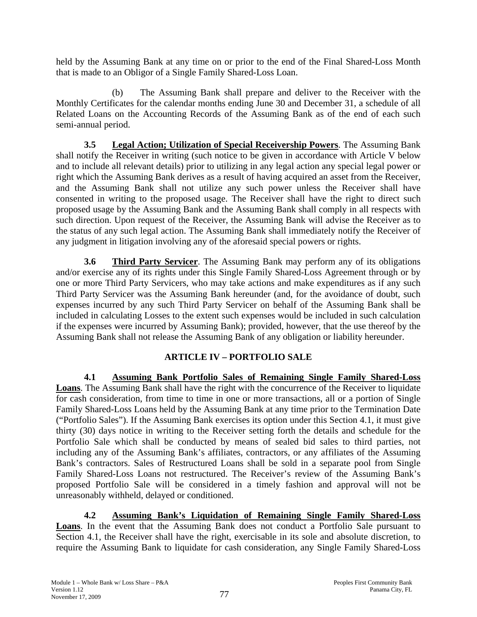held by the Assuming Bank at any time on or prior to the end of the Final Shared-Loss Month that is made to an Obligor of a Single Family Shared-Loss Loan.

(b) The Assuming Bank shall prepare and deliver to the Receiver with the Monthly Certificates for the calendar months ending June 30 and December 31, a schedule of all Related Loans on the Accounting Records of the Assuming Bank as of the end of each such semi-annual period.

**3.5 Legal Action; Utilization of Special Receivership Powers**. The Assuming Bank shall notify the Receiver in writing (such notice to be given in accordance with Article V below and to include all relevant details) prior to utilizing in any legal action any special legal power or right which the Assuming Bank derives as a result of having acquired an asset from the Receiver, and the Assuming Bank shall not utilize any such power unless the Receiver shall have consented in writing to the proposed usage. The Receiver shall have the right to direct such proposed usage by the Assuming Bank and the Assuming Bank shall comply in all respects with such direction. Upon request of the Receiver, the Assuming Bank will advise the Receiver as to the status of any such legal action. The Assuming Bank shall immediately notify the Receiver of any judgment in litigation involving any of the aforesaid special powers or rights.

**3.6 Third Party Servicer**. The Assuming Bank may perform any of its obligations and/or exercise any of its rights under this Single Family Shared-Loss Agreement through or by one or more Third Party Servicers, who may take actions and make expenditures as if any such Third Party Servicer was the Assuming Bank hereunder (and, for the avoidance of doubt, such expenses incurred by any such Third Party Servicer on behalf of the Assuming Bank shall be included in calculating Losses to the extent such expenses would be included in such calculation if the expenses were incurred by Assuming Bank); provided, however, that the use thereof by the Assuming Bank shall not release the Assuming Bank of any obligation or liability hereunder.

# **ARTICLE IV – PORTFOLIO SALE**

**4.1 Assuming Bank Portfolio Sales of Remaining Single Family Shared-Loss Loans**. The Assuming Bank shall have the right with the concurrence of the Receiver to liquidate for cash consideration, from time to time in one or more transactions, all or a portion of Single Family Shared-Loss Loans held by the Assuming Bank at any time prior to the Termination Date ("Portfolio Sales"). If the Assuming Bank exercises its option under this Section 4.1, it must give thirty (30) days notice in writing to the Receiver setting forth the details and schedule for the Portfolio Sale which shall be conducted by means of sealed bid sales to third parties, not including any of the Assuming Bank's affiliates, contractors, or any affiliates of the Assuming Bank's contractors. Sales of Restructured Loans shall be sold in a separate pool from Single Family Shared-Loss Loans not restructured. The Receiver's review of the Assuming Bank's proposed Portfolio Sale will be considered in a timely fashion and approval will not be unreasonably withheld, delayed or conditioned.

**4.2 Assuming Bank's Liquidation of Remaining Single Family Shared-Loss Loans**. In the event that the Assuming Bank does not conduct a Portfolio Sale pursuant to Section 4.1, the Receiver shall have the right, exercisable in its sole and absolute discretion, to require the Assuming Bank to liquidate for cash consideration, any Single Family Shared-Loss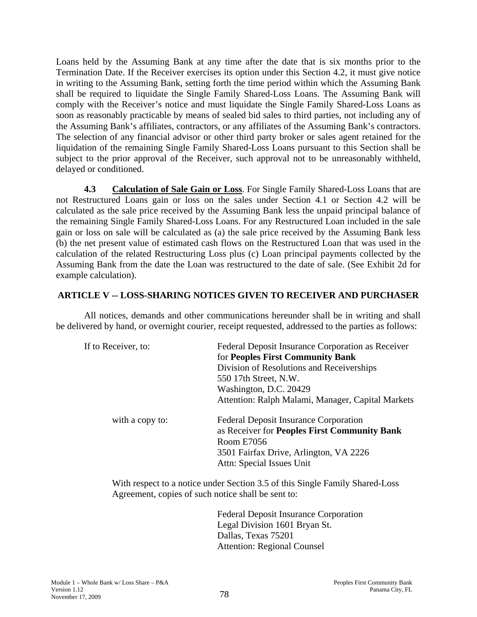Loans held by the Assuming Bank at any time after the date that is six months prior to the Termination Date. If the Receiver exercises its option under this Section 4.2, it must give notice in writing to the Assuming Bank, setting forth the time period within which the Assuming Bank shall be required to liquidate the Single Family Shared-Loss Loans. The Assuming Bank will comply with the Receiver's notice and must liquidate the Single Family Shared-Loss Loans as soon as reasonably practicable by means of sealed bid sales to third parties, not including any of the Assuming Bank's affiliates, contractors, or any affiliates of the Assuming Bank's contractors. The selection of any financial advisor or other third party broker or sales agent retained for the liquidation of the remaining Single Family Shared-Loss Loans pursuant to this Section shall be subject to the prior approval of the Receiver, such approval not to be unreasonably withheld, delayed or conditioned.

**4.3 Calculation of Sale Gain or Loss**. For Single Family Shared-Loss Loans that are not Restructured Loans gain or loss on the sales under Section 4.1 or Section 4.2 will be calculated as the sale price received by the Assuming Bank less the unpaid principal balance of the remaining Single Family Shared-Loss Loans. For any Restructured Loan included in the sale gain or loss on sale will be calculated as (a) the sale price received by the Assuming Bank less (b) the net present value of estimated cash flows on the Restructured Loan that was used in the calculation of the related Restructuring Loss plus (c) Loan principal payments collected by the Assuming Bank from the date the Loan was restructured to the date of sale. (See Exhibit 2d for example calculation).

## **ARTICLE V -- LOSS-SHARING NOTICES GIVEN TO RECEIVER AND PURCHASER**

All notices, demands and other communications hereunder shall be in writing and shall be delivered by hand, or overnight courier, receipt requested, addressed to the parties as follows:

| If to Receiver, to: | <b>Federal Deposit Insurance Corporation as Receiver</b><br>for Peoples First Community Bank<br>Division of Resolutions and Receiverships<br>550 17th Street, N.W.<br>Washington, D.C. 20429<br>Attention: Ralph Malami, Manager, Capital Markets |
|---------------------|---------------------------------------------------------------------------------------------------------------------------------------------------------------------------------------------------------------------------------------------------|
| with a copy to:     | <b>Federal Deposit Insurance Corporation</b><br>as Receiver for Peoples First Community Bank<br>Room E7056<br>3501 Fairfax Drive, Arlington, VA 2226<br>Attn: Special Issues Unit                                                                 |

With respect to a notice under Section 3.5 of this Single Family Shared-Loss Agreement, copies of such notice shall be sent to:

> Federal Deposit Insurance Corporation Legal Division 1601 Bryan St. Dallas, Texas 75201 Attention: Regional Counsel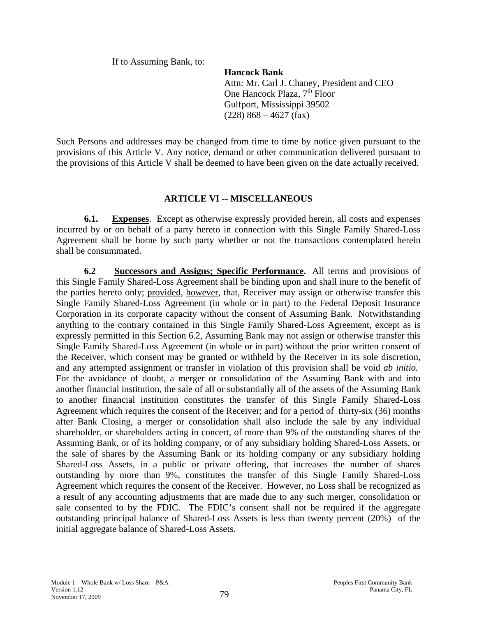If to Assuming Bank, to:

**Hancock Bank**  Attn: Mr. Carl J. Chaney, President and CEO One Hancock Plaza, 7<sup>th</sup> Floor Gulfport, Mississippi 39502  $(228)$  868 – 4627 (fax)

Such Persons and addresses may be changed from time to time by notice given pursuant to the provisions of this Article V. Any notice, demand or other communication delivered pursuant to the provisions of this Article V shall be deemed to have been given on the date actually received.

### **ARTICLE VI -- MISCELLANEOUS**

**6.1. Expenses**. Except as otherwise expressly provided herein, all costs and expenses incurred by or on behalf of a party hereto in connection with this Single Family Shared-Loss Agreement shall be borne by such party whether or not the transactions contemplated herein shall be consummated.

**6.2 Successors and Assigns; Specific Performance.** All terms and provisions of this Single Family Shared-Loss Agreement shall be binding upon and shall inure to the benefit of the parties hereto only; provided, however, that, Receiver may assign or otherwise transfer this Single Family Shared-Loss Agreement (in whole or in part) to the Federal Deposit Insurance Corporation in its corporate capacity without the consent of Assuming Bank. Notwithstanding anything to the contrary contained in this Single Family Shared-Loss Agreement, except as is expressly permitted in this Section 6.2, Assuming Bank may not assign or otherwise transfer this Single Family Shared-Loss Agreement (in whole or in part) without the prior written consent of the Receiver, which consent may be granted or withheld by the Receiver in its sole discretion, and any attempted assignment or transfer in violation of this provision shall be void *ab initio.*  For the avoidance of doubt, a merger or consolidation of the Assuming Bank with and into another financial institution, the sale of all or substantially all of the assets of the Assuming Bank to another financial institution constitutes the transfer of this Single Family Shared-Loss Agreement which requires the consent of the Receiver; and for a period of thirty-six (36) months after Bank Closing, a merger or consolidation shall also include the sale by any individual shareholder, or shareholders acting in concert, of more than 9% of the outstanding shares of the Assuming Bank, or of its holding company, or of any subsidiary holding Shared-Loss Assets, or the sale of shares by the Assuming Bank or its holding company or any subsidiary holding Shared-Loss Assets, in a public or private offering, that increases the number of shares outstanding by more than 9%, constitutes the transfer of this Single Family Shared-Loss Agreement which requires the consent of the Receiver. However, no Loss shall be recognized as a result of any accounting adjustments that are made due to any such merger, consolidation or sale consented to by the FDIC. The FDIC's consent shall not be required if the aggregate outstanding principal balance of Shared-Loss Assets is less than twenty percent (20%) of the initial aggregate balance of Shared-Loss Assets.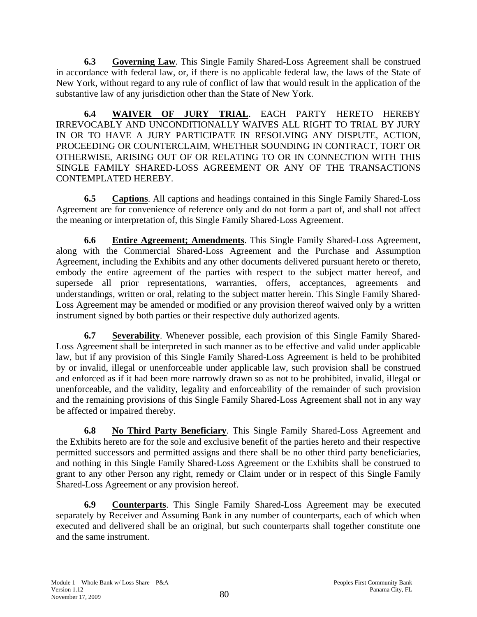**6.3** Governing Law. This Single Family Shared-Loss Agreement shall be construed in accordance with federal law, or, if there is no applicable federal law, the laws of the State of New York, without regard to any rule of conflict of law that would result in the application of the substantive law of any jurisdiction other than the State of New York.

**6.4 WAIVER OF JURY TRIAL**. EACH PARTY HERETO HEREBY IRREVOCABLY AND UNCONDITIONALLY WAIVES ALL RIGHT TO TRIAL BY JURY IN OR TO HAVE A JURY PARTICIPATE IN RESOLVING ANY DISPUTE, ACTION, PROCEEDING OR COUNTERCLAIM, WHETHER SOUNDING IN CONTRACT, TORT OR OTHERWISE, ARISING OUT OF OR RELATING TO OR IN CONNECTION WITH THIS SINGLE FAMILY SHARED-LOSS AGREEMENT OR ANY OF THE TRANSACTIONS CONTEMPLATED HEREBY.

**6.5 Captions**. All captions and headings contained in this Single Family Shared-Loss Agreement are for convenience of reference only and do not form a part of, and shall not affect the meaning or interpretation of, this Single Family Shared-Loss Agreement.

**6.6 Entire Agreement; Amendments**. This Single Family Shared-Loss Agreement, along with the Commercial Shared-Loss Agreement and the Purchase and Assumption Agreement, including the Exhibits and any other documents delivered pursuant hereto or thereto, embody the entire agreement of the parties with respect to the subject matter hereof, and supersede all prior representations, warranties, offers, acceptances, agreements and understandings, written or oral, relating to the subject matter herein. This Single Family Shared-Loss Agreement may be amended or modified or any provision thereof waived only by a written instrument signed by both parties or their respective duly authorized agents.

**6.7 Severability**. Whenever possible, each provision of this Single Family Shared-Loss Agreement shall be interpreted in such manner as to be effective and valid under applicable law, but if any provision of this Single Family Shared-Loss Agreement is held to be prohibited by or invalid, illegal or unenforceable under applicable law, such provision shall be construed and enforced as if it had been more narrowly drawn so as not to be prohibited, invalid, illegal or unenforceable, and the validity, legality and enforceability of the remainder of such provision and the remaining provisions of this Single Family Shared-Loss Agreement shall not in any way be affected or impaired thereby.

**6.8 No Third Party Beneficiary.** This Single Family Shared-Loss Agreement and the Exhibits hereto are for the sole and exclusive benefit of the parties hereto and their respective permitted successors and permitted assigns and there shall be no other third party beneficiaries, and nothing in this Single Family Shared-Loss Agreement or the Exhibits shall be construed to grant to any other Person any right, remedy or Claim under or in respect of this Single Family Shared-Loss Agreement or any provision hereof.

**6.9 Counterparts**. This Single Family Shared-Loss Agreement may be executed separately by Receiver and Assuming Bank in any number of counterparts, each of which when executed and delivered shall be an original, but such counterparts shall together constitute one and the same instrument.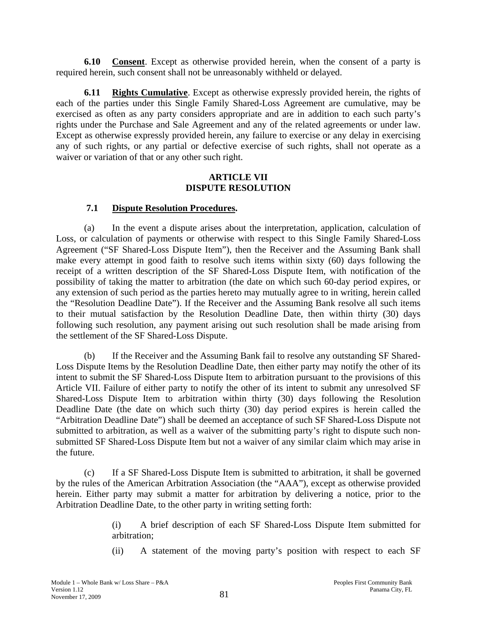**6.10 Consent**. Except as otherwise provided herein, when the consent of a party is required herein, such consent shall not be unreasonably withheld or delayed.

**6.11 Rights Cumulative**. Except as otherwise expressly provided herein, the rights of each of the parties under this Single Family Shared-Loss Agreement are cumulative, may be exercised as often as any party considers appropriate and are in addition to each such party's rights under the Purchase and Sale Agreement and any of the related agreements or under law. Except as otherwise expressly provided herein, any failure to exercise or any delay in exercising any of such rights, or any partial or defective exercise of such rights, shall not operate as a waiver or variation of that or any other such right.

### **ARTICLE VII DISPUTE RESOLUTION**

## **7.1 Dispute Resolution Procedures.**

(a) In the event a dispute arises about the interpretation, application, calculation of Loss, or calculation of payments or otherwise with respect to this Single Family Shared-Loss Agreement ("SF Shared-Loss Dispute Item"), then the Receiver and the Assuming Bank shall make every attempt in good faith to resolve such items within sixty (60) days following the receipt of a written description of the SF Shared-Loss Dispute Item, with notification of the possibility of taking the matter to arbitration (the date on which such 60-day period expires, or any extension of such period as the parties hereto may mutually agree to in writing, herein called the "Resolution Deadline Date"). If the Receiver and the Assuming Bank resolve all such items to their mutual satisfaction by the Resolution Deadline Date, then within thirty (30) days following such resolution, any payment arising out such resolution shall be made arising from the settlement of the SF Shared-Loss Dispute.

(b) If the Receiver and the Assuming Bank fail to resolve any outstanding SF Shared-Loss Dispute Items by the Resolution Deadline Date, then either party may notify the other of its intent to submit the SF Shared-Loss Dispute Item to arbitration pursuant to the provisions of this Article VII. Failure of either party to notify the other of its intent to submit any unresolved SF Shared-Loss Dispute Item to arbitration within thirty (30) days following the Resolution Deadline Date (the date on which such thirty (30) day period expires is herein called the "Arbitration Deadline Date") shall be deemed an acceptance of such SF Shared-Loss Dispute not submitted to arbitration, as well as a waiver of the submitting party's right to dispute such nonsubmitted SF Shared-Loss Dispute Item but not a waiver of any similar claim which may arise in the future.

(c) If a SF Shared-Loss Dispute Item is submitted to arbitration, it shall be governed by the rules of the American Arbitration Association (the "AAA"), except as otherwise provided herein. Either party may submit a matter for arbitration by delivering a notice, prior to the Arbitration Deadline Date, to the other party in writing setting forth:

> (i) A brief description of each SF Shared-Loss Dispute Item submitted for arbitration;

> (ii) A statement of the moving party's position with respect to each SF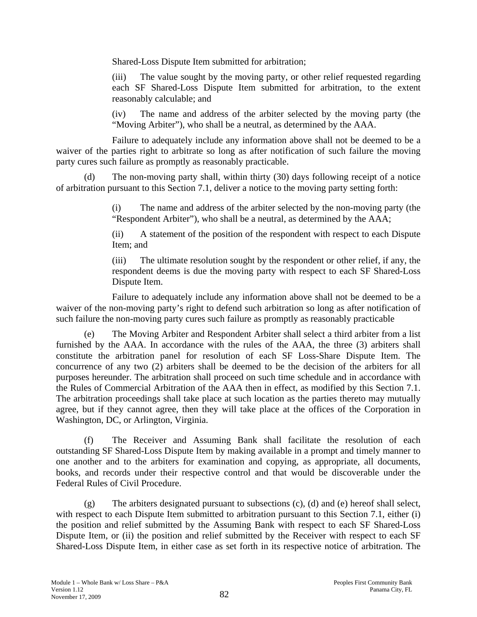Shared-Loss Dispute Item submitted for arbitration;

(iii) The value sought by the moving party, or other relief requested regarding each SF Shared-Loss Dispute Item submitted for arbitration, to the extent reasonably calculable; and

(iv) The name and address of the arbiter selected by the moving party (the "Moving Arbiter"), who shall be a neutral, as determined by the AAA.

Failure to adequately include any information above shall not be deemed to be a waiver of the parties right to arbitrate so long as after notification of such failure the moving party cures such failure as promptly as reasonably practicable.

(d) The non-moving party shall, within thirty (30) days following receipt of a notice of arbitration pursuant to this Section 7.1, deliver a notice to the moving party setting forth:

> (i) The name and address of the arbiter selected by the non-moving party (the "Respondent Arbiter"), who shall be a neutral, as determined by the AAA;

> (ii) A statement of the position of the respondent with respect to each Dispute Item; and

> (iii) The ultimate resolution sought by the respondent or other relief, if any, the respondent deems is due the moving party with respect to each SF Shared-Loss Dispute Item.

Failure to adequately include any information above shall not be deemed to be a waiver of the non-moving party's right to defend such arbitration so long as after notification of such failure the non-moving party cures such failure as promptly as reasonably practicable

(e) The Moving Arbiter and Respondent Arbiter shall select a third arbiter from a list furnished by the AAA. In accordance with the rules of the AAA, the three (3) arbiters shall constitute the arbitration panel for resolution of each SF Loss-Share Dispute Item. The concurrence of any two (2) arbiters shall be deemed to be the decision of the arbiters for all purposes hereunder. The arbitration shall proceed on such time schedule and in accordance with the Rules of Commercial Arbitration of the AAA then in effect, as modified by this Section 7.1. The arbitration proceedings shall take place at such location as the parties thereto may mutually agree, but if they cannot agree, then they will take place at the offices of the Corporation in Washington, DC, or Arlington, Virginia.

(f) The Receiver and Assuming Bank shall facilitate the resolution of each outstanding SF Shared-Loss Dispute Item by making available in a prompt and timely manner to one another and to the arbiters for examination and copying, as appropriate, all documents, books, and records under their respective control and that would be discoverable under the Federal Rules of Civil Procedure.

 $(g)$  The arbiters designated pursuant to subsections  $(c)$ ,  $(d)$  and  $(e)$  hereof shall select, with respect to each Dispute Item submitted to arbitration pursuant to this Section 7.1, either (i) the position and relief submitted by the Assuming Bank with respect to each SF Shared-Loss Dispute Item, or (ii) the position and relief submitted by the Receiver with respect to each SF Shared-Loss Dispute Item, in either case as set forth in its respective notice of arbitration. The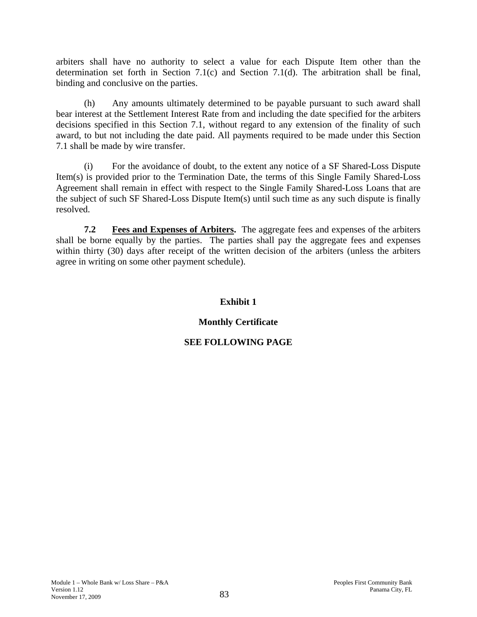arbiters shall have no authority to select a value for each Dispute Item other than the determination set forth in Section 7.1(c) and Section 7.1(d). The arbitration shall be final, binding and conclusive on the parties.

(h) Any amounts ultimately determined to be payable pursuant to such award shall bear interest at the Settlement Interest Rate from and including the date specified for the arbiters decisions specified in this Section 7.1, without regard to any extension of the finality of such award, to but not including the date paid. All payments required to be made under this Section 7.1 shall be made by wire transfer.

(i) For the avoidance of doubt, to the extent any notice of a SF Shared-Loss Dispute Item(s) is provided prior to the Termination Date, the terms of this Single Family Shared-Loss Agreement shall remain in effect with respect to the Single Family Shared-Loss Loans that are the subject of such SF Shared-Loss Dispute Item(s) until such time as any such dispute is finally resolved.

**7.2 Fees and Expenses of Arbiters.** The aggregate fees and expenses of the arbiters shall be borne equally by the parties. The parties shall pay the aggregate fees and expenses within thirty (30) days after receipt of the written decision of the arbiters (unless the arbiters agree in writing on some other payment schedule).

# **Exhibit 1**

# **Monthly Certificate**

# **SEE FOLLOWING PAGE**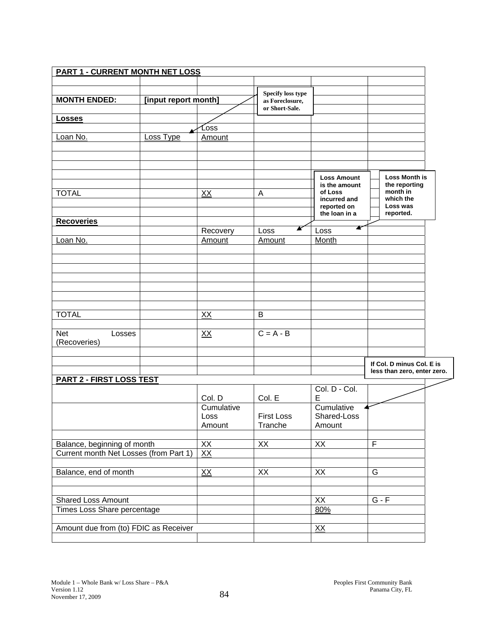| PART 1 - CURRENT MONTH NET LOSS        |                      |                 |                                   |                              |                             |
|----------------------------------------|----------------------|-----------------|-----------------------------------|------------------------------|-----------------------------|
|                                        |                      |                 |                                   |                              |                             |
|                                        |                      |                 | Specify loss type                 |                              |                             |
| <b>MONTH ENDED:</b>                    | [input report month] |                 | as Foreclosure,<br>or Short-Sale. |                              |                             |
|                                        |                      |                 |                                   |                              |                             |
| <b>Losses</b>                          |                      | Loss            |                                   |                              |                             |
| Loan No.                               | Loss Type            | Amount          |                                   |                              |                             |
|                                        |                      |                 |                                   |                              |                             |
|                                        |                      |                 |                                   |                              |                             |
|                                        |                      |                 |                                   |                              |                             |
|                                        |                      |                 |                                   | <b>Loss Amount</b>           | <b>Loss Month is</b>        |
|                                        |                      |                 |                                   | is the amount                | the reporting               |
| <b>TOTAL</b>                           |                      | XX              | A                                 | of Loss                      | month in                    |
|                                        |                      |                 |                                   | incurred and                 | which the<br>Loss was       |
|                                        |                      |                 |                                   | reported on<br>the loan in a | reported.                   |
| <b>Recoveries</b>                      |                      |                 |                                   |                              |                             |
|                                        |                      | Recovery        | ¥<br>Loss                         | Ŧ<br>Loss                    |                             |
| Loan No.                               |                      | Amount          | Amount                            | Month                        |                             |
|                                        |                      |                 |                                   |                              |                             |
|                                        |                      |                 |                                   |                              |                             |
|                                        |                      |                 |                                   |                              |                             |
|                                        |                      |                 |                                   |                              |                             |
|                                        |                      |                 |                                   |                              |                             |
|                                        |                      |                 |                                   |                              |                             |
|                                        |                      |                 |                                   |                              |                             |
| <b>TOTAL</b>                           |                      | XX              | B                                 |                              |                             |
|                                        |                      |                 |                                   |                              |                             |
| <b>Net</b><br>Losses                   |                      | XX              | $C = A - B$                       |                              |                             |
| (Recoveries)                           |                      |                 |                                   |                              |                             |
|                                        |                      |                 |                                   |                              |                             |
|                                        |                      |                 |                                   |                              | If Col. D minus Col. E is   |
| <b>PART 2 - FIRST LOSS TEST</b>        |                      |                 |                                   |                              | less than zero, enter zero. |
|                                        |                      |                 |                                   | Col. D - Col.                |                             |
|                                        |                      | Col. D          | Col. E                            | E                            |                             |
|                                        |                      | Cumulative      |                                   | Cumulative                   |                             |
|                                        |                      | Loss            | <b>First Loss</b>                 | Shared-Loss                  |                             |
|                                        |                      | Amount          | Tranche                           | Amount                       |                             |
|                                        |                      |                 |                                   |                              |                             |
| Balance, beginning of month            |                      | $\overline{XX}$ | XX                                | XX                           | $\overline{F}$              |
| Current month Net Losses (from Part 1) |                      | $\overline{XX}$ |                                   |                              |                             |
|                                        |                      |                 |                                   |                              |                             |
| Balance, end of month                  |                      | $\overline{XX}$ | XX                                | XX                           | G                           |
|                                        |                      |                 |                                   |                              |                             |
|                                        |                      |                 |                                   |                              |                             |
| <b>Shared Loss Amount</b>              |                      |                 |                                   | XX                           | $G - F$                     |
| Times Loss Share percentage            |                      |                 |                                   | 80%                          |                             |
|                                        |                      |                 |                                   |                              |                             |
| Amount due from (to) FDIC as Receiver  |                      |                 |                                   | <u>XX</u>                    |                             |
|                                        |                      |                 |                                   |                              |                             |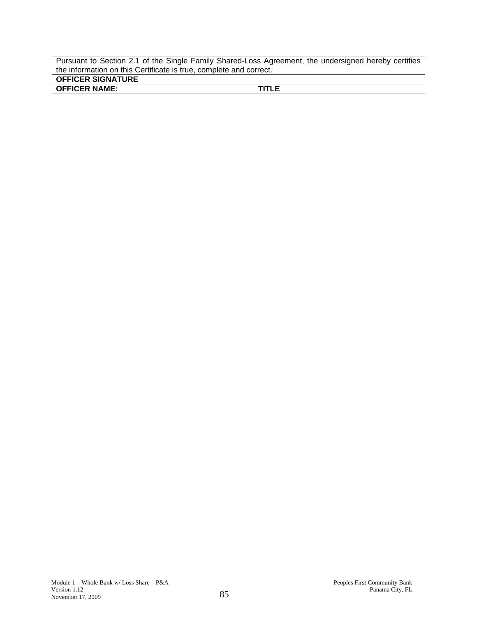| Pursuant to Section 2.1 of the Single Family Shared-Loss Agreement, the undersigned hereby certifies |              |
|------------------------------------------------------------------------------------------------------|--------------|
| the information on this Certificate is true, complete and correct.                                   |              |
| <b>OFFICER SIGNATURE</b>                                                                             |              |
| <b>OFFICER NAME:</b>                                                                                 | <b>TITLE</b> |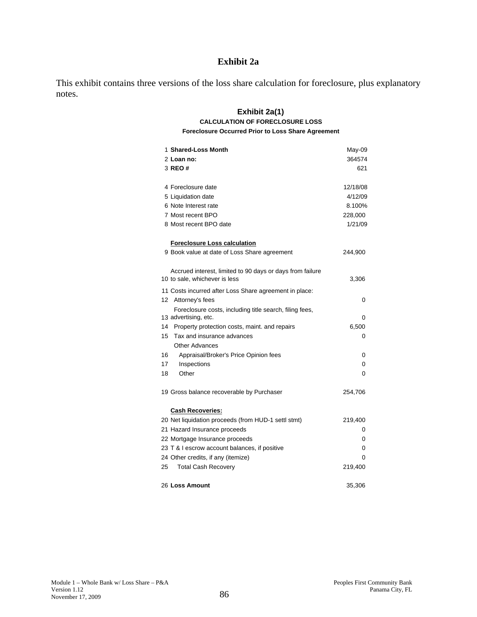### **Exhibit 2a**

This exhibit contains three versions of the loss share calculation for foreclosure, plus explanatory notes.

#### **Exhibit 2a(1) CALCULATION OF FORECLOSURE LOSS Foreclosure Occurred Prior to Loss Share Agreement**

|    | 1 Shared-Loss Month<br>2 Loan no:<br>3 REO #              | May-09<br>364574<br>621 |
|----|-----------------------------------------------------------|-------------------------|
|    | 4 Foreclosure date                                        | 12/18/08                |
|    | 5 Liquidation date                                        | 4/12/09                 |
|    | 6 Note Interest rate                                      | 8.100%                  |
|    | 7 Most recent BPO                                         | 228,000                 |
|    | 8 Most recent BPO date                                    | 1/21/09                 |
|    | <b>Foreclosure Loss calculation</b>                       |                         |
|    | 9 Book value at date of Loss Share agreement              | 244,900                 |
|    | Accrued interest, limited to 90 days or days from failure |                         |
|    | 10 to sale, whichever is less                             | 3,306                   |
|    | 11 Costs incurred after Loss Share agreement in place:    |                         |
| 12 | Attorney's fees                                           | 0                       |
|    | Foreclosure costs, including title search, filing fees,   |                         |
|    | 13 advertising, etc.                                      | 0                       |
| 14 | Property protection costs, maint. and repairs             | 6,500                   |
| 15 | Tax and insurance advances                                | 0                       |
|    | Other Advances                                            |                         |
| 16 | Appraisal/Broker's Price Opinion fees                     | 0                       |
| 17 | Inspections                                               | 0                       |
| 18 | Other                                                     | 0                       |
|    | 19 Gross balance recoverable by Purchaser                 | 254,706                 |
|    | <b>Cash Recoveries:</b>                                   |                         |
|    | 20 Net liquidation proceeds (from HUD-1 settl stmt)       | 219,400                 |
|    | 21 Hazard Insurance proceeds                              | 0                       |
|    | 22 Mortgage Insurance proceeds                            | 0                       |
|    | 23 T & I escrow account balances, if positive             | 0                       |
|    | 24 Other credits, if any (itemize)                        | 0                       |
| 25 | <b>Total Cash Recovery</b>                                | 219,400                 |
|    | 26 Loss Amount                                            | 35,306                  |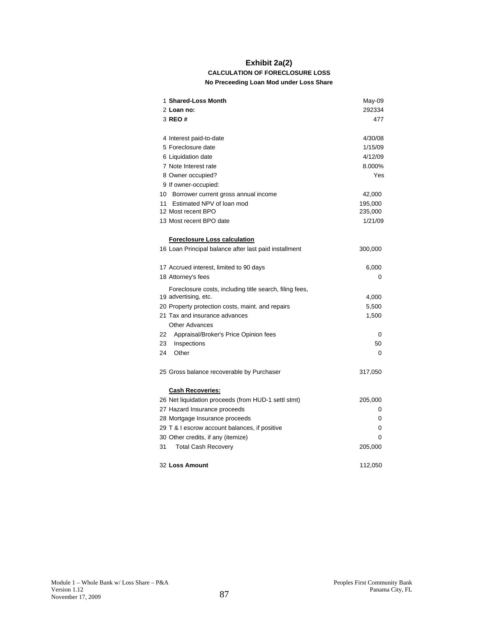#### **Exhibit 2a(2)**

#### **CALCULATION OF FORECLOSURE LOSS**

#### **No Preceeding Loan Mod under Loss Share**

| 1 Shared-Loss Month                                     | May-09  |
|---------------------------------------------------------|---------|
| 2 Loan no:                                              | 292334  |
| 3 REO #                                                 | 477     |
| 4 Interest paid-to-date                                 | 4/30/08 |
| 5 Foreclosure date                                      | 1/15/09 |
| 6 Liquidation date                                      | 4/12/09 |
| 7 Note Interest rate                                    | 8.000%  |
| 8 Owner occupied?                                       | Yes     |
| 9 If owner-occupied:                                    |         |
| Borrower current gross annual income<br>10              | 42,000  |
| 11<br>Estimated NPV of loan mod                         | 195,000 |
| 12 Most recent BPO                                      | 235,000 |
| 13 Most recent BPO date                                 | 1/21/09 |
| <b>Foreclosure Loss calculation</b>                     |         |
| 16 Loan Principal balance after last paid installment   | 300,000 |
| 17 Accrued interest, limited to 90 days                 | 6,000   |
| 18 Attorney's fees                                      | 0       |
| Foreclosure costs, including title search, filing fees, |         |
| 19 advertising, etc.                                    | 4,000   |
| 20 Property protection costs, maint. and repairs        | 5,500   |
| 21 Tax and insurance advances                           | 1,500   |
| <b>Other Advances</b>                                   |         |
| 22<br>Appraisal/Broker's Price Opinion fees             | 0       |
| 23<br>Inspections                                       | 50      |
| 24<br>Other                                             | 0       |
| 25 Gross balance recoverable by Purchaser               | 317,050 |
| <b>Cash Recoveries:</b>                                 |         |
| 26 Net liquidation proceeds (from HUD-1 settl stmt)     | 205,000 |
| 27 Hazard Insurance proceeds                            | 0       |
| 28 Mortgage Insurance proceeds                          | 0       |
| 29 T & I escrow account balances, if positive           | 0       |
| 30 Other credits, if any (itemize)                      | 0       |
| 31<br><b>Total Cash Recovery</b>                        | 205,000 |
| 32 Loss Amount                                          | 112,050 |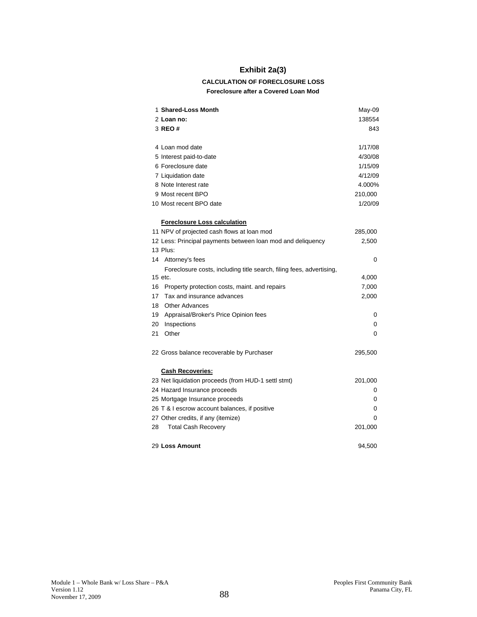## **Exhibit 2a(3)**

#### **CALCULATION OF FORECLOSURE LOSS Foreclosure after a Covered Loan Mod**

| 1 Shared-Loss Month                                                  | May-09  |
|----------------------------------------------------------------------|---------|
| 2 Loan no:                                                           | 138554  |
| 3 REO #                                                              | 843     |
|                                                                      |         |
| 4 Loan mod date                                                      | 1/17/08 |
| 5 Interest paid-to-date                                              | 4/30/08 |
| 6 Foreclosure date                                                   | 1/15/09 |
| 7 Liquidation date                                                   | 4/12/09 |
| 8 Note Interest rate                                                 | 4.000%  |
| 9 Most recent BPO                                                    | 210,000 |
| 10 Most recent BPO date                                              | 1/20/09 |
|                                                                      |         |
| <b>Foreclosure Loss calculation</b>                                  |         |
| 11 NPV of projected cash flows at loan mod                           | 285,000 |
| 12 Less: Principal payments between loan mod and deliquency          | 2,500   |
| 13 Plus:                                                             |         |
| Attorney's fees<br>14                                                | 0       |
| Foreclosure costs, including title search, filing fees, advertising, |         |
| 15 etc.                                                              | 4,000   |
| 16<br>Property protection costs, maint. and repairs                  | 7,000   |
| 17<br>Tax and insurance advances                                     | 2,000   |
| 18<br><b>Other Advances</b>                                          |         |
| 19 Appraisal/Broker's Price Opinion fees                             | 0       |
| 20<br>Inspections                                                    | 0       |
| 21<br>Other                                                          | 0       |
|                                                                      |         |
| 22 Gross balance recoverable by Purchaser                            | 295,500 |
|                                                                      |         |
| <b>Cash Recoveries:</b>                                              |         |
| 23 Net liquidation proceeds (from HUD-1 settl stmt)                  | 201,000 |
| 24 Hazard Insurance proceeds                                         | 0       |
| 25 Mortgage Insurance proceeds                                       | 0       |
| 26 T & I escrow account balances, if positive                        | 0       |
| 27 Other credits, if any (itemize)                                   | 0       |
| 28<br><b>Total Cash Recovery</b>                                     | 201,000 |
|                                                                      |         |
| 29 Loss Amount                                                       | 94,500  |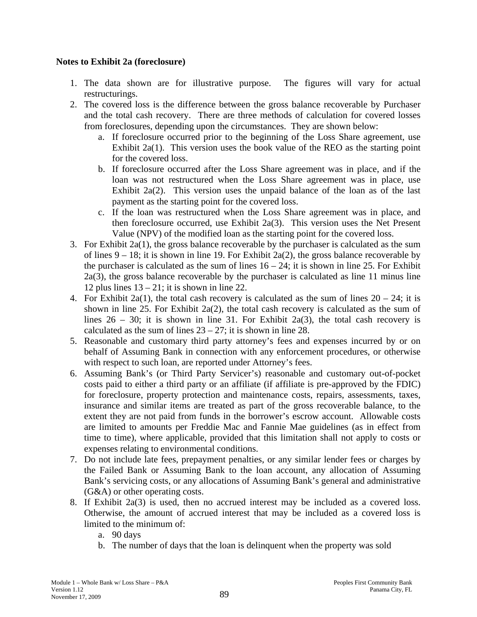## **Notes to Exhibit 2a (foreclosure)**

- 1. The data shown are for illustrative purpose. The figures will vary for actual restructurings.
- 2. The covered loss is the difference between the gross balance recoverable by Purchaser and the total cash recovery. There are three methods of calculation for covered losses from foreclosures, depending upon the circumstances. They are shown below:
	- a. If foreclosure occurred prior to the beginning of the Loss Share agreement, use Exhibit  $2a(1)$ . This version uses the book value of the REO as the starting point for the covered loss.
	- b. If foreclosure occurred after the Loss Share agreement was in place, and if the loan was not restructured when the Loss Share agreement was in place, use Exhibit 2a(2). This version uses the unpaid balance of the loan as of the last payment as the starting point for the covered loss.
	- c. If the loan was restructured when the Loss Share agreement was in place, and then foreclosure occurred, use Exhibit 2a(3). This version uses the Net Present Value (NPV) of the modified loan as the starting point for the covered loss.
- 3. For Exhibit  $2a(1)$ , the gross balance recoverable by the purchaser is calculated as the sum of lines  $9 - 18$ ; it is shown in line 19. For Exhibit 2a(2), the gross balance recoverable by the purchaser is calculated as the sum of lines  $16 - 24$ ; it is shown in line 25. For Exhibit 2a(3), the gross balance recoverable by the purchaser is calculated as line 11 minus line 12 plus lines  $13 - 21$ ; it is shown in line 22.
- 4. For Exhibit 2a(1), the total cash recovery is calculated as the sum of lines  $20 24$ ; it is shown in line 25. For Exhibit 2a(2), the total cash recovery is calculated as the sum of lines  $26 - 30$ ; it is shown in line 31. For Exhibit 2a(3), the total cash recovery is calculated as the sum of lines  $23 - 27$ ; it is shown in line 28.
- 5. Reasonable and customary third party attorney's fees and expenses incurred by or on behalf of Assuming Bank in connection with any enforcement procedures, or otherwise with respect to such loan, are reported under Attorney's fees.
- 6. Assuming Bank's (or Third Party Servicer's) reasonable and customary out-of-pocket costs paid to either a third party or an affiliate (if affiliate is pre-approved by the FDIC) for foreclosure, property protection and maintenance costs, repairs, assessments, taxes, insurance and similar items are treated as part of the gross recoverable balance, to the extent they are not paid from funds in the borrower's escrow account. Allowable costs are limited to amounts per Freddie Mac and Fannie Mae guidelines (as in effect from time to time), where applicable, provided that this limitation shall not apply to costs or expenses relating to environmental conditions.
- 7. Do not include late fees, prepayment penalties, or any similar lender fees or charges by the Failed Bank or Assuming Bank to the loan account, any allocation of Assuming Bank's servicing costs, or any allocations of Assuming Bank's general and administrative (G&A) or other operating costs.
- 8. If Exhibit  $2a(3)$  is used, then no accrued interest may be included as a covered loss. Otherwise, the amount of accrued interest that may be included as a covered loss is limited to the minimum of:
	- a. 90 days
	- b. The number of days that the loan is delinquent when the property was sold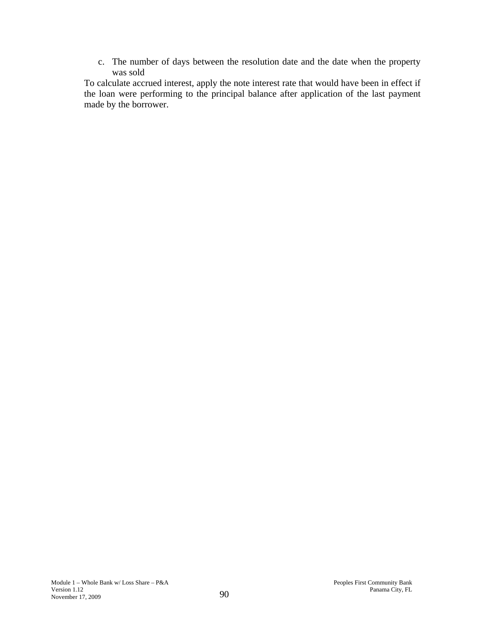c. The number of days between the resolution date and the date when the property was sold

To calculate accrued interest, apply the note interest rate that would have been in effect if the loan were performing to the principal balance after application of the last payment made by the borrower.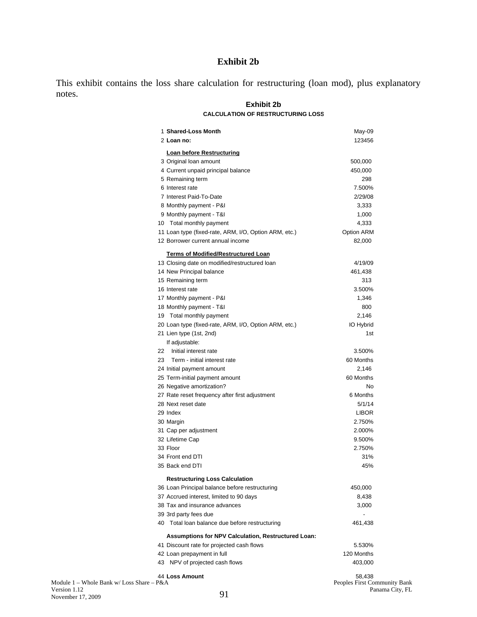# **Exhibit 2b**

This exhibit contains the loss share calculation for restructuring (loan mod), plus explanatory notes.

#### **Exhibit 2b CALCULATION OF RESTRUCTURING LOSS**

|                                                           | 1 Shared-Loss Month                                   | May-09                                                     |
|-----------------------------------------------------------|-------------------------------------------------------|------------------------------------------------------------|
|                                                           | 2 Loan no:                                            | 123456                                                     |
|                                                           | Loan before Restructuring                             |                                                            |
|                                                           | 3 Original loan amount                                | 500,000                                                    |
|                                                           | 4 Current unpaid principal balance                    | 450,000                                                    |
|                                                           | 5 Remaining term                                      | 298                                                        |
|                                                           | 6 Interest rate                                       | 7.500%                                                     |
|                                                           | 7 Interest Paid-To-Date                               | 2/29/08                                                    |
|                                                           | 8 Monthly payment - P&I                               | 3,333                                                      |
|                                                           | 9 Monthly payment - T&I                               | 1,000                                                      |
|                                                           | 10 Total monthly payment                              | 4,333                                                      |
|                                                           | 11 Loan type (fixed-rate, ARM, I/O, Option ARM, etc.) | <b>Option ARM</b>                                          |
|                                                           | 12 Borrower current annual income                     | 82,000                                                     |
|                                                           |                                                       |                                                            |
|                                                           | <b>Terms of Modified/Restructured Loan</b>            |                                                            |
|                                                           | 13 Closing date on modified/restructured loan         | 4/19/09                                                    |
|                                                           | 14 New Principal balance                              | 461,438                                                    |
|                                                           | 15 Remaining term                                     | 313                                                        |
|                                                           | 16 Interest rate                                      | 3.500%                                                     |
|                                                           | 17 Monthly payment - P&I                              | 1,346                                                      |
|                                                           | 18 Monthly payment - T&I                              | 800                                                        |
|                                                           | 19 Total monthly payment                              | 2,146                                                      |
|                                                           | 20 Loan type (fixed-rate, ARM, I/O, Option ARM, etc.) | IO Hybrid                                                  |
|                                                           | 21 Lien type (1st, 2nd)                               | 1st                                                        |
|                                                           | If adjustable:                                        |                                                            |
| 22                                                        | Initial interest rate                                 | 3.500%                                                     |
| 23                                                        | Term - initial interest rate                          | 60 Months                                                  |
|                                                           | 24 Initial payment amount                             | 2,146                                                      |
|                                                           | 25 Term-initial payment amount                        | 60 Months                                                  |
|                                                           | 26 Negative amortization?                             | No                                                         |
|                                                           | 27 Rate reset frequency after first adjustment        | 6 Months                                                   |
|                                                           | 28 Next reset date                                    | 5/1/14                                                     |
|                                                           | 29 Index                                              | <b>LIBOR</b>                                               |
|                                                           | 30 Margin                                             | 2.750%                                                     |
|                                                           | 31 Cap per adjustment                                 | 2.000%                                                     |
|                                                           | 32 Lifetime Cap                                       | 9.500%                                                     |
|                                                           | 33 Floor                                              | 2.750%                                                     |
|                                                           | 34 Front end DTI                                      | 31%                                                        |
|                                                           | 35 Back end DTI                                       | 45%                                                        |
|                                                           | <b>Restructuring Loss Calculation</b>                 |                                                            |
|                                                           | 36 Loan Principal balance before restructuring        | 450,000                                                    |
|                                                           | 37 Accrued interest, limited to 90 days               | 8,438                                                      |
|                                                           | 38 Tax and insurance advances                         | 3,000                                                      |
|                                                           | 39 3rd party fees due                                 |                                                            |
|                                                           | 40 Total loan balance due before restructuring        | 461,438                                                    |
|                                                           | Assumptions for NPV Calculation, Restructured Loan:   |                                                            |
|                                                           | 41 Discount rate for projected cash flows             | 5.530%                                                     |
|                                                           | 42 Loan prepayment in full                            | 120 Months                                                 |
|                                                           | 43 NPV of projected cash flows                        | 403,000                                                    |
|                                                           | 44 Loss Amount                                        | 58,438                                                     |
| Module 1 – Whole Bank w/ Loss Share – P&A<br>Varsion 1.12 |                                                       | Peoples First Community Bank<br>D <sub>onomo</sub> City EI |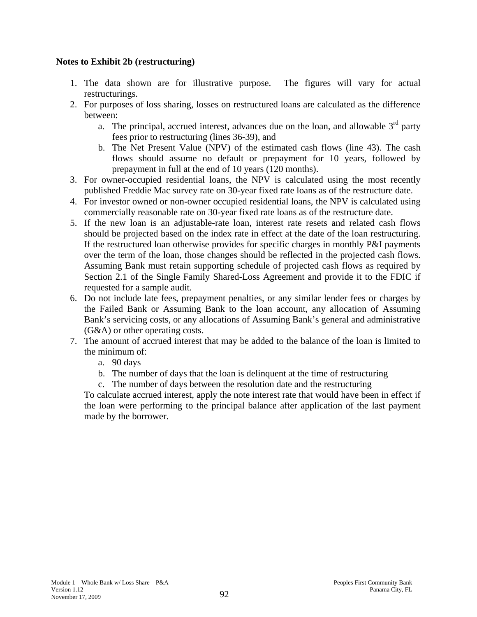## **Notes to Exhibit 2b (restructuring)**

- 1. The data shown are for illustrative purpose. The figures will vary for actual restructurings.
- 2. For purposes of loss sharing, losses on restructured loans are calculated as the difference between:
	- a. The principal, accrued interest, advances due on the loan, and allowable  $3<sup>rd</sup>$  party fees prior to restructuring (lines 36-39), and
	- b. The Net Present Value (NPV) of the estimated cash flows (line 43). The cash flows should assume no default or prepayment for 10 years, followed by prepayment in full at the end of 10 years (120 months).
- 3. For owner-occupied residential loans, the NPV is calculated using the most recently published Freddie Mac survey rate on 30-year fixed rate loans as of the restructure date.
- 4. For investor owned or non-owner occupied residential loans, the NPV is calculated using commercially reasonable rate on 30-year fixed rate loans as of the restructure date.
- 5. If the new loan is an adjustable-rate loan, interest rate resets and related cash flows should be projected based on the index rate in effect at the date of the loan restructuring. If the restructured loan otherwise provides for specific charges in monthly P&I payments over the term of the loan, those changes should be reflected in the projected cash flows. Assuming Bank must retain supporting schedule of projected cash flows as required by Section 2.1 of the Single Family Shared-Loss Agreement and provide it to the FDIC if requested for a sample audit.
- 6. Do not include late fees, prepayment penalties, or any similar lender fees or charges by the Failed Bank or Assuming Bank to the loan account, any allocation of Assuming Bank's servicing costs, or any allocations of Assuming Bank's general and administrative (G&A) or other operating costs.
- 7. The amount of accrued interest that may be added to the balance of the loan is limited to the minimum of:
	- a. 90 days
	- b. The number of days that the loan is delinquent at the time of restructuring
	- c. The number of days between the resolution date and the restructuring

To calculate accrued interest, apply the note interest rate that would have been in effect if the loan were performing to the principal balance after application of the last payment made by the borrower.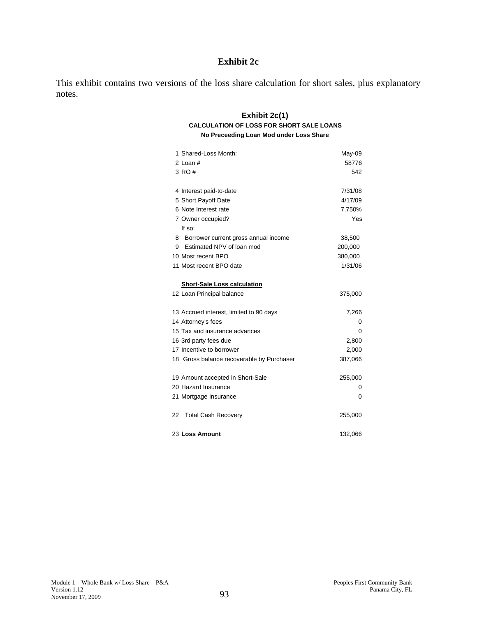### **Exhibit 2c**

This exhibit contains two versions of the loss share calculation for short sales, plus explanatory notes.

#### **Exhibit 2c(1) CALCULATION OF LOSS FOR SHORT SALE LOANS No Preceeding Loan Mod under Loss Share**

| 1 Shared-Loss Month:<br>2 Loan #<br>3 RO # | May-09<br>58776<br>542 |
|--------------------------------------------|------------------------|
| 4 Interest paid-to-date                    | 7/31/08                |
| 5 Short Payoff Date                        | 4/17/09                |
| 6 Note Interest rate                       | 7.750%                 |
| 7 Owner occupied?                          | Yes                    |
| If so:                                     |                        |
| Borrower current gross annual income<br>8  | 38,500                 |
| Estimated NPV of loan mod<br>9             | 200,000                |
| 10 Most recent BPO                         | 380,000                |
| 11 Most recent BPO date                    | 1/31/06                |
| <b>Short-Sale Loss calculation</b>         |                        |
| 12 Loan Principal balance                  | 375,000                |
| 13 Accrued interest, limited to 90 days    | 7,266                  |
| 14 Attorney's fees                         | 0                      |
| 15 Tax and insurance advances              | 0                      |
| 16 3rd party fees due                      | 2,800                  |
| 17 Incentive to borrower                   | 2,000                  |
| 18 Gross balance recoverable by Purchaser  | 387,066                |
| 19 Amount accepted in Short-Sale           | 255,000                |
| 20 Hazard Insurance                        | 0                      |
| 21 Mortgage Insurance                      | 0                      |
| 22 Total Cash Recovery                     | 255,000                |
| 23 Loss Amount                             | 132,066                |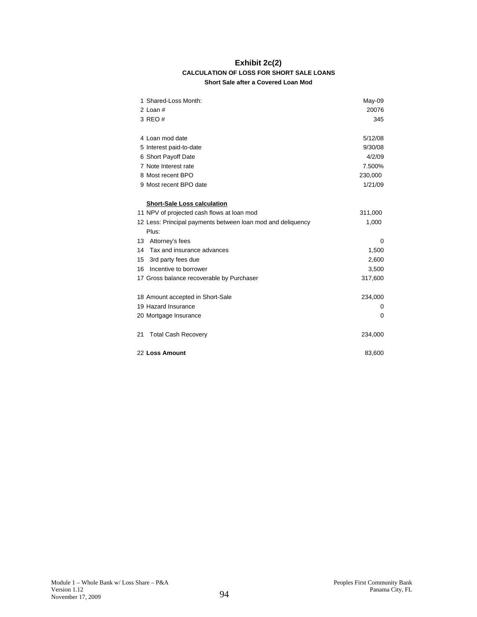#### **Exhibit 2c(2) CALCULATION OF LOSS FOR SHORT SALE LOANS Short Sale after a Covered Loan Mod**

| 1 Shared-Loss Month:                                        | May-09  |
|-------------------------------------------------------------|---------|
| 2 Loan $#$                                                  | 20076   |
| 3 REO #                                                     | 345     |
|                                                             |         |
| 4 Loan mod date                                             | 5/12/08 |
| 5 Interest paid-to-date                                     | 9/30/08 |
| 6 Short Payoff Date                                         | 4/2/09  |
| 7 Note Interest rate                                        | 7.500%  |
| 8 Most recent BPO                                           | 230,000 |
| 9 Most recent BPO date                                      | 1/21/09 |
|                                                             |         |
| <b>Short-Sale Loss calculation</b>                          |         |
| 11 NPV of projected cash flows at loan mod                  | 311,000 |
| 12 Less: Principal payments between loan mod and deliquency | 1,000   |
| Plus:                                                       |         |
| Attorney's fees<br>13                                       | 0       |
| Tax and insurance advances<br>14                            | 1,500   |
| 3rd party fees due<br>15                                    | 2,600   |
| 16<br>Incentive to borrower                                 | 3,500   |
| 17 Gross balance recoverable by Purchaser                   | 317,600 |
|                                                             |         |
| 18 Amount accepted in Short-Sale                            | 234,000 |
| 19 Hazard Insurance                                         | 0       |
| 20 Mortgage Insurance                                       | 0       |
|                                                             |         |
| <b>Total Cash Recovery</b><br>21                            | 234,000 |
|                                                             |         |
| 22 Loss Amount                                              | 83,600  |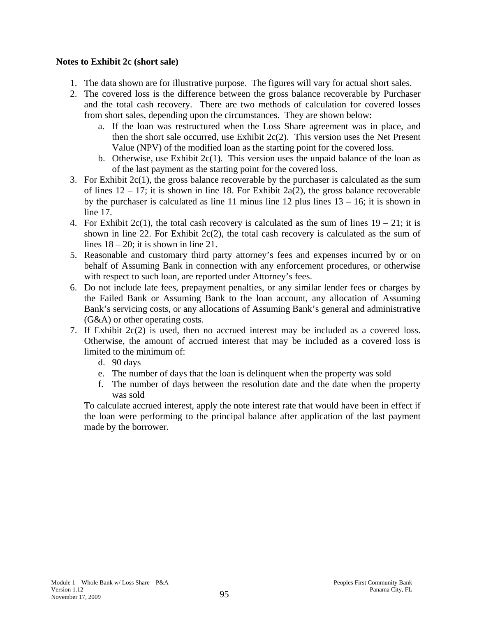## **Notes to Exhibit 2c (short sale)**

- 1. The data shown are for illustrative purpose. The figures will vary for actual short sales.
- 2. The covered loss is the difference between the gross balance recoverable by Purchaser and the total cash recovery. There are two methods of calculation for covered losses from short sales, depending upon the circumstances. They are shown below:
	- a. If the loan was restructured when the Loss Share agreement was in place, and then the short sale occurred, use Exhibit  $2c(2)$ . This version uses the Net Present Value (NPV) of the modified loan as the starting point for the covered loss.
	- b. Otherwise, use Exhibit  $2c(1)$ . This version uses the unpaid balance of the loan as of the last payment as the starting point for the covered loss.
- 3. For Exhibit  $2c(1)$ , the gross balance recoverable by the purchaser is calculated as the sum of lines  $12 - 17$ ; it is shown in line 18. For Exhibit 2a(2), the gross balance recoverable by the purchaser is calculated as line 11 minus line  $12$  plus lines  $13 - 16$ ; it is shown in line 17.
- 4. For Exhibit 2c(1), the total cash recovery is calculated as the sum of lines  $19 21$ ; it is shown in line 22. For Exhibit  $2c(2)$ , the total cash recovery is calculated as the sum of lines  $18 - 20$ ; it is shown in line 21.
- 5. Reasonable and customary third party attorney's fees and expenses incurred by or on behalf of Assuming Bank in connection with any enforcement procedures, or otherwise with respect to such loan, are reported under Attorney's fees.
- 6. Do not include late fees, prepayment penalties, or any similar lender fees or charges by the Failed Bank or Assuming Bank to the loan account, any allocation of Assuming Bank's servicing costs, or any allocations of Assuming Bank's general and administrative (G&A) or other operating costs.
- 7. If Exhibit  $2c(2)$  is used, then no accrued interest may be included as a covered loss. Otherwise, the amount of accrued interest that may be included as a covered loss is limited to the minimum of:
	- d.  $90 \text{ days}$
	- e. The number of days that the loan is delinquent when the property was sold
	- f. The number of days between the resolution date and the date when the property was sold

To calculate accrued interest, apply the note interest rate that would have been in effect if the loan were performing to the principal balance after application of the last payment made by the borrower.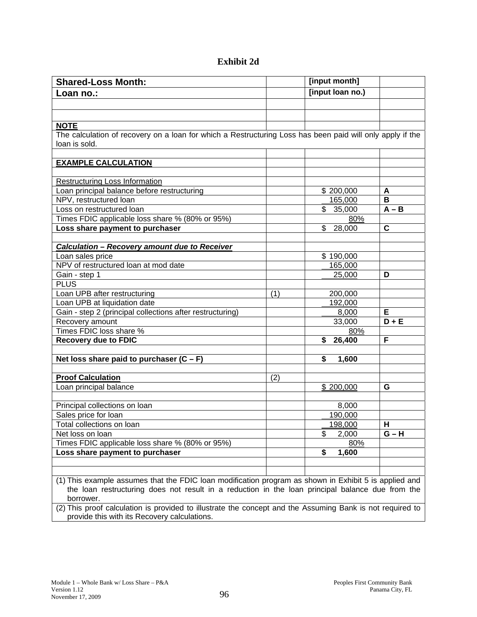# **Exhibit 2d**

| [input month]<br><b>Shared-Loss Month:</b>                                                                                                                |     |                    |             |  |
|-----------------------------------------------------------------------------------------------------------------------------------------------------------|-----|--------------------|-------------|--|
| Loan no.:                                                                                                                                                 |     |                    |             |  |
|                                                                                                                                                           |     |                    |             |  |
|                                                                                                                                                           |     |                    |             |  |
| <b>NOTE</b>                                                                                                                                               |     |                    |             |  |
| The calculation of recovery on a loan for which a Restructuring Loss has been paid will only apply if the                                                 |     |                    |             |  |
| loan is sold.                                                                                                                                             |     |                    |             |  |
|                                                                                                                                                           |     |                    |             |  |
| <b>EXAMPLE CALCULATION</b>                                                                                                                                |     |                    |             |  |
|                                                                                                                                                           |     |                    |             |  |
| <b>Restructuring Loss Information</b>                                                                                                                     |     |                    |             |  |
| Loan principal balance before restructuring                                                                                                               |     | \$200,000          | A           |  |
| NPV, restructured loan                                                                                                                                    |     | 165,000            | B           |  |
| Loss on restructured loan                                                                                                                                 |     | \$35,000           | $A - B$     |  |
| Times FDIC applicable loss share % (80% or 95%)                                                                                                           |     | 80%                |             |  |
| Loss share payment to purchaser                                                                                                                           |     | \$28,000           | $\mathbf C$ |  |
|                                                                                                                                                           |     |                    |             |  |
| Calculation - Recovery amount due to Receiver                                                                                                             |     |                    |             |  |
| Loan sales price                                                                                                                                          |     | \$190,000          |             |  |
| NPV of restructured loan at mod date                                                                                                                      |     | 165,000            |             |  |
| Gain - step 1                                                                                                                                             |     | 25,000             | D           |  |
| <b>PLUS</b>                                                                                                                                               |     |                    |             |  |
| Loan UPB after restructuring                                                                                                                              | (1) | 200,000<br>192,000 |             |  |
| Loan UPB at liquidation date<br>Gain - step 2 (principal collections after restructuring)                                                                 |     | 8,000              | Е           |  |
| Recovery amount                                                                                                                                           |     | 33,000             | $D + E$     |  |
| Times FDIC loss share %                                                                                                                                   |     | 80%                |             |  |
| <b>Recovery due to FDIC</b>                                                                                                                               |     | \$26,400           | F           |  |
|                                                                                                                                                           |     |                    |             |  |
| Net loss share paid to purchaser $(C - F)$                                                                                                                |     | \$<br>1,600        |             |  |
|                                                                                                                                                           |     |                    |             |  |
| <b>Proof Calculation</b>                                                                                                                                  | (2) |                    |             |  |
| Loan principal balance                                                                                                                                    |     | \$200,000          | G           |  |
|                                                                                                                                                           |     |                    |             |  |
| Principal collections on loan                                                                                                                             |     | 8,000              |             |  |
| Sales price for loan                                                                                                                                      |     | 190,000            |             |  |
| Total collections on loan                                                                                                                                 |     | 198,000            | H           |  |
| Net loss on loan                                                                                                                                          |     | \$<br>2,000        | $G - H$     |  |
| Times FDIC applicable loss share % (80% or 95%)                                                                                                           |     | 80%                |             |  |
| Loss share payment to purchaser                                                                                                                           |     | \$<br>1,600        |             |  |
|                                                                                                                                                           |     |                    |             |  |
|                                                                                                                                                           |     |                    |             |  |
| (1) This example assumes that the FDIC loan modification program as shown in Exhibit 5 is applied and                                                     |     |                    |             |  |
| the loan restructuring does not result in a reduction in the loan principal balance due from the                                                          |     |                    |             |  |
| borrower.                                                                                                                                                 |     |                    |             |  |
| (2) This proof calculation is provided to illustrate the concept and the Assuming Bank is not required to<br>provide this with its Recovery calculations. |     |                    |             |  |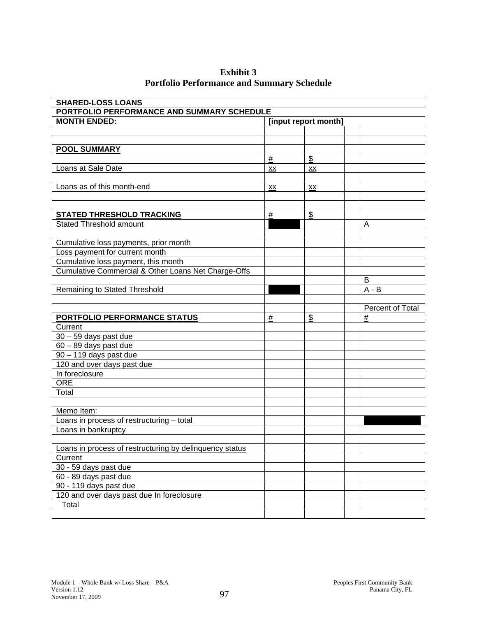| <b>SHARED-LOSS LOANS</b>                                |                      |               |                  |  |
|---------------------------------------------------------|----------------------|---------------|------------------|--|
| PORTFOLIO PERFORMANCE AND SUMMARY SCHEDULE              |                      |               |                  |  |
| <b>MONTH ENDED:</b>                                     | [input report month] |               |                  |  |
|                                                         |                      |               |                  |  |
|                                                         |                      |               |                  |  |
| <b>POOL SUMMARY</b>                                     |                      |               |                  |  |
|                                                         | $\#$                 | \$            |                  |  |
| Loans at Sale Date                                      | XX                   | XХ            |                  |  |
|                                                         |                      |               |                  |  |
| Loans as of this month-end                              | XX                   | XX            |                  |  |
|                                                         |                      |               |                  |  |
|                                                         |                      |               |                  |  |
| <b>STATED THRESHOLD TRACKING</b>                        | $\#$                 | $\frac{2}{2}$ |                  |  |
| <b>Stated Threshold amount</b>                          |                      |               | A                |  |
| Cumulative loss payments, prior month                   |                      |               |                  |  |
| Loss payment for current month                          |                      |               |                  |  |
| Cumulative loss payment, this month                     |                      |               |                  |  |
| Cumulative Commercial & Other Loans Net Charge-Offs     |                      |               |                  |  |
|                                                         |                      |               | B                |  |
| Remaining to Stated Threshold                           |                      |               | $A - B$          |  |
|                                                         |                      |               |                  |  |
|                                                         |                      |               | Percent of Total |  |
| <b>PORTFOLIO PERFORMANCE STATUS</b>                     | $\#$                 | \$            | $\#$             |  |
| Current                                                 |                      |               |                  |  |
| $30 - 59$ days past due                                 |                      |               |                  |  |
| $60 - 89$ days past due                                 |                      |               |                  |  |
| $90 - 119$ days past due                                |                      |               |                  |  |
| 120 and over days past due                              |                      |               |                  |  |
| In foreclosure                                          |                      |               |                  |  |
| <b>ORE</b>                                              |                      |               |                  |  |
| Total                                                   |                      |               |                  |  |
|                                                         |                      |               |                  |  |
| Memo Item:                                              |                      |               |                  |  |
| Loans in process of restructuring - total               |                      |               |                  |  |
| Loans in bankruptcy                                     |                      |               |                  |  |
|                                                         |                      |               |                  |  |
| Loans in process of restructuring by delinquency status |                      |               |                  |  |
| Current                                                 |                      |               |                  |  |
| 30 - 59 days past due                                   |                      |               |                  |  |
| 60 - 89 days past due                                   |                      |               |                  |  |
| 90 - 119 days past due                                  |                      |               |                  |  |
| 120 and over days past due In foreclosure               |                      |               |                  |  |
| Total                                                   |                      |               |                  |  |
|                                                         |                      |               |                  |  |

**Exhibit 3 Portfolio Performance and Summary Schedule**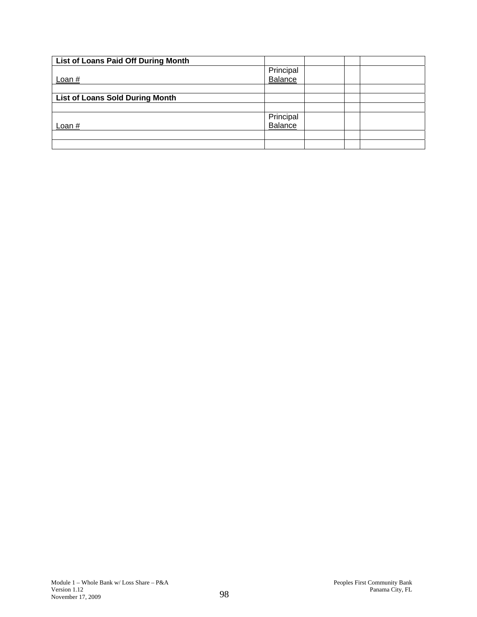| List of Loans Paid Off During Month    |                |  |  |
|----------------------------------------|----------------|--|--|
|                                        | Principal      |  |  |
| Loan $#$                               | <b>Balance</b> |  |  |
|                                        |                |  |  |
| <b>List of Loans Sold During Month</b> |                |  |  |
|                                        |                |  |  |
|                                        | Principal      |  |  |
| Loan $#$                               | Balance        |  |  |
|                                        |                |  |  |
|                                        |                |  |  |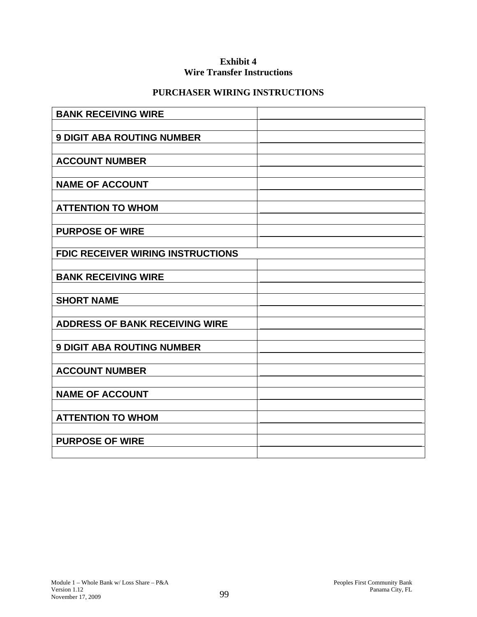## **Exhibit 4 Wire Transfer Instructions**

# **PURCHASER WIRING INSTRUCTIONS**

| <b>BANK RECEIVING WIRE</b>               |  |
|------------------------------------------|--|
|                                          |  |
| <b>9 DIGIT ABA ROUTING NUMBER</b>        |  |
|                                          |  |
| <b>ACCOUNT NUMBER</b>                    |  |
|                                          |  |
| <b>NAME OF ACCOUNT</b>                   |  |
|                                          |  |
| <b>ATTENTION TO WHOM</b>                 |  |
|                                          |  |
| <b>PURPOSE OF WIRE</b>                   |  |
| <b>FDIC RECEIVER WIRING INSTRUCTIONS</b> |  |
|                                          |  |
| <b>BANK RECEIVING WIRE</b>               |  |
|                                          |  |
| <b>SHORT NAME</b>                        |  |
|                                          |  |
| <b>ADDRESS OF BANK RECEIVING WIRE</b>    |  |
|                                          |  |
| <b>9 DIGIT ABA ROUTING NUMBER</b>        |  |
|                                          |  |
| <b>ACCOUNT NUMBER</b>                    |  |
|                                          |  |
| <b>NAME OF ACCOUNT</b>                   |  |
|                                          |  |
| <b>ATTENTION TO WHOM</b>                 |  |
|                                          |  |
| <b>PURPOSE OF WIRE</b>                   |  |
|                                          |  |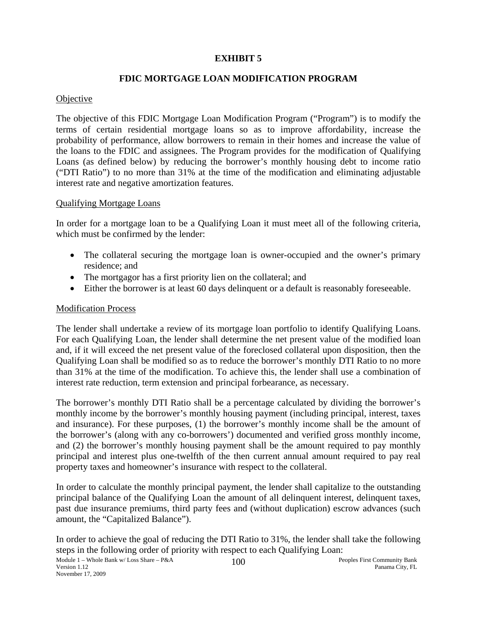## **EXHIBIT 5**

## **FDIC MORTGAGE LOAN MODIFICATION PROGRAM**

## **Objective**

The objective of this FDIC Mortgage Loan Modification Program ("Program") is to modify the terms of certain residential mortgage loans so as to improve affordability, increase the probability of performance, allow borrowers to remain in their homes and increase the value of the loans to the FDIC and assignees. The Program provides for the modification of Qualifying Loans (as defined below) by reducing the borrower's monthly housing debt to income ratio ("DTI Ratio") to no more than 31% at the time of the modification and eliminating adjustable interest rate and negative amortization features.

### Qualifying Mortgage Loans

In order for a mortgage loan to be a Qualifying Loan it must meet all of the following criteria, which must be confirmed by the lender:

- The collateral securing the mortgage loan is owner-occupied and the owner's primary residence; and
- The mortgagor has a first priority lien on the collateral; and
- Either the borrower is at least 60 days delinquent or a default is reasonably foreseeable.

### Modification Process

The lender shall undertake a review of its mortgage loan portfolio to identify Qualifying Loans. For each Qualifying Loan, the lender shall determine the net present value of the modified loan and, if it will exceed the net present value of the foreclosed collateral upon disposition, then the Qualifying Loan shall be modified so as to reduce the borrower's monthly DTI Ratio to no more than 31% at the time of the modification. To achieve this, the lender shall use a combination of interest rate reduction, term extension and principal forbearance, as necessary.

The borrower's monthly DTI Ratio shall be a percentage calculated by dividing the borrower's monthly income by the borrower's monthly housing payment (including principal, interest, taxes and insurance). For these purposes, (1) the borrower's monthly income shall be the amount of the borrower's (along with any co-borrowers') documented and verified gross monthly income, and (2) the borrower's monthly housing payment shall be the amount required to pay monthly principal and interest plus one-twelfth of the then current annual amount required to pay real property taxes and homeowner's insurance with respect to the collateral.

In order to calculate the monthly principal payment, the lender shall capitalize to the outstanding principal balance of the Qualifying Loan the amount of all delinquent interest, delinquent taxes, past due insurance premiums, third party fees and (without duplication) escrow advances (such amount, the "Capitalized Balance").

In order to achieve the goal of reducing the DTI Ratio to 31%, the lender shall take the following steps in the following order of priority with respect to each Qualifying Loan: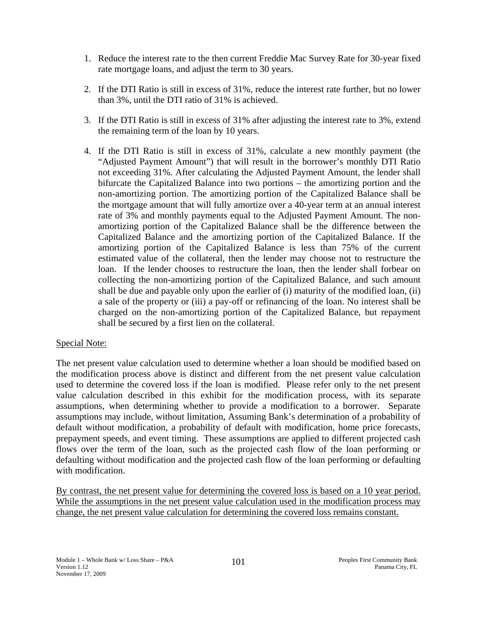- 1. Reduce the interest rate to the then current Freddie Mac Survey Rate for 30-year fixed rate mortgage loans, and adjust the term to 30 years.
- 2. If the DTI Ratio is still in excess of  $31\%$ , reduce the interest rate further, but no lower than 3%, until the DTI ratio of 31% is achieved.
- 3. If the DTI Ratio is still in excess of 31% after adjusting the interest rate to 3%, extend the remaining term of the loan by 10 years.
- 4. If the DTI Ratio is still in excess of 31%, calculate a new monthly payment (the "Adjusted Payment Amount") that will result in the borrower's monthly DTI Ratio not exceeding 31%. After calculating the Adjusted Payment Amount, the lender shall bifurcate the Capitalized Balance into two portions – the amortizing portion and the non-amortizing portion. The amortizing portion of the Capitalized Balance shall be the mortgage amount that will fully amortize over a 40-year term at an annual interest rate of 3% and monthly payments equal to the Adjusted Payment Amount. The nonamortizing portion of the Capitalized Balance shall be the difference between the Capitalized Balance and the amortizing portion of the Capitalized Balance. If the amortizing portion of the Capitalized Balance is less than 75% of the current estimated value of the collateral, then the lender may choose not to restructure the loan. If the lender chooses to restructure the loan, then the lender shall forbear on collecting the non-amortizing portion of the Capitalized Balance, and such amount shall be due and payable only upon the earlier of (i) maturity of the modified loan, (ii) a sale of the property or (iii) a pay-off or refinancing of the loan. No interest shall be charged on the non-amortizing portion of the Capitalized Balance, but repayment shall be secured by a first lien on the collateral.

# Special Note:

The net present value calculation used to determine whether a loan should be modified based on the modification process above is distinct and different from the net present value calculation used to determine the covered loss if the loan is modified. Please refer only to the net present value calculation described in this exhibit for the modification process, with its separate assumptions, when determining whether to provide a modification to a borrower. Separate assumptions may include, without limitation, Assuming Bank's determination of a probability of default without modification, a probability of default with modification, home price forecasts, prepayment speeds, and event timing. These assumptions are applied to different projected cash flows over the term of the loan, such as the projected cash flow of the loan performing or defaulting without modification and the projected cash flow of the loan performing or defaulting with modification.

change, the net present value calculation for determining the covered loss remains constant.<br>Module 1 – Whole Bank w/ Loss Share – P&A Peoples First Community Bank Peoples First Community Bank 101 Panama City, FL By contrast, the net present value for determining the covered loss is based on a 10 year period. While the assumptions in the net present value calculation used in the modification process may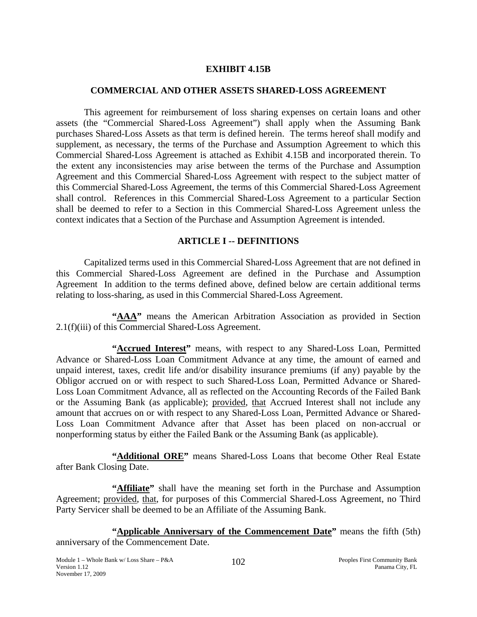### **EXHIBIT 4.15B**

#### **COMMERCIAL AND OTHER ASSETS SHARED-LOSS AGREEMENT**

This agreement for reimbursement of loss sharing expenses on certain loans and other assets (the "Commercial Shared-Loss Agreement") shall apply when the Assuming Bank purchases Shared-Loss Assets as that term is defined herein. The terms hereof shall modify and supplement, as necessary, the terms of the Purchase and Assumption Agreement to which this Commercial Shared-Loss Agreement is attached as Exhibit 4.15B and incorporated therein. To the extent any inconsistencies may arise between the terms of the Purchase and Assumption Agreement and this Commercial Shared-Loss Agreement with respect to the subject matter of this Commercial Shared-Loss Agreement, the terms of this Commercial Shared-Loss Agreement shall control. References in this Commercial Shared-Loss Agreement to a particular Section shall be deemed to refer to a Section in this Commercial Shared-Loss Agreement unless the context indicates that a Section of the Purchase and Assumption Agreement is intended.

#### **ARTICLE I -- DEFINITIONS**

Capitalized terms used in this Commercial Shared-Loss Agreement that are not defined in this Commercial Shared-Loss Agreement are defined in the Purchase and Assumption Agreement In addition to the terms defined above, defined below are certain additional terms relating to loss-sharing, as used in this Commercial Shared-Loss Agreement.

"AAA" means the American Arbitration Association as provided in Section 2.1(f)(iii) of this Commercial Shared-Loss Agreement.

**"Accrued Interest"** means, with respect to any Shared-Loss Loan, Permitted Advance or Shared-Loss Loan Commitment Advance at any time, the amount of earned and unpaid interest, taxes, credit life and/or disability insurance premiums (if any) payable by the Obligor accrued on or with respect to such Shared-Loss Loan, Permitted Advance or Shared-Loss Loan Commitment Advance, all as reflected on the Accounting Records of the Failed Bank or the Assuming Bank (as applicable); provided, that Accrued Interest shall not include any amount that accrues on or with respect to any Shared-Loss Loan, Permitted Advance or Shared-Loss Loan Commitment Advance after that Asset has been placed on non-accrual or nonperforming status by either the Failed Bank or the Assuming Bank (as applicable).

"**Additional ORE**" means Shared-Loss Loans that become Other Real Estate after Bank Closing Date.

"**Affiliate**" shall have the meaning set forth in the Purchase and Assumption Agreement; provided, that, for purposes of this Commercial Shared-Loss Agreement, no Third Party Servicer shall be deemed to be an Affiliate of the Assuming Bank.

**Examplicable Anniversary of the Commencement Date**" means the fifth (5th) anniversary of the Commencement Date.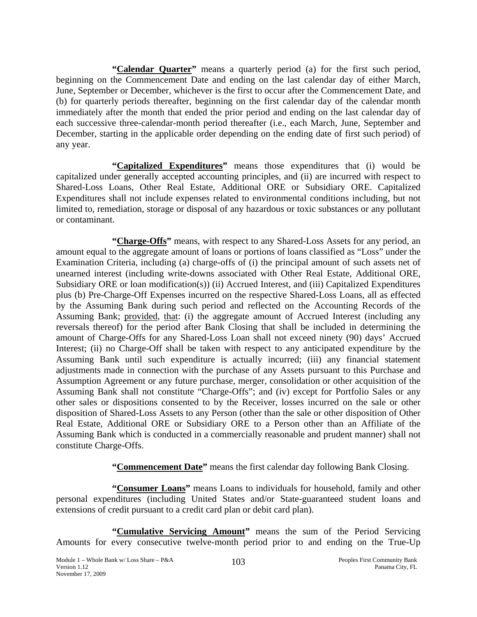"Calendar Quarter" means a quarterly period (a) for the first such period, beginning on the Commencement Date and ending on the last calendar day of either March, June, September or December, whichever is the first to occur after the Commencement Date, and (b) for quarterly periods thereafter, beginning on the first calendar day of the calendar month immediately after the month that ended the prior period and ending on the last calendar day of each successive three-calendar-month period thereafter (i.e., each March, June, September and December, starting in the applicable order depending on the ending date of first such period) of any year.

**"Capitalized Expenditures"** means those expenditures that (i) would be capitalized under generally accepted accounting principles, and (ii) are incurred with respect to Shared-Loss Loans, Other Real Estate, Additional ORE or Subsidiary ORE. Capitalized Expenditures shall not include expenses related to environmental conditions including, but not limited to, remediation, storage or disposal of any hazardous or toxic substances or any pollutant or contaminant.

**"Charge-Offs"** means, with respect to any Shared-Loss Assets for any period, an amount equal to the aggregate amount of loans or portions of loans classified as "Loss" under the Examination Criteria, including (a) charge-offs of (i) the principal amount of such assets net of unearned interest (including write-downs associated with Other Real Estate, Additional ORE, Subsidiary ORE or loan modification(s)) (ii) Accrued Interest, and (iii) Capitalized Expenditures plus (b) Pre-Charge-Off Expenses incurred on the respective Shared-Loss Loans, all as effected by the Assuming Bank during such period and reflected on the Accounting Records of the Assuming Bank; provided, that: (i) the aggregate amount of Accrued Interest (including any reversals thereof) for the period after Bank Closing that shall be included in determining the amount of Charge-Offs for any Shared-Loss Loan shall not exceed ninety (90) days' Accrued Interest; (ii) no Charge-Off shall be taken with respect to any anticipated expenditure by the Assuming Bank until such expenditure is actually incurred; (iii) any financial statement adjustments made in connection with the purchase of any Assets pursuant to this Purchase and Assumption Agreement or any future purchase, merger, consolidation or other acquisition of the Assuming Bank shall not constitute "Charge-Offs"; and (iv) except for Portfolio Sales or any other sales or dispositions consented to by the Receiver, losses incurred on the sale or other disposition of Shared-Loss Assets to any Person (other than the sale or other disposition of Other Real Estate, Additional ORE or Subsidiary ORE to a Person other than an Affiliate of the Assuming Bank which is conducted in a commercially reasonable and prudent manner) shall not constitute Charge-Offs.

**"Commencement Date"** means the first calendar day following Bank Closing.

**"Consumer Loans"** means Loans to individuals for household, family and other personal expenditures (including United States and/or State-guaranteed student loans and extensions of credit pursuant to a credit card plan or debit card plan).

**"Cumulative Servicing Amount"** means the sum of the Period Servicing Amounts for every consecutive twelve-month period prior to and ending on the True-Up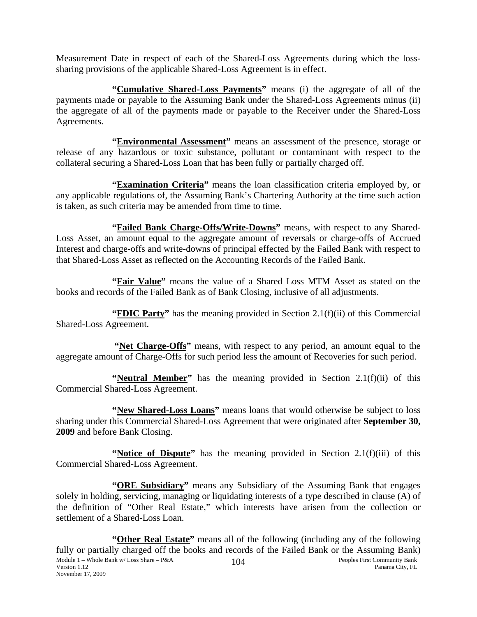Measurement Date in respect of each of the Shared-Loss Agreements during which the losssharing provisions of the applicable Shared-Loss Agreement is in effect.

**"Cumulative Shared-Loss Payments"** means (i) the aggregate of all of the payments made or payable to the Assuming Bank under the Shared-Loss Agreements minus (ii) the aggregate of all of the payments made or payable to the Receiver under the Shared-Loss Agreements.

**"Environmental Assessment"** means an assessment of the presence, storage or release of any hazardous or toxic substance, pollutant or contaminant with respect to the collateral securing a Shared-Loss Loan that has been fully or partially charged off.

**"Examination Criteria"** means the loan classification criteria employed by, or any applicable regulations of, the Assuming Bank's Chartering Authority at the time such action is taken, as such criteria may be amended from time to time.

**"Failed Bank Charge-Offs/Write-Downs"** means, with respect to any Shared-Loss Asset, an amount equal to the aggregate amount of reversals or charge-offs of Accrued Interest and charge-offs and write-downs of principal effected by the Failed Bank with respect to that Shared-Loss Asset as reflected on the Accounting Records of the Failed Bank.

**"Fair Value"** means the value of a Shared Loss MTM Asset as stated on the books and records of the Failed Bank as of Bank Closing, inclusive of all adjustments.

**"FDIC Party"** has the meaning provided in Section 2.1(f)(ii) of this Commercial Shared-Loss Agreement.

**"Net Charge-Offs"** means, with respect to any period, an amount equal to the aggregate amount of Charge-Offs for such period less the amount of Recoveries for such period.

 Commercial Shared-Loss Agreement. "Neutral Member" has the meaning provided in Section 2.1(f)(ii) of this

**"New Shared-Loss Loans"** means loans that would otherwise be subject to loss sharing under this Commercial Shared-Loss Agreement that were originated after **September 30, 2009** and before Bank Closing.

**"Notice of Dispute"** has the meaning provided in Section 2.1(f)(iii) of this Commercial Shared-Loss Agreement.

**"ORE Subsidiary"** means any Subsidiary of the Assuming Bank that engages solely in holding, servicing, managing or liquidating interests of a type described in clause (A) of the definition of "Other Real Estate," which interests have arisen from the collection or settlement of a Shared-Loss Loan.

**"Other Real Estate"** means all of the following (including any of the following fully or partially charged off the books and records of the Failed Bank or the Assuming Bank) Module 1 – Whole Bank w/ Loss Share – P&A 104 Peoples First Community Bank 104 Peoples First Community Bank Peoples First Community Bank 104 Peoples First Community Bank Panama City, FL November 17, 2009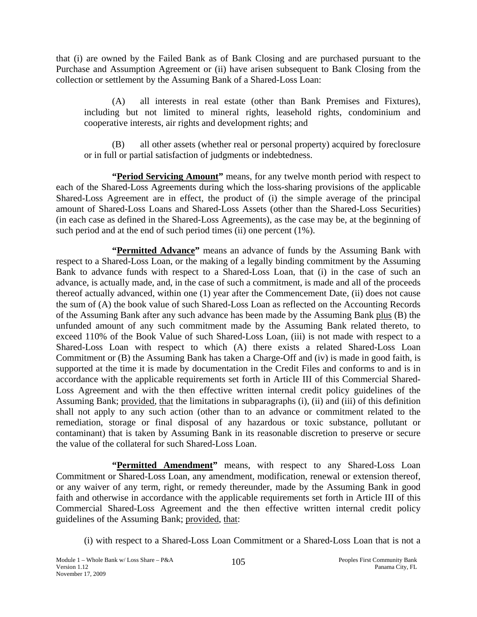that (i) are owned by the Failed Bank as of Bank Closing and are purchased pursuant to the Purchase and Assumption Agreement or (ii) have arisen subsequent to Bank Closing from the collection or settlement by the Assuming Bank of a Shared-Loss Loan:

(A) all interests in real estate (other than Bank Premises and Fixtures), including but not limited to mineral rights, leasehold rights, condominium and cooperative interests, air rights and development rights; and

(B) all other assets (whether real or personal property) acquired by foreclosure or in full or partial satisfaction of judgments or indebtedness.

**"Period Servicing Amount"** means, for any twelve month period with respect to each of the Shared-Loss Agreements during which the loss-sharing provisions of the applicable Shared-Loss Agreement are in effect, the product of (i) the simple average of the principal amount of Shared-Loss Loans and Shared-Loss Assets (other than the Shared-Loss Securities) (in each case as defined in the Shared-Loss Agreements), as the case may be, at the beginning of such period and at the end of such period times (ii) one percent (1%).

**"Permitted Advance"** means an advance of funds by the Assuming Bank with respect to a Shared-Loss Loan, or the making of a legally binding commitment by the Assuming Bank to advance funds with respect to a Shared-Loss Loan, that (i) in the case of such an advance, is actually made, and, in the case of such a commitment, is made and all of the proceeds thereof actually advanced, within one (1) year after the Commencement Date, (ii) does not cause the sum of (A) the book value of such Shared-Loss Loan as reflected on the Accounting Records of the Assuming Bank after any such advance has been made by the Assuming Bank plus (B) the unfunded amount of any such commitment made by the Assuming Bank related thereto, to exceed 110% of the Book Value of such Shared-Loss Loan, (iii) is not made with respect to a Shared-Loss Loan with respect to which (A) there exists a related Shared-Loss Loan Commitment or (B) the Assuming Bank has taken a Charge-Off and (iv) is made in good faith, is supported at the time it is made by documentation in the Credit Files and conforms to and is in accordance with the applicable requirements set forth in Article III of this Commercial Shared-Loss Agreement and with the then effective written internal credit policy guidelines of the Assuming Bank; provided, that the limitations in subparagraphs (i), (ii) and (iii) of this definition shall not apply to any such action (other than to an advance or commitment related to the remediation, storage or final disposal of any hazardous or toxic substance, pollutant or contaminant) that is taken by Assuming Bank in its reasonable discretion to preserve or secure the value of the collateral for such Shared-Loss Loan.

"Permitted Amendment" means, with respect to any Shared-Loss Loan Commitment or Shared-Loss Loan, any amendment, modification, renewal or extension thereof, or any waiver of any term, right, or remedy thereunder, made by the Assuming Bank in good faith and otherwise in accordance with the applicable requirements set forth in Article III of this Commercial Shared-Loss Agreement and the then effective written internal credit policy guidelines of the Assuming Bank; provided, that:

(i) with respect to a Shared-Loss Loan Commitment or a Shared-Loss Loan that is not a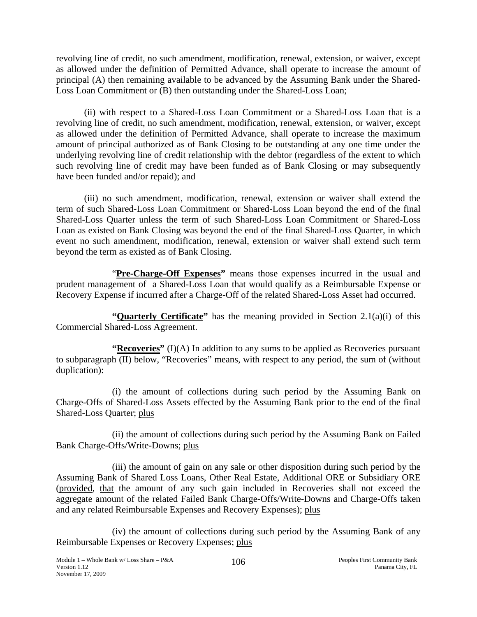revolving line of credit, no such amendment, modification, renewal, extension, or waiver, except as allowed under the definition of Permitted Advance, shall operate to increase the amount of principal (A) then remaining available to be advanced by the Assuming Bank under the Shared-Loss Loan Commitment or (B) then outstanding under the Shared-Loss Loan;

(ii) with respect to a Shared-Loss Loan Commitment or a Shared-Loss Loan that is a revolving line of credit, no such amendment, modification, renewal, extension, or waiver, except as allowed under the definition of Permitted Advance, shall operate to increase the maximum amount of principal authorized as of Bank Closing to be outstanding at any one time under the underlying revolving line of credit relationship with the debtor (regardless of the extent to which such revolving line of credit may have been funded as of Bank Closing or may subsequently have been funded and/or repaid); and

(iii) no such amendment, modification, renewal, extension or waiver shall extend the term of such Shared-Loss Loan Commitment or Shared-Loss Loan beyond the end of the final Shared-Loss Quarter unless the term of such Shared-Loss Loan Commitment or Shared-Loss Loan as existed on Bank Closing was beyond the end of the final Shared-Loss Quarter, in which event no such amendment, modification, renewal, extension or waiver shall extend such term beyond the term as existed as of Bank Closing.

"**Pre-Charge-Off Expenses"** means those expenses incurred in the usual and prudent management of a Shared-Loss Loan that would qualify as a Reimbursable Expense or Recovery Expense if incurred after a Charge-Off of the related Shared-Loss Asset had occurred.

**"Quarterly Certificate"** has the meaning provided in Section 2.1(a)(i) of this Commercial Shared-Loss Agreement.

**"Recoveries"** (I)(A) In addition to any sums to be applied as Recoveries pursuant to subparagraph (II) below, "Recoveries" means, with respect to any period, the sum of (without duplication):

**Shared-Loss Quarter; plus** (i) the amount of collections during such period by the Assuming Bank on Charge-Offs of Shared-Loss Assets effected by the Assuming Bank prior to the end of the final

(ii) the amount of collections during such period by the Assuming Bank on Failed Bank Charge-Offs/Write-Downs; plus

(iii) the amount of gain on any sale or other disposition during such period by the Assuming Bank of Shared Loss Loans, Other Real Estate, Additional ORE or Subsidiary ORE (provided, that the amount of any such gain included in Recoveries shall not exceed the aggregate amount of the related Failed Bank Charge-Offs/Write-Downs and Charge-Offs taken and any related Reimbursable Expenses and Recovery Expenses); plus

(iv) the amount of collections during such period by the Assuming Bank of any Reimbursable Expenses or Recovery Expenses; plus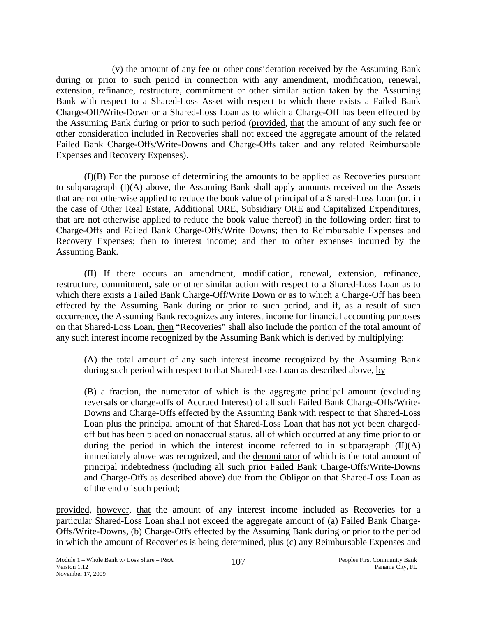(v) the amount of any fee or other consideration received by the Assuming Bank during or prior to such period in connection with any amendment, modification, renewal, extension, refinance, restructure, commitment or other similar action taken by the Assuming Bank with respect to a Shared-Loss Asset with respect to which there exists a Failed Bank Charge-Off/Write-Down or a Shared-Loss Loan as to which a Charge-Off has been effected by the Assuming Bank during or prior to such period (provided, that the amount of any such fee or other consideration included in Recoveries shall not exceed the aggregate amount of the related Failed Bank Charge-Offs/Write-Downs and Charge-Offs taken and any related Reimbursable Expenses and Recovery Expenses).

(I)(B) For the purpose of determining the amounts to be applied as Recoveries pursuant to subparagraph (I)(A) above, the Assuming Bank shall apply amounts received on the Assets that are not otherwise applied to reduce the book value of principal of a Shared-Loss Loan (or, in the case of Other Real Estate, Additional ORE, Subsidiary ORE and Capitalized Expenditures, that are not otherwise applied to reduce the book value thereof) in the following order: first to Charge-Offs and Failed Bank Charge-Offs/Write Downs; then to Reimbursable Expenses and Recovery Expenses; then to interest income; and then to other expenses incurred by the Assuming Bank.

(II) If there occurs an amendment, modification, renewal, extension, refinance, restructure, commitment, sale or other similar action with respect to a Shared-Loss Loan as to which there exists a Failed Bank Charge-Off/Write Down or as to which a Charge-Off has been effected by the Assuming Bank during or prior to such period, and if, as a result of such occurrence, the Assuming Bank recognizes any interest income for financial accounting purposes on that Shared-Loss Loan, then "Recoveries" shall also include the portion of the total amount of any such interest income recognized by the Assuming Bank which is derived by multiplying:

(A) the total amount of any such interest income recognized by the Assuming Bank during such period with respect to that Shared-Loss Loan as described above, by

(B) a fraction, the numerator of which is the aggregate principal amount (excluding reversals or charge-offs of Accrued Interest) of all such Failed Bank Charge-Offs/Write-Downs and Charge-Offs effected by the Assuming Bank with respect to that Shared-Loss Loan plus the principal amount of that Shared-Loss Loan that has not yet been chargedoff but has been placed on nonaccrual status, all of which occurred at any time prior to or during the period in which the interest income referred to in subparagraph (II)(A) immediately above was recognized, and the denominator of which is the total amount of principal indebtedness (including all such prior Failed Bank Charge-Offs/Write-Downs and Charge-Offs as described above) due from the Obligor on that Shared-Loss Loan as of the end of such period;

provided, however, that the amount of any interest income included as Recoveries for a particular Shared-Loss Loan shall not exceed the aggregate amount of (a) Failed Bank Charge-Offs/Write-Downs, (b) Charge-Offs effected by the Assuming Bank during or prior to the period in which the amount of Recoveries is being determined, plus (c) any Reimbursable Expenses and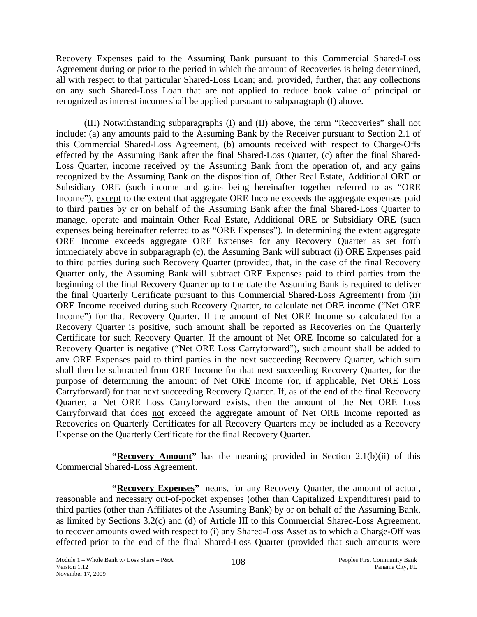Recovery Expenses paid to the Assuming Bank pursuant to this Commercial Shared-Loss Agreement during or prior to the period in which the amount of Recoveries is being determined, all with respect to that particular Shared-Loss Loan; and, provided, further, that any collections on any such Shared-Loss Loan that are not applied to reduce book value of principal or recognized as interest income shall be applied pursuant to subparagraph (I) above.

(III) Notwithstanding subparagraphs (I) and (II) above, the term "Recoveries" shall not include: (a) any amounts paid to the Assuming Bank by the Receiver pursuant to Section 2.1 of this Commercial Shared-Loss Agreement, (b) amounts received with respect to Charge-Offs effected by the Assuming Bank after the final Shared-Loss Quarter, (c) after the final Shared-Loss Quarter, income received by the Assuming Bank from the operation of, and any gains recognized by the Assuming Bank on the disposition of, Other Real Estate, Additional ORE or Subsidiary ORE (such income and gains being hereinafter together referred to as "ORE Income"), except to the extent that aggregate ORE Income exceeds the aggregate expenses paid to third parties by or on behalf of the Assuming Bank after the final Shared-Loss Quarter to manage, operate and maintain Other Real Estate, Additional ORE or Subsidiary ORE (such expenses being hereinafter referred to as "ORE Expenses"). In determining the extent aggregate ORE Income exceeds aggregate ORE Expenses for any Recovery Quarter as set forth immediately above in subparagraph (c), the Assuming Bank will subtract (i) ORE Expenses paid to third parties during such Recovery Quarter (provided, that, in the case of the final Recovery Quarter only, the Assuming Bank will subtract ORE Expenses paid to third parties from the beginning of the final Recovery Quarter up to the date the Assuming Bank is required to deliver the final Quarterly Certificate pursuant to this Commercial Shared-Loss Agreement) from (ii) ORE Income received during such Recovery Quarter, to calculate net ORE income ("Net ORE Income") for that Recovery Quarter. If the amount of Net ORE Income so calculated for a Recovery Quarter is positive, such amount shall be reported as Recoveries on the Quarterly Certificate for such Recovery Quarter. If the amount of Net ORE Income so calculated for a Recovery Quarter is negative ("Net ORE Loss Carryforward"), such amount shall be added to any ORE Expenses paid to third parties in the next succeeding Recovery Quarter, which sum shall then be subtracted from ORE Income for that next succeeding Recovery Quarter, for the purpose of determining the amount of Net ORE Income (or, if applicable, Net ORE Loss Carryforward) for that next succeeding Recovery Quarter. If, as of the end of the final Recovery Quarter, a Net ORE Loss Carryforward exists, then the amount of the Net ORE Loss Carryforward that does not exceed the aggregate amount of Net ORE Income reported as Recoveries on Quarterly Certificates for all Recovery Quarters may be included as a Recovery Expense on the Quarterly Certificate for the final Recovery Quarter.

**"Recovery Amount"** has the meaning provided in Section 2.1(b)(ii) of this Commercial Shared-Loss Agreement.

**"Recovery Expenses"** means, for any Recovery Quarter, the amount of actual, reasonable and necessary out-of-pocket expenses (other than Capitalized Expenditures) paid to third parties (other than Affiliates of the Assuming Bank) by or on behalf of the Assuming Bank, as limited by Sections 3.2(c) and (d) of Article III to this Commercial Shared-Loss Agreement, to recover amounts owed with respect to (i) any Shared-Loss Asset as to which a Charge-Off was effected prior to the end of the final Shared-Loss Quarter (provided that such amounts were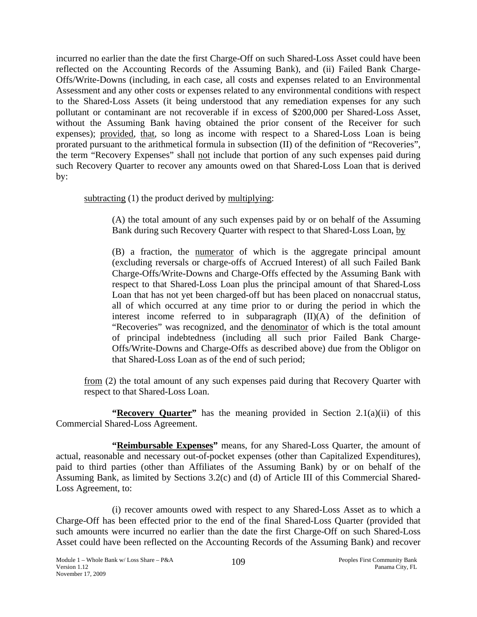incurred no earlier than the date the first Charge-Off on such Shared-Loss Asset could have been reflected on the Accounting Records of the Assuming Bank), and (ii) Failed Bank Charge-Offs/Write-Downs (including, in each case, all costs and expenses related to an Environmental Assessment and any other costs or expenses related to any environmental conditions with respect to the Shared-Loss Assets (it being understood that any remediation expenses for any such pollutant or contaminant are not recoverable if in excess of \$200,000 per Shared-Loss Asset, without the Assuming Bank having obtained the prior consent of the Receiver for such expenses); provided, that, so long as income with respect to a Shared-Loss Loan is being prorated pursuant to the arithmetical formula in subsection (II) of the definition of "Recoveries", the term "Recovery Expenses" shall not include that portion of any such expenses paid during such Recovery Quarter to recover any amounts owed on that Shared-Loss Loan that is derived by:

subtracting (1) the product derived by multiplying:

(A) the total amount of any such expenses paid by or on behalf of the Assuming Bank during such Recovery Quarter with respect to that Shared-Loss Loan, by

(B) a fraction, the numerator of which is the aggregate principal amount (excluding reversals or charge-offs of Accrued Interest) of all such Failed Bank Charge-Offs/Write-Downs and Charge-Offs effected by the Assuming Bank with respect to that Shared-Loss Loan plus the principal amount of that Shared-Loss Loan that has not yet been charged-off but has been placed on nonaccrual status, all of which occurred at any time prior to or during the period in which the interest income referred to in subparagraph (II)(A) of the definition of "Recoveries" was recognized, and the denominator of which is the total amount of principal indebtedness (including all such prior Failed Bank Charge-Offs/Write-Downs and Charge-Offs as described above) due from the Obligor on that Shared-Loss Loan as of the end of such period;

from (2) the total amount of any such expenses paid during that Recovery Quarter with respect to that Shared-Loss Loan.

**"Recovery Quarter"** has the meaning provided in Section 2.1(a)(ii) of this Commercial Shared-Loss Agreement.

**"Reimbursable Expenses"** means, for any Shared-Loss Quarter, the amount of actual, reasonable and necessary out-of-pocket expenses (other than Capitalized Expenditures), paid to third parties (other than Affiliates of the Assuming Bank) by or on behalf of the Assuming Bank, as limited by Sections 3.2(c) and (d) of Article III of this Commercial Shared-Loss Agreement, to:

(i) recover amounts owed with respect to any Shared-Loss Asset as to which a Charge-Off has been effected prior to the end of the final Shared-Loss Quarter (provided that such amounts were incurred no earlier than the date the first Charge-Off on such Shared-Loss Asset could have been reflected on the Accounting Records of the Assuming Bank) and recover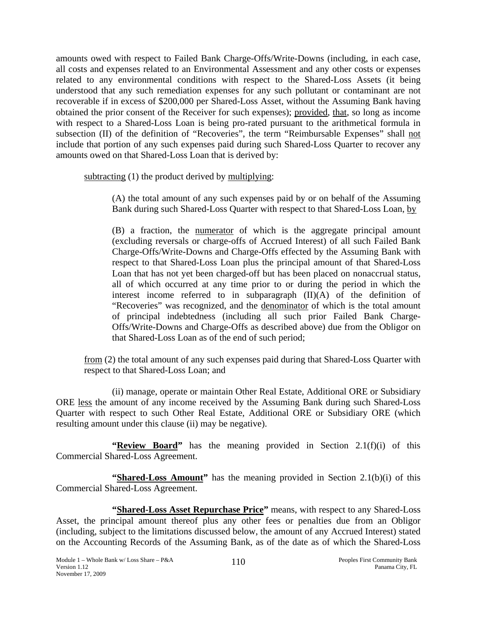amounts owed with respect to Failed Bank Charge-Offs/Write-Downs (including, in each case, all costs and expenses related to an Environmental Assessment and any other costs or expenses related to any environmental conditions with respect to the Shared-Loss Assets (it being understood that any such remediation expenses for any such pollutant or contaminant are not recoverable if in excess of \$200,000 per Shared-Loss Asset, without the Assuming Bank having obtained the prior consent of the Receiver for such expenses); provided, that, so long as income with respect to a Shared-Loss Loan is being pro-rated pursuant to the arithmetical formula in subsection (II) of the definition of "Recoveries", the term "Reimbursable Expenses" shall not include that portion of any such expenses paid during such Shared-Loss Quarter to recover any amounts owed on that Shared-Loss Loan that is derived by:

subtracting (1) the product derived by multiplying:

(A) the total amount of any such expenses paid by or on behalf of the Assuming Bank during such Shared-Loss Quarter with respect to that Shared-Loss Loan, by

(B) a fraction, the numerator of which is the aggregate principal amount (excluding reversals or charge-offs of Accrued Interest) of all such Failed Bank Charge-Offs/Write-Downs and Charge-Offs effected by the Assuming Bank with respect to that Shared-Loss Loan plus the principal amount of that Shared-Loss Loan that has not yet been charged-off but has been placed on nonaccrual status, all of which occurred at any time prior to or during the period in which the interest income referred to in subparagraph (II)(A) of the definition of "Recoveries" was recognized, and the denominator of which is the total amount of principal indebtedness (including all such prior Failed Bank Charge-Offs/Write-Downs and Charge-Offs as described above) due from the Obligor on that Shared-Loss Loan as of the end of such period;

from (2) the total amount of any such expenses paid during that Shared-Loss Quarter with respect to that Shared-Loss Loan; and

(ii) manage, operate or maintain Other Real Estate, Additional ORE or Subsidiary ORE less the amount of any income received by the Assuming Bank during such Shared-Loss Quarter with respect to such Other Real Estate, Additional ORE or Subsidiary ORE (which resulting amount under this clause (ii) may be negative).

**"Review Board"** has the meaning provided in Section 2.1(f)(i) of this Commercial Shared-Loss Agreement.

**"Shared-Loss Amount"** has the meaning provided in Section 2.1(b)(i) of this Commercial Shared-Loss Agreement.

**"Shared-Loss Asset Repurchase Price"** means, with respect to any Shared-Loss Asset, the principal amount thereof plus any other fees or penalties due from an Obligor (including, subject to the limitations discussed below, the amount of any Accrued Interest) stated on the Accounting Records of the Assuming Bank, as of the date as of which the Shared-Loss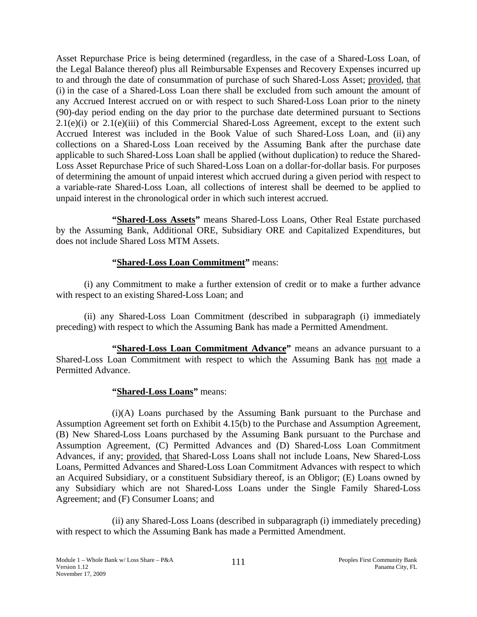Asset Repurchase Price is being determined (regardless, in the case of a Shared-Loss Loan, of the Legal Balance thereof) plus all Reimbursable Expenses and Recovery Expenses incurred up to and through the date of consummation of purchase of such Shared-Loss Asset; provided, that (i) in the case of a Shared-Loss Loan there shall be excluded from such amount the amount of any Accrued Interest accrued on or with respect to such Shared-Loss Loan prior to the ninety (90)-day period ending on the day prior to the purchase date determined pursuant to Sections  $2.1(e)(i)$  or  $2.1(e)(iii)$  of this Commercial Shared-Loss Agreement, except to the extent such Accrued Interest was included in the Book Value of such Shared-Loss Loan, and (ii) any collections on a Shared-Loss Loan received by the Assuming Bank after the purchase date applicable to such Shared-Loss Loan shall be applied (without duplication) to reduce the Shared-Loss Asset Repurchase Price of such Shared-Loss Loan on a dollar-for-dollar basis. For purposes of determining the amount of unpaid interest which accrued during a given period with respect to a variable-rate Shared-Loss Loan, all collections of interest shall be deemed to be applied to unpaid interest in the chronological order in which such interest accrued.

**"Shared-Loss Assets"** means Shared-Loss Loans, Other Real Estate purchased by the Assuming Bank, Additional ORE, Subsidiary ORE and Capitalized Expenditures, but does not include Shared Loss MTM Assets.

#### "Shared-Loss Loan Commitment" means:

(i) any Commitment to make a further extension of credit or to make a further advance with respect to an existing Shared-Loss Loan; and

(ii) any Shared-Loss Loan Commitment (described in subparagraph (i) immediately preceding) with respect to which the Assuming Bank has made a Permitted Amendment.

"Shared-Loss Loan Commitment Advance" means an advance pursuant to a Shared-Loss Loan Commitment with respect to which the Assuming Bank has not made a Permitted Advance.

#### **"Shared-Loss Loans"** means:

(i)(A) Loans purchased by the Assuming Bank pursuant to the Purchase and Assumption Agreement set forth on Exhibit 4.15(b) to the Purchase and Assumption Agreement, (B) New Shared-Loss Loans purchased by the Assuming Bank pursuant to the Purchase and Assumption Agreement, (C) Permitted Advances and (D) Shared-Loss Loan Commitment Advances, if any; provided, that Shared-Loss Loans shall not include Loans, New Shared-Loss Loans, Permitted Advances and Shared-Loss Loan Commitment Advances with respect to which an Acquired Subsidiary, or a constituent Subsidiary thereof, is an Obligor; (E) Loans owned by any Subsidiary which are not Shared-Loss Loans under the Single Family Shared-Loss Agreement; and (F) Consumer Loans; and

(ii) any Shared-Loss Loans (described in subparagraph (i) immediately preceding) with respect to which the Assuming Bank has made a Permitted Amendment.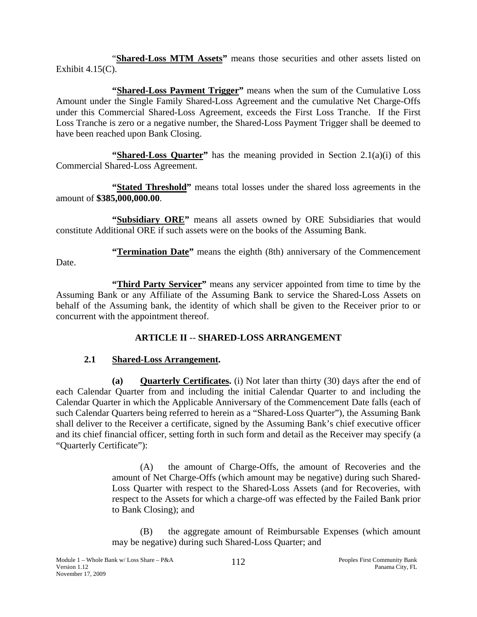"**Shared-Loss MTM Assets"** means those securities and other assets listed on Exhibit  $4.15(C)$ .

"Shared-Loss Payment Trigger" means when the sum of the Cumulative Loss Amount under the Single Family Shared-Loss Agreement and the cumulative Net Charge-Offs under this Commercial Shared-Loss Agreement, exceeds the First Loss Tranche. If the First Loss Tranche is zero or a negative number, the Shared-Loss Payment Trigger shall be deemed to have been reached upon Bank Closing.

**"Shared-Loss Quarter"** has the meaning provided in Section 2.1(a)(i) of this Commercial Shared-Loss Agreement.

**"Stated Threshold"** means total losses under the shared loss agreements in the amount of **\$385,000,000.00**.

**"Subsidiary ORE"** means all assets owned by ORE Subsidiaries that would constitute Additional ORE if such assets were on the books of the Assuming Bank.

**"Termination Date"** means the eighth (8th) anniversary of the Commencement

Date.

**"Third Party Servicer"** means any servicer appointed from time to time by the Assuming Bank or any Affiliate of the Assuming Bank to service the Shared-Loss Assets on behalf of the Assuming bank, the identity of which shall be given to the Receiver prior to or concurrent with the appointment thereof.

## **ARTICLE II** -- **SHARED-LOSS ARRANGEMENT**

## **2.1 Shared-Loss Arrangement.**

**(a) Quarterly Certificates.** (i) Not later than thirty (30) days after the end of each Calendar Quarter from and including the initial Calendar Quarter to and including the Calendar Quarter in which the Applicable Anniversary of the Commencement Date falls (each of such Calendar Quarters being referred to herein as a "Shared-Loss Quarter"), the Assuming Bank shall deliver to the Receiver a certificate, signed by the Assuming Bank's chief executive officer and its chief financial officer, setting forth in such form and detail as the Receiver may specify (a "Quarterly Certificate"):

> (A) the amount of Charge-Offs, the amount of Recoveries and the amount of Net Charge-Offs (which amount may be negative) during such Shared-Loss Quarter with respect to the Shared-Loss Assets (and for Recoveries, with respect to the Assets for which a charge-off was effected by the Failed Bank prior to Bank Closing); and

> (B) the aggregate amount of Reimbursable Expenses (which amount may be negative) during such Shared-Loss Quarter; and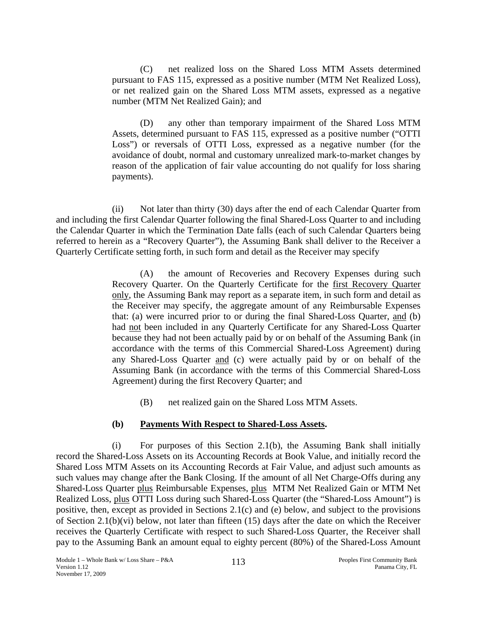(C) net realized loss on the Shared Loss MTM Assets determined pursuant to FAS 115, expressed as a positive number (MTM Net Realized Loss), or net realized gain on the Shared Loss MTM assets, expressed as a negative number (MTM Net Realized Gain); and

(D) any other than temporary impairment of the Shared Loss MTM Assets, determined pursuant to FAS 115, expressed as a positive number ("OTTI Loss") or reversals of OTTI Loss, expressed as a negative number (for the avoidance of doubt, normal and customary unrealized mark-to-market changes by reason of the application of fair value accounting do not qualify for loss sharing payments).

(ii) Not later than thirty (30) days after the end of each Calendar Quarter from and including the first Calendar Quarter following the final Shared-Loss Quarter to and including the Calendar Quarter in which the Termination Date falls (each of such Calendar Quarters being referred to herein as a "Recovery Quarter"), the Assuming Bank shall deliver to the Receiver a Quarterly Certificate setting forth, in such form and detail as the Receiver may specify

> (A) the amount of Recoveries and Recovery Expenses during such Recovery Quarter. On the Quarterly Certificate for the first Recovery Quarter only, the Assuming Bank may report as a separate item, in such form and detail as the Receiver may specify, the aggregate amount of any Reimbursable Expenses that: (a) were incurred prior to or during the final Shared-Loss Quarter, and (b) had not been included in any Quarterly Certificate for any Shared-Loss Quarter because they had not been actually paid by or on behalf of the Assuming Bank (in accordance with the terms of this Commercial Shared-Loss Agreement) during any Shared-Loss Quarter and (c) were actually paid by or on behalf of the Assuming Bank (in accordance with the terms of this Commercial Shared-Loss Agreement) during the first Recovery Quarter; and

(B) net realized gain on the Shared Loss MTM Assets.

## **(b) Payments With Respect to Shared-Loss Assets.**

(i) For purposes of this Section 2.1(b), the Assuming Bank shall initially record the Shared-Loss Assets on its Accounting Records at Book Value, and initially record the Shared Loss MTM Assets on its Accounting Records at Fair Value, and adjust such amounts as such values may change after the Bank Closing. If the amount of all Net Charge-Offs during any Shared-Loss Quarter plus Reimbursable Expenses, plus MTM Net Realized Gain or MTM Net Realized Loss, plus OTTI Loss during such Shared-Loss Quarter (the "Shared-Loss Amount") is positive, then, except as provided in Sections 2.1(c) and (e) below, and subject to the provisions of Section 2.1(b)(vi) below, not later than fifteen (15) days after the date on which the Receiver receives the Quarterly Certificate with respect to such Shared-Loss Quarter, the Receiver shall pay to the Assuming Bank an amount equal to eighty percent (80%) of the Shared-Loss Amount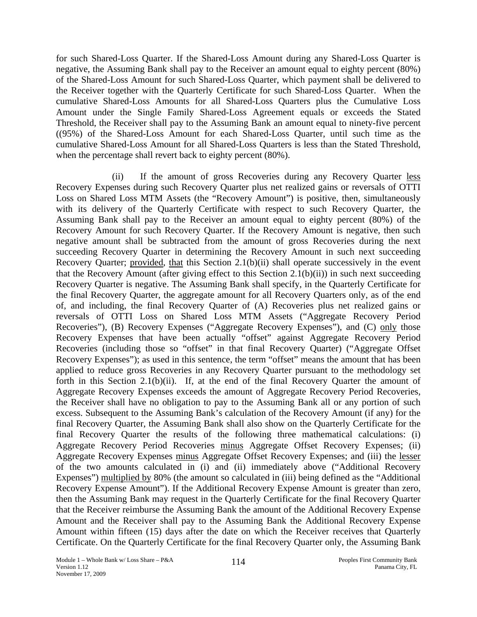for such Shared-Loss Quarter. If the Shared-Loss Amount during any Shared-Loss Quarter is negative, the Assuming Bank shall pay to the Receiver an amount equal to eighty percent (80%) of the Shared-Loss Amount for such Shared-Loss Quarter, which payment shall be delivered to the Receiver together with the Quarterly Certificate for such Shared-Loss Quarter. When the cumulative Shared-Loss Amounts for all Shared-Loss Quarters plus the Cumulative Loss Amount under the Single Family Shared-Loss Agreement equals or exceeds the Stated Threshold, the Receiver shall pay to the Assuming Bank an amount equal to ninety-five percent ((95%) of the Shared-Loss Amount for each Shared-Loss Quarter, until such time as the cumulative Shared-Loss Amount for all Shared-Loss Quarters is less than the Stated Threshold, when the percentage shall revert back to eighty percent (80%).

(ii) If the amount of gross Recoveries during any Recovery Quarter less Recovery Expenses during such Recovery Quarter plus net realized gains or reversals of OTTI Loss on Shared Loss MTM Assets (the "Recovery Amount") is positive, then, simultaneously with its delivery of the Quarterly Certificate with respect to such Recovery Quarter, the Assuming Bank shall pay to the Receiver an amount equal to eighty percent (80%) of the Recovery Amount for such Recovery Quarter. If the Recovery Amount is negative, then such negative amount shall be subtracted from the amount of gross Recoveries during the next succeeding Recovery Quarter in determining the Recovery Amount in such next succeeding Recovery Quarter; provided, that this Section 2.1(b)(ii) shall operate successively in the event that the Recovery Amount (after giving effect to this Section 2.1(b)(ii)) in such next succeeding Recovery Quarter is negative. The Assuming Bank shall specify, in the Quarterly Certificate for the final Recovery Quarter, the aggregate amount for all Recovery Quarters only, as of the end of, and including, the final Recovery Quarter of (A) Recoveries plus net realized gains or reversals of OTTI Loss on Shared Loss MTM Assets ("Aggregate Recovery Period Recoveries"), (B) Recovery Expenses ("Aggregate Recovery Expenses"), and (C) only those Recovery Expenses that have been actually "offset" against Aggregate Recovery Period Recoveries (including those so "offset" in that final Recovery Quarter) ("Aggregate Offset Recovery Expenses"); as used in this sentence, the term "offset" means the amount that has been applied to reduce gross Recoveries in any Recovery Quarter pursuant to the methodology set forth in this Section 2.1(b)(ii). If, at the end of the final Recovery Quarter the amount of Aggregate Recovery Expenses exceeds the amount of Aggregate Recovery Period Recoveries, the Receiver shall have no obligation to pay to the Assuming Bank all or any portion of such excess. Subsequent to the Assuming Bank's calculation of the Recovery Amount (if any) for the final Recovery Quarter, the Assuming Bank shall also show on the Quarterly Certificate for the final Recovery Quarter the results of the following three mathematical calculations: (i) Aggregate Recovery Period Recoveries minus Aggregate Offset Recovery Expenses; (ii) Aggregate Recovery Expenses minus Aggregate Offset Recovery Expenses; and (iii) the lesser of the two amounts calculated in (i) and (ii) immediately above ("Additional Recovery Expenses") multiplied by 80% (the amount so calculated in (iii) being defined as the "Additional Recovery Expense Amount"). If the Additional Recovery Expense Amount is greater than zero, then the Assuming Bank may request in the Quarterly Certificate for the final Recovery Quarter that the Receiver reimburse the Assuming Bank the amount of the Additional Recovery Expense Amount and the Receiver shall pay to the Assuming Bank the Additional Recovery Expense Amount within fifteen (15) days after the date on which the Receiver receives that Quarterly Certificate. On the Quarterly Certificate for the final Recovery Quarter only, the Assuming Bank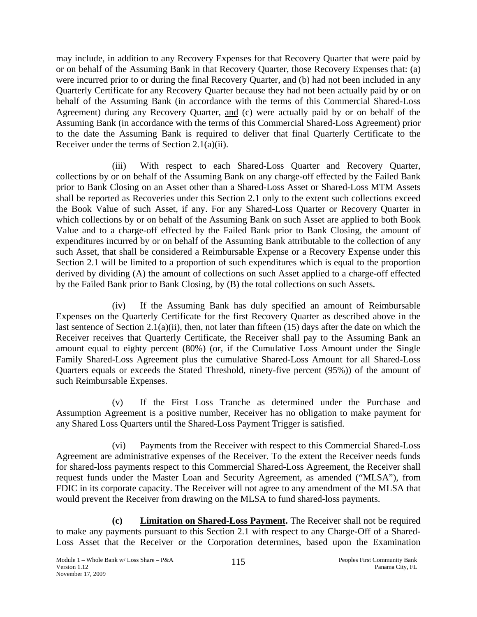may include, in addition to any Recovery Expenses for that Recovery Quarter that were paid by or on behalf of the Assuming Bank in that Recovery Quarter, those Recovery Expenses that: (a) were incurred prior to or during the final Recovery Quarter, and (b) had not been included in any Quarterly Certificate for any Recovery Quarter because they had not been actually paid by or on behalf of the Assuming Bank (in accordance with the terms of this Commercial Shared-Loss Agreement) during any Recovery Quarter, and (c) were actually paid by or on behalf of the Assuming Bank (in accordance with the terms of this Commercial Shared-Loss Agreement) prior to the date the Assuming Bank is required to deliver that final Quarterly Certificate to the Receiver under the terms of Section 2.1(a)(ii).

(iii) With respect to each Shared-Loss Quarter and Recovery Quarter, collections by or on behalf of the Assuming Bank on any charge-off effected by the Failed Bank prior to Bank Closing on an Asset other than a Shared-Loss Asset or Shared-Loss MTM Assets shall be reported as Recoveries under this Section 2.1 only to the extent such collections exceed the Book Value of such Asset, if any. For any Shared-Loss Quarter or Recovery Quarter in which collections by or on behalf of the Assuming Bank on such Asset are applied to both Book Value and to a charge-off effected by the Failed Bank prior to Bank Closing, the amount of expenditures incurred by or on behalf of the Assuming Bank attributable to the collection of any such Asset, that shall be considered a Reimbursable Expense or a Recovery Expense under this Section 2.1 will be limited to a proportion of such expenditures which is equal to the proportion derived by dividing (A) the amount of collections on such Asset applied to a charge-off effected by the Failed Bank prior to Bank Closing, by (B) the total collections on such Assets.

(iv) If the Assuming Bank has duly specified an amount of Reimbursable Expenses on the Quarterly Certificate for the first Recovery Quarter as described above in the last sentence of Section 2.1(a)(ii), then, not later than fifteen  $(15)$  days after the date on which the Receiver receives that Quarterly Certificate, the Receiver shall pay to the Assuming Bank an amount equal to eighty percent (80%) (or, if the Cumulative Loss Amount under the Single Family Shared-Loss Agreement plus the cumulative Shared-Loss Amount for all Shared-Loss Quarters equals or exceeds the Stated Threshold, ninety-five percent (95%)) of the amount of such Reimbursable Expenses.

(v) If the First Loss Tranche as determined under the Purchase and Assumption Agreement is a positive number, Receiver has no obligation to make payment for any Shared Loss Quarters until the Shared-Loss Payment Trigger is satisfied.

(vi) Payments from the Receiver with respect to this Commercial Shared-Loss Agreement are administrative expenses of the Receiver. To the extent the Receiver needs funds for shared-loss payments respect to this Commercial Shared-Loss Agreement, the Receiver shall request funds under the Master Loan and Security Agreement, as amended ("MLSA"), from FDIC in its corporate capacity. The Receiver will not agree to any amendment of the MLSA that would prevent the Receiver from drawing on the MLSA to fund shared-loss payments.

**(c) Limitation on Shared-Loss Payment.** The Receiver shall not be required to make any payments pursuant to this Section 2.1 with respect to any Charge-Off of a Shared-Loss Asset that the Receiver or the Corporation determines, based upon the Examination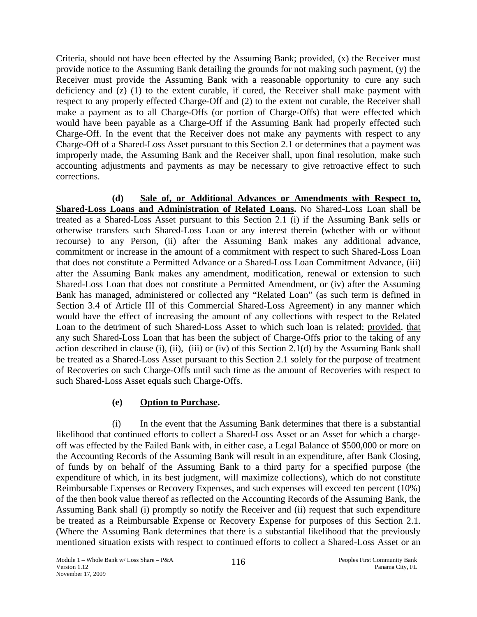Criteria, should not have been effected by the Assuming Bank; provided, (x) the Receiver must provide notice to the Assuming Bank detailing the grounds for not making such payment, (y) the Receiver must provide the Assuming Bank with a reasonable opportunity to cure any such deficiency and  $(z)$  (1) to the extent curable, if cured, the Receiver shall make payment with respect to any properly effected Charge-Off and (2) to the extent not curable, the Receiver shall make a payment as to all Charge-Offs (or portion of Charge-Offs) that were effected which would have been payable as a Charge-Off if the Assuming Bank had properly effected such Charge-Off. In the event that the Receiver does not make any payments with respect to any Charge-Off of a Shared-Loss Asset pursuant to this Section 2.1 or determines that a payment was improperly made, the Assuming Bank and the Receiver shall, upon final resolution, make such accounting adjustments and payments as may be necessary to give retroactive effect to such corrections.

Loan to the detriment of such Shared-Loss Asset to which such loan is related; provided, that **(d) Sale of, or Additional Advances or Amendments with Respect to, Shared-Loss Loans and Administration of Related Loans.** No Shared-Loss Loan shall be treated as a Shared-Loss Asset pursuant to this Section 2.1 (i) if the Assuming Bank sells or otherwise transfers such Shared-Loss Loan or any interest therein (whether with or without recourse) to any Person, (ii) after the Assuming Bank makes any additional advance, commitment or increase in the amount of a commitment with respect to such Shared-Loss Loan that does not constitute a Permitted Advance or a Shared-Loss Loan Commitment Advance, (iii) after the Assuming Bank makes any amendment, modification, renewal or extension to such Shared-Loss Loan that does not constitute a Permitted Amendment, or (iv) after the Assuming Bank has managed, administered or collected any "Related Loan" (as such term is defined in Section 3.4 of Article III of this Commercial Shared-Loss Agreement) in any manner which would have the effect of increasing the amount of any collections with respect to the Related any such Shared-Loss Loan that has been the subject of Charge-Offs prior to the taking of any action described in clause (i), (ii), (iii) or (iv) of this Section 2.1(d) by the Assuming Bank shall be treated as a Shared-Loss Asset pursuant to this Section 2.1 solely for the purpose of treatment of Recoveries on such Charge-Offs until such time as the amount of Recoveries with respect to such Shared-Loss Asset equals such Charge-Offs.

## **(e) Option to Purchase.**

(i) In the event that the Assuming Bank determines that there is a substantial likelihood that continued efforts to collect a Shared-Loss Asset or an Asset for which a chargeoff was effected by the Failed Bank with, in either case, a Legal Balance of \$500,000 or more on the Accounting Records of the Assuming Bank will result in an expenditure, after Bank Closing, of funds by on behalf of the Assuming Bank to a third party for a specified purpose (the expenditure of which, in its best judgment, will maximize collections), which do not constitute Reimbursable Expenses or Recovery Expenses, and such expenses will exceed ten percent (10%) of the then book value thereof as reflected on the Accounting Records of the Assuming Bank, the Assuming Bank shall (i) promptly so notify the Receiver and (ii) request that such expenditure be treated as a Reimbursable Expense or Recovery Expense for purposes of this Section 2.1. (Where the Assuming Bank determines that there is a substantial likelihood that the previously mentioned situation exists with respect to continued efforts to collect a Shared-Loss Asset or an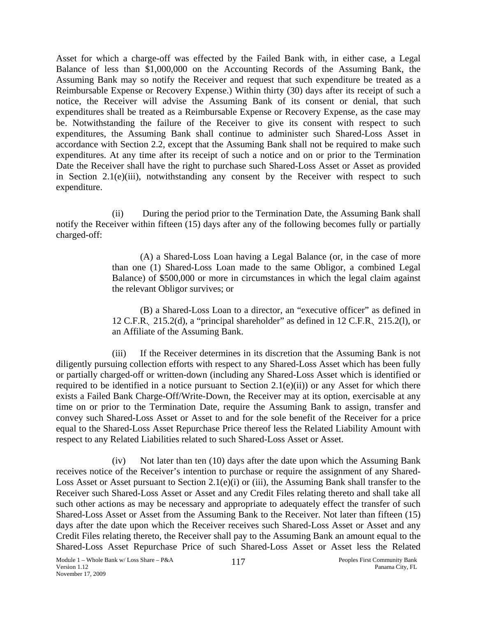Asset for which a charge-off was effected by the Failed Bank with, in either case, a Legal Balance of less than \$1,000,000 on the Accounting Records of the Assuming Bank, the Assuming Bank may so notify the Receiver and request that such expenditure be treated as a Reimbursable Expense or Recovery Expense.) Within thirty (30) days after its receipt of such a notice, the Receiver will advise the Assuming Bank of its consent or denial, that such expenditures shall be treated as a Reimbursable Expense or Recovery Expense, as the case may be. Notwithstanding the failure of the Receiver to give its consent with respect to such expenditures, the Assuming Bank shall continue to administer such Shared-Loss Asset in accordance with Section 2.2, except that the Assuming Bank shall not be required to make such expenditures. At any time after its receipt of such a notice and on or prior to the Termination Date the Receiver shall have the right to purchase such Shared-Loss Asset or Asset as provided in Section 2.1(e)(iii), notwithstanding any consent by the Receiver with respect to such expenditure.

(ii) During the period prior to the Termination Date, the Assuming Bank shall notify the Receiver within fifteen (15) days after any of the following becomes fully or partially charged-off:

> (A) a Shared-Loss Loan having a Legal Balance (or, in the case of more than one (1) Shared-Loss Loan made to the same Obligor, a combined Legal Balance) of \$500,000 or more in circumstances in which the legal claim against the relevant Obligor survives; or

> (B) a Shared-Loss Loan to a director, an "executive officer" as defined in 12 C.F.R. 215.2(d), a "principal shareholder" as defined in 12 C.F.R. 215.2(l), or an Affiliate of the Assuming Bank.

(iii) If the Receiver determines in its discretion that the Assuming Bank is not diligently pursuing collection efforts with respect to any Shared-Loss Asset which has been fully or partially charged-off or written-down (including any Shared-Loss Asset which is identified or required to be identified in a notice pursuant to Section  $2.1(e)(ii)$  or any Asset for which there exists a Failed Bank Charge-Off/Write-Down, the Receiver may at its option, exercisable at any time on or prior to the Termination Date, require the Assuming Bank to assign, transfer and convey such Shared-Loss Asset or Asset to and for the sole benefit of the Receiver for a price equal to the Shared-Loss Asset Repurchase Price thereof less the Related Liability Amount with respect to any Related Liabilities related to such Shared-Loss Asset or Asset.

(iv) Not later than ten (10) days after the date upon which the Assuming Bank receives notice of the Receiver's intention to purchase or require the assignment of any Shared-Loss Asset or Asset pursuant to Section 2.1(e)(i) or (iii), the Assuming Bank shall transfer to the Receiver such Shared-Loss Asset or Asset and any Credit Files relating thereto and shall take all such other actions as may be necessary and appropriate to adequately effect the transfer of such Shared-Loss Asset or Asset from the Assuming Bank to the Receiver. Not later than fifteen (15) days after the date upon which the Receiver receives such Shared-Loss Asset or Asset and any Credit Files relating thereto, the Receiver shall pay to the Assuming Bank an amount equal to the Shared-Loss Asset Repurchase Price of such Shared-Loss Asset or Asset less the Related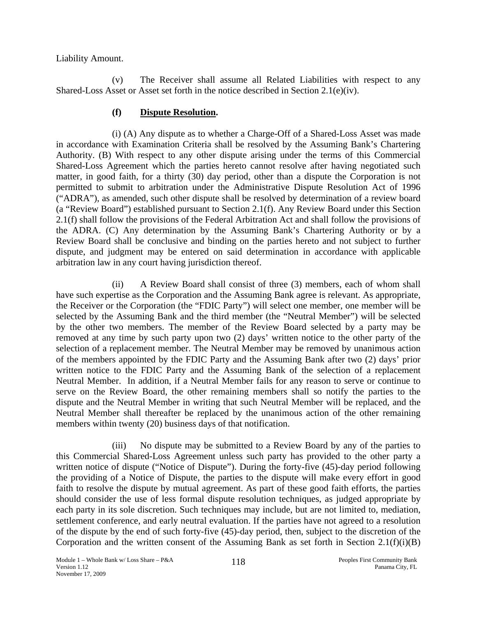Liability Amount.

(v) The Receiver shall assume all Related Liabilities with respect to any Shared-Loss Asset or Asset set forth in the notice described in Section 2.1(e)(iv).

## **(f) Dispute Resolution.**

(i) (A) Any dispute as to whether a Charge-Off of a Shared-Loss Asset was made in accordance with Examination Criteria shall be resolved by the Assuming Bank's Chartering Authority. (B) With respect to any other dispute arising under the terms of this Commercial Shared-Loss Agreement which the parties hereto cannot resolve after having negotiated such matter, in good faith, for a thirty (30) day period, other than a dispute the Corporation is not permitted to submit to arbitration under the Administrative Dispute Resolution Act of 1996 ("ADRA"), as amended, such other dispute shall be resolved by determination of a review board (a "Review Board") established pursuant to Section 2.1(f). Any Review Board under this Section 2.1(f) shall follow the provisions of the Federal Arbitration Act and shall follow the provisions of the ADRA. (C) Any determination by the Assuming Bank's Chartering Authority or by a Review Board shall be conclusive and binding on the parties hereto and not subject to further dispute, and judgment may be entered on said determination in accordance with applicable arbitration law in any court having jurisdiction thereof.

(ii) A Review Board shall consist of three (3) members, each of whom shall have such expertise as the Corporation and the Assuming Bank agree is relevant. As appropriate, the Receiver or the Corporation (the "FDIC Party") will select one member, one member will be selected by the Assuming Bank and the third member (the "Neutral Member") will be selected by the other two members. The member of the Review Board selected by a party may be removed at any time by such party upon two (2) days' written notice to the other party of the selection of a replacement member. The Neutral Member may be removed by unanimous action of the members appointed by the FDIC Party and the Assuming Bank after two (2) days' prior written notice to the FDIC Party and the Assuming Bank of the selection of a replacement Neutral Member. In addition, if a Neutral Member fails for any reason to serve or continue to serve on the Review Board, the other remaining members shall so notify the parties to the dispute and the Neutral Member in writing that such Neutral Member will be replaced, and the Neutral Member shall thereafter be replaced by the unanimous action of the other remaining members within twenty (20) business days of that notification.

(iii) No dispute may be submitted to a Review Board by any of the parties to this Commercial Shared-Loss Agreement unless such party has provided to the other party a written notice of dispute ("Notice of Dispute"). During the forty-five (45)-day period following the providing of a Notice of Dispute, the parties to the dispute will make every effort in good faith to resolve the dispute by mutual agreement. As part of these good faith efforts, the parties should consider the use of less formal dispute resolution techniques, as judged appropriate by each party in its sole discretion. Such techniques may include, but are not limited to, mediation, settlement conference, and early neutral evaluation. If the parties have not agreed to a resolution of the dispute by the end of such forty-five (45)-day period, then, subject to the discretion of the Corporation and the written consent of the Assuming Bank as set forth in Section  $2.1(f)(i)(B)$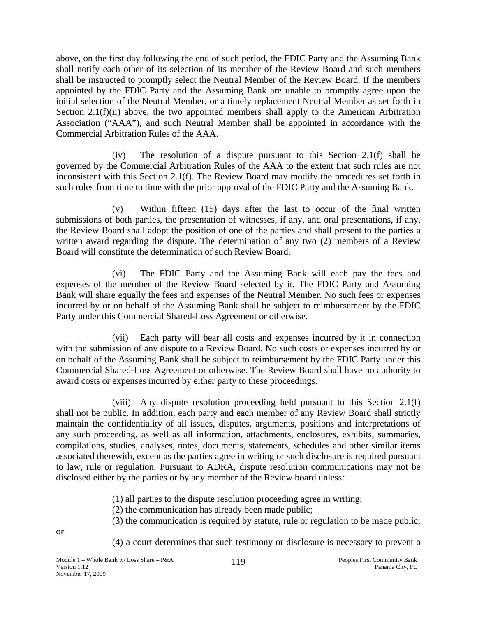above, on the first day following the end of such period, the FDIC Party and the Assuming Bank shall notify each other of its selection of its member of the Review Board and such members shall be instructed to promptly select the Neutral Member of the Review Board. If the members appointed by the FDIC Party and the Assuming Bank are unable to promptly agree upon the initial selection of the Neutral Member, or a timely replacement Neutral Member as set forth in Section 2.1(f)(ii) above, the two appointed members shall apply to the American Arbitration Association ("AAA"), and such Neutral Member shall be appointed in accordance with the Commercial Arbitration Rules of the AAA.

(iv) The resolution of a dispute pursuant to this Section 2.1(f) shall be governed by the Commercial Arbitration Rules of the AAA to the extent that such rules are not inconsistent with this Section 2.1(f). The Review Board may modify the procedures set forth in such rules from time to time with the prior approval of the FDIC Party and the Assuming Bank.

(v) Within fifteen (15) days after the last to occur of the final written submissions of both parties, the presentation of witnesses, if any, and oral presentations, if any, the Review Board shall adopt the position of one of the parties and shall present to the parties a written award regarding the dispute. The determination of any two (2) members of a Review Board will constitute the determination of such Review Board.

(vi) The FDIC Party and the Assuming Bank will each pay the fees and expenses of the member of the Review Board selected by it. The FDIC Party and Assuming Bank will share equally the fees and expenses of the Neutral Member. No such fees or expenses incurred by or on behalf of the Assuming Bank shall be subject to reimbursement by the FDIC Party under this Commercial Shared-Loss Agreement or otherwise.

(vii) Each party will bear all costs and expenses incurred by it in connection with the submission of any dispute to a Review Board. No such costs or expenses incurred by or on behalf of the Assuming Bank shall be subject to reimbursement by the FDIC Party under this Commercial Shared-Loss Agreement or otherwise. The Review Board shall have no authority to award costs or expenses incurred by either party to these proceedings.

(viii) Any dispute resolution proceeding held pursuant to this Section 2.1(f) shall not be public. In addition, each party and each member of any Review Board shall strictly maintain the confidentiality of all issues, disputes, arguments, positions and interpretations of any such proceeding, as well as all information, attachments, enclosures, exhibits, summaries, compilations, studies, analyses, notes, documents, statements, schedules and other similar items associated therewith, except as the parties agree in writing or such disclosure is required pursuant to law, rule or regulation. Pursuant to ADRA, dispute resolution communications may not be disclosed either by the parties or by any member of the Review board unless:

(1) all parties to the dispute resolution proceeding agree in writing;

- (2) the communication has already been made public;
- (3) the communication is required by statute, rule or regulation to be made public;

or

(4) a court determines that such testimony or disclosure is necessary to prevent a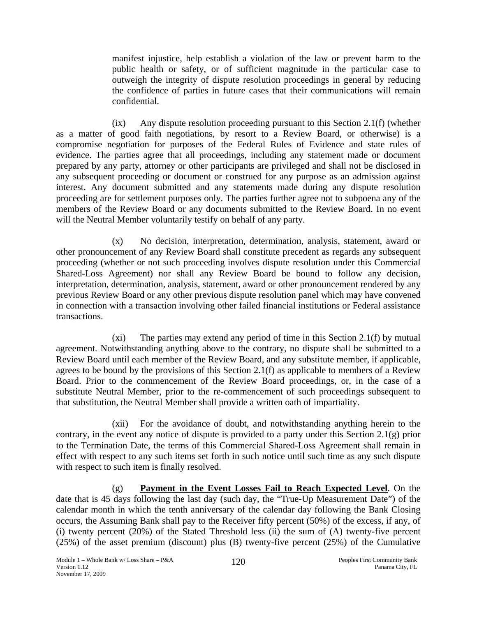manifest injustice, help establish a violation of the law or prevent harm to the public health or safety, or of sufficient magnitude in the particular case to outweigh the integrity of dispute resolution proceedings in general by reducing the confidence of parties in future cases that their communications will remain confidential.

(ix) Any dispute resolution proceeding pursuant to this Section 2.1(f) (whether as a matter of good faith negotiations, by resort to a Review Board, or otherwise) is a compromise negotiation for purposes of the Federal Rules of Evidence and state rules of evidence. The parties agree that all proceedings, including any statement made or document prepared by any party, attorney or other participants are privileged and shall not be disclosed in any subsequent proceeding or document or construed for any purpose as an admission against interest. Any document submitted and any statements made during any dispute resolution proceeding are for settlement purposes only. The parties further agree not to subpoena any of the members of the Review Board or any documents submitted to the Review Board. In no event will the Neutral Member voluntarily testify on behalf of any party.

(x) No decision, interpretation, determination, analysis, statement, award or other pronouncement of any Review Board shall constitute precedent as regards any subsequent proceeding (whether or not such proceeding involves dispute resolution under this Commercial Shared-Loss Agreement) nor shall any Review Board be bound to follow any decision, interpretation, determination, analysis, statement, award or other pronouncement rendered by any previous Review Board or any other previous dispute resolution panel which may have convened in connection with a transaction involving other failed financial institutions or Federal assistance transactions.

(xi) The parties may extend any period of time in this Section 2.1(f) by mutual agreement. Notwithstanding anything above to the contrary, no dispute shall be submitted to a Review Board until each member of the Review Board, and any substitute member, if applicable, agrees to be bound by the provisions of this Section 2.1(f) as applicable to members of a Review Board. Prior to the commencement of the Review Board proceedings, or, in the case of a substitute Neutral Member, prior to the re-commencement of such proceedings subsequent to that substitution, the Neutral Member shall provide a written oath of impartiality.

(xii) For the avoidance of doubt, and notwithstanding anything herein to the contrary, in the event any notice of dispute is provided to a party under this Section 2.1(g) prior to the Termination Date, the terms of this Commercial Shared-Loss Agreement shall remain in effect with respect to any such items set forth in such notice until such time as any such dispute with respect to such item is finally resolved.

 (g) **Payment in the Event Losses Fail to Reach Expected Level**. On the date that is 45 days following the last day (such day, the "True-Up Measurement Date") of the calendar month in which the tenth anniversary of the calendar day following the Bank Closing occurs, the Assuming Bank shall pay to the Receiver fifty percent (50%) of the excess, if any, of (i) twenty percent (20%) of the Stated Threshold less (ii) the sum of (A) twenty-five percent (25%) of the asset premium (discount) plus (B) twenty-five percent (25%) of the Cumulative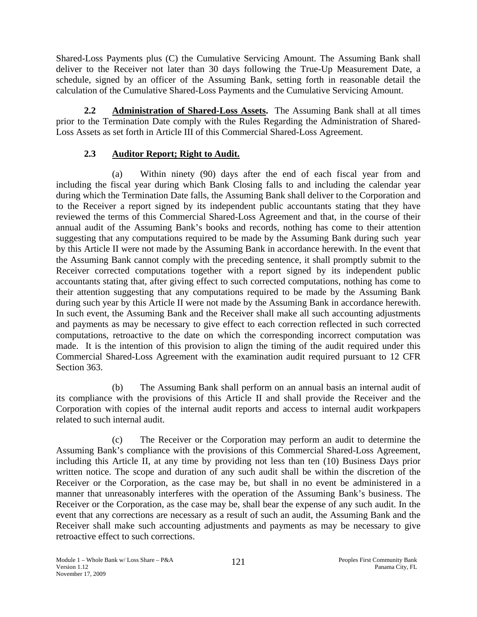Shared-Loss Payments plus (C) the Cumulative Servicing Amount. The Assuming Bank shall deliver to the Receiver not later than 30 days following the True-Up Measurement Date, a schedule, signed by an officer of the Assuming Bank, setting forth in reasonable detail the calculation of the Cumulative Shared-Loss Payments and the Cumulative Servicing Amount.

**2.2 Administration of Shared-Loss Assets.** The Assuming Bank shall at all times prior to the Termination Date comply with the Rules Regarding the Administration of Shared-Loss Assets as set forth in Article III of this Commercial Shared-Loss Agreement.

## **2.3 Auditor Report; Right to Audit.**

(a) Within ninety (90) days after the end of each fiscal year from and including the fiscal year during which Bank Closing falls to and including the calendar year during which the Termination Date falls, the Assuming Bank shall deliver to the Corporation and to the Receiver a report signed by its independent public accountants stating that they have reviewed the terms of this Commercial Shared-Loss Agreement and that, in the course of their annual audit of the Assuming Bank's books and records, nothing has come to their attention suggesting that any computations required to be made by the Assuming Bank during such year by this Article II were not made by the Assuming Bank in accordance herewith. In the event that the Assuming Bank cannot comply with the preceding sentence, it shall promptly submit to the Receiver corrected computations together with a report signed by its independent public accountants stating that, after giving effect to such corrected computations, nothing has come to their attention suggesting that any computations required to be made by the Assuming Bank during such year by this Article II were not made by the Assuming Bank in accordance herewith. In such event, the Assuming Bank and the Receiver shall make all such accounting adjustments and payments as may be necessary to give effect to each correction reflected in such corrected computations, retroactive to the date on which the corresponding incorrect computation was made. It is the intention of this provision to align the timing of the audit required under this Commercial Shared-Loss Agreement with the examination audit required pursuant to 12 CFR Section 363.

(b) The Assuming Bank shall perform on an annual basis an internal audit of its compliance with the provisions of this Article II and shall provide the Receiver and the Corporation with copies of the internal audit reports and access to internal audit workpapers related to such internal audit.

(c) The Receiver or the Corporation may perform an audit to determine the Assuming Bank's compliance with the provisions of this Commercial Shared-Loss Agreement, including this Article II, at any time by providing not less than ten (10) Business Days prior written notice. The scope and duration of any such audit shall be within the discretion of the Receiver or the Corporation, as the case may be, but shall in no event be administered in a manner that unreasonably interferes with the operation of the Assuming Bank's business. The Receiver or the Corporation, as the case may be, shall bear the expense of any such audit. In the event that any corrections are necessary as a result of such an audit, the Assuming Bank and the Receiver shall make such accounting adjustments and payments as may be necessary to give retroactive effect to such corrections.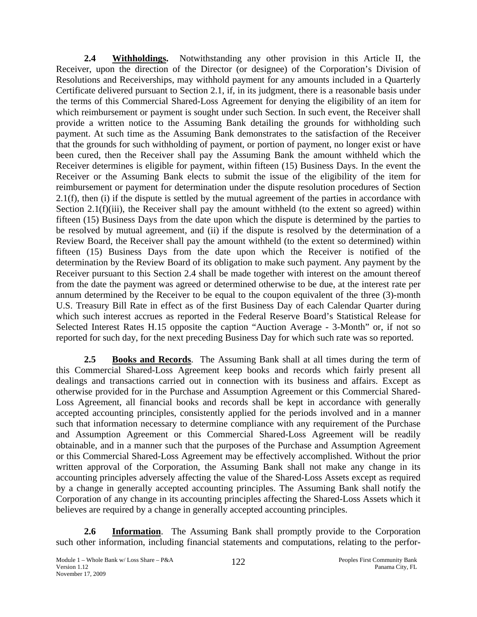**2.4 Withholdings.** Notwithstanding any other provision in this Article II, the Receiver, upon the direction of the Director (or designee) of the Corporation's Division of Resolutions and Receiverships, may withhold payment for any amounts included in a Quarterly Certificate delivered pursuant to Section 2.1, if, in its judgment, there is a reasonable basis under the terms of this Commercial Shared-Loss Agreement for denying the eligibility of an item for which reimbursement or payment is sought under such Section. In such event, the Receiver shall provide a written notice to the Assuming Bank detailing the grounds for withholding such payment. At such time as the Assuming Bank demonstrates to the satisfaction of the Receiver that the grounds for such withholding of payment, or portion of payment, no longer exist or have been cured, then the Receiver shall pay the Assuming Bank the amount withheld which the Receiver determines is eligible for payment, within fifteen (15) Business Days. In the event the Receiver or the Assuming Bank elects to submit the issue of the eligibility of the item for reimbursement or payment for determination under the dispute resolution procedures of Section 2.1(f), then (i) if the dispute is settled by the mutual agreement of the parties in accordance with Section 2.1(f)(iii), the Receiver shall pay the amount withheld (to the extent so agreed) within fifteen (15) Business Days from the date upon which the dispute is determined by the parties to be resolved by mutual agreement, and (ii) if the dispute is resolved by the determination of a Review Board, the Receiver shall pay the amount withheld (to the extent so determined) within fifteen (15) Business Days from the date upon which the Receiver is notified of the determination by the Review Board of its obligation to make such payment. Any payment by the Receiver pursuant to this Section 2.4 shall be made together with interest on the amount thereof from the date the payment was agreed or determined otherwise to be due, at the interest rate per annum determined by the Receiver to be equal to the coupon equivalent of the three (3)-month U.S. Treasury Bill Rate in effect as of the first Business Day of each Calendar Quarter during which such interest accrues as reported in the Federal Reserve Board's Statistical Release for Selected Interest Rates H.15 opposite the caption "Auction Average - 3-Month" or, if not so reported for such day, for the next preceding Business Day for which such rate was so reported.

**2.5 Books and Records**. The Assuming Bank shall at all times during the term of this Commercial Shared-Loss Agreement keep books and records which fairly present all dealings and transactions carried out in connection with its business and affairs. Except as otherwise provided for in the Purchase and Assumption Agreement or this Commercial Shared-Loss Agreement, all financial books and records shall be kept in accordance with generally accepted accounting principles, consistently applied for the periods involved and in a manner such that information necessary to determine compliance with any requirement of the Purchase and Assumption Agreement or this Commercial Shared-Loss Agreement will be readily obtainable, and in a manner such that the purposes of the Purchase and Assumption Agreement or this Commercial Shared-Loss Agreement may be effectively accomplished. Without the prior written approval of the Corporation, the Assuming Bank shall not make any change in its accounting principles adversely affecting the value of the Shared-Loss Assets except as required by a change in generally accepted accounting principles. The Assuming Bank shall notify the Corporation of any change in its accounting principles affecting the Shared-Loss Assets which it believes are required by a change in generally accepted accounting principles.

**2.6 Information**. The Assuming Bank shall promptly provide to the Corporation such other information, including financial statements and computations, relating to the perfor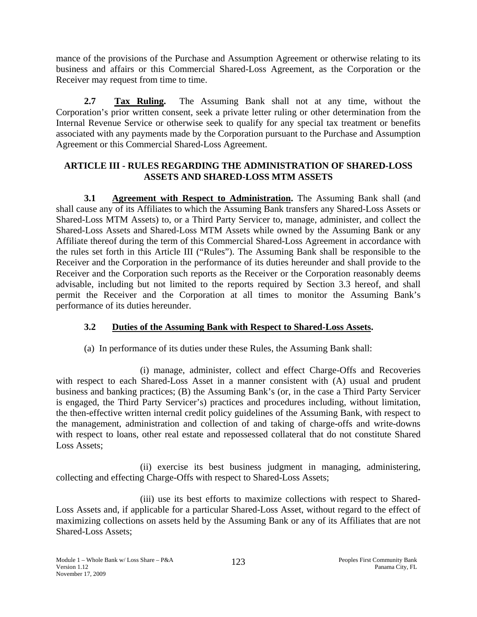mance of the provisions of the Purchase and Assumption Agreement or otherwise relating to its business and affairs or this Commercial Shared-Loss Agreement, as the Corporation or the Receiver may request from time to time.

**2.7 Tax Ruling.** The Assuming Bank shall not at any time, without the Corporation's prior written consent, seek a private letter ruling or other determination from the Internal Revenue Service or otherwise seek to qualify for any special tax treatment or benefits associated with any payments made by the Corporation pursuant to the Purchase and Assumption Agreement or this Commercial Shared-Loss Agreement.

## **ARTICLE III - RULES REGARDING THE ADMINISTRATION OF SHARED-LOSS ASSETS AND SHARED-LOSS MTM ASSETS**

**3.1 Agreement with Respect to Administration.** The Assuming Bank shall (and shall cause any of its Affiliates to which the Assuming Bank transfers any Shared-Loss Assets or Shared-Loss MTM Assets) to, or a Third Party Servicer to, manage, administer, and collect the Shared-Loss Assets and Shared-Loss MTM Assets while owned by the Assuming Bank or any Affiliate thereof during the term of this Commercial Shared-Loss Agreement in accordance with the rules set forth in this Article III ("Rules"). The Assuming Bank shall be responsible to the Receiver and the Corporation in the performance of its duties hereunder and shall provide to the Receiver and the Corporation such reports as the Receiver or the Corporation reasonably deems advisable, including but not limited to the reports required by Section 3.3 hereof, and shall permit the Receiver and the Corporation at all times to monitor the Assuming Bank's performance of its duties hereunder.

## **3.2 Duties of the Assuming Bank with Respect to Shared-Loss Assets.**

(a) In performance of its duties under these Rules, the Assuming Bank shall:

(i) manage, administer, collect and effect Charge-Offs and Recoveries with respect to each Shared-Loss Asset in a manner consistent with (A) usual and prudent business and banking practices; (B) the Assuming Bank's (or, in the case a Third Party Servicer is engaged, the Third Party Servicer's) practices and procedures including, without limitation, the then-effective written internal credit policy guidelines of the Assuming Bank, with respect to the management, administration and collection of and taking of charge-offs and write-downs with respect to loans, other real estate and repossessed collateral that do not constitute Shared Loss Assets;

(ii) exercise its best business judgment in managing, administering, collecting and effecting Charge-Offs with respect to Shared-Loss Assets;

(iii) use its best efforts to maximize collections with respect to Shared-Loss Assets and, if applicable for a particular Shared-Loss Asset, without regard to the effect of maximizing collections on assets held by the Assuming Bank or any of its Affiliates that are not Shared-Loss Assets;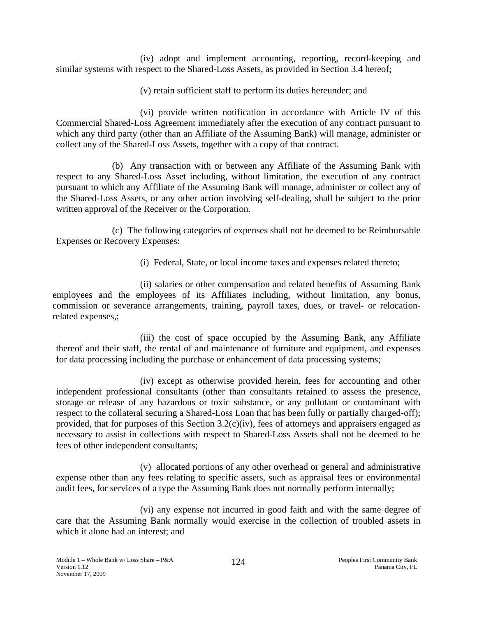(iv) adopt and implement accounting, reporting, record-keeping and similar systems with respect to the Shared-Loss Assets, as provided in Section 3.4 hereof;

(v) retain sufficient staff to perform its duties hereunder; and

(vi) provide written notification in accordance with Article IV of this Commercial Shared-Loss Agreement immediately after the execution of any contract pursuant to which any third party (other than an Affiliate of the Assuming Bank) will manage, administer or collect any of the Shared-Loss Assets, together with a copy of that contract.

(b) Any transaction with or between any Affiliate of the Assuming Bank with respect to any Shared-Loss Asset including, without limitation, the execution of any contract pursuant to which any Affiliate of the Assuming Bank will manage, administer or collect any of the Shared-Loss Assets, or any other action involving self-dealing, shall be subject to the prior written approval of the Receiver or the Corporation.

(c) The following categories of expenses shall not be deemed to be Reimbursable Expenses or Recovery Expenses:

(i) Federal, State, or local income taxes and expenses related thereto;

(ii) salaries or other compensation and related benefits of Assuming Bank employees and the employees of its Affiliates including, without limitation, any bonus, commission or severance arrangements, training, payroll taxes, dues, or travel- or relocationrelated expenses,;

(iii) the cost of space occupied by the Assuming Bank, any Affiliate thereof and their staff, the rental of and maintenance of furniture and equipment, and expenses for data processing including the purchase or enhancement of data processing systems;

(iv) except as otherwise provided herein, fees for accounting and other independent professional consultants (other than consultants retained to assess the presence, storage or release of any hazardous or toxic substance, or any pollutant or contaminant with respect to the collateral securing a Shared-Loss Loan that has been fully or partially charged-off); provided, that for purposes of this Section 3.2(c)(iv), fees of attorneys and appraisers engaged as necessary to assist in collections with respect to Shared-Loss Assets shall not be deemed to be fees of other independent consultants;

(v) allocated portions of any other overhead or general and administrative expense other than any fees relating to specific assets, such as appraisal fees or environmental audit fees, for services of a type the Assuming Bank does not normally perform internally;

(vi) any expense not incurred in good faith and with the same degree of care that the Assuming Bank normally would exercise in the collection of troubled assets in which it alone had an interest; and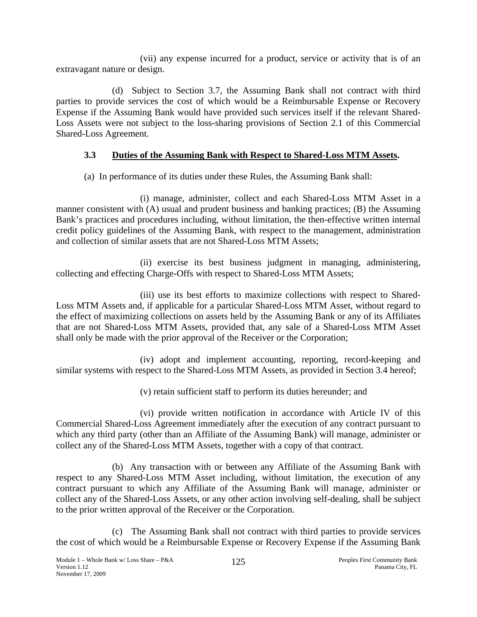(vii) any expense incurred for a product, service or activity that is of an extravagant nature or design.

(d) Subject to Section 3.7, the Assuming Bank shall not contract with third parties to provide services the cost of which would be a Reimbursable Expense or Recovery Expense if the Assuming Bank would have provided such services itself if the relevant Shared-Loss Assets were not subject to the loss-sharing provisions of Section 2.1 of this Commercial Shared-Loss Agreement.

## **3.3 Duties of the Assuming Bank with Respect to Shared-Loss MTM Assets.**

(a) In performance of its duties under these Rules, the Assuming Bank shall:

(i) manage, administer, collect and each Shared-Loss MTM Asset in a manner consistent with  $(A)$  usual and prudent business and banking practices;  $(B)$  the Assuming Bank's practices and procedures including, without limitation, the then-effective written internal credit policy guidelines of the Assuming Bank, with respect to the management, administration and collection of similar assets that are not Shared-Loss MTM Assets;

(ii) exercise its best business judgment in managing, administering, collecting and effecting Charge-Offs with respect to Shared-Loss MTM Assets;

(iii) use its best efforts to maximize collections with respect to Shared-Loss MTM Assets and, if applicable for a particular Shared-Loss MTM Asset, without regard to the effect of maximizing collections on assets held by the Assuming Bank or any of its Affiliates that are not Shared-Loss MTM Assets, provided that, any sale of a Shared-Loss MTM Asset shall only be made with the prior approval of the Receiver or the Corporation;

(iv) adopt and implement accounting, reporting, record-keeping and similar systems with respect to the Shared-Loss MTM Assets, as provided in Section 3.4 hereof;

(v) retain sufficient staff to perform its duties hereunder; and

(vi) provide written notification in accordance with Article IV of this Commercial Shared-Loss Agreement immediately after the execution of any contract pursuant to which any third party (other than an Affiliate of the Assuming Bank) will manage, administer or collect any of the Shared-Loss MTM Assets, together with a copy of that contract.

(b) Any transaction with or between any Affiliate of the Assuming Bank with respect to any Shared-Loss MTM Asset including, without limitation, the execution of any contract pursuant to which any Affiliate of the Assuming Bank will manage, administer or collect any of the Shared-Loss Assets, or any other action involving self-dealing, shall be subject to the prior written approval of the Receiver or the Corporation.

(c) The Assuming Bank shall not contract with third parties to provide services the cost of which would be a Reimbursable Expense or Recovery Expense if the Assuming Bank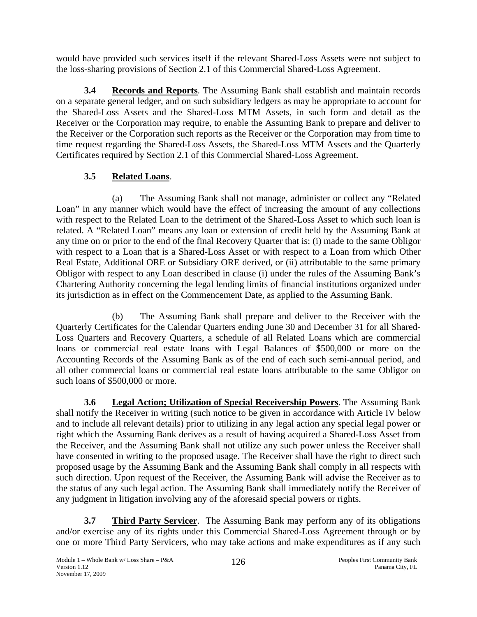would have provided such services itself if the relevant Shared-Loss Assets were not subject to the loss-sharing provisions of Section 2.1 of this Commercial Shared-Loss Agreement.

**3.4 Records and Reports**. The Assuming Bank shall establish and maintain records on a separate general ledger, and on such subsidiary ledgers as may be appropriate to account for the Shared-Loss Assets and the Shared-Loss MTM Assets, in such form and detail as the Receiver or the Corporation may require, to enable the Assuming Bank to prepare and deliver to the Receiver or the Corporation such reports as the Receiver or the Corporation may from time to time request regarding the Shared-Loss Assets, the Shared-Loss MTM Assets and the Quarterly Certificates required by Section 2.1 of this Commercial Shared-Loss Agreement.

# **3.5 Related Loans**.

(a) The Assuming Bank shall not manage, administer or collect any "Related Loan" in any manner which would have the effect of increasing the amount of any collections with respect to the Related Loan to the detriment of the Shared-Loss Asset to which such loan is related. A "Related Loan" means any loan or extension of credit held by the Assuming Bank at any time on or prior to the end of the final Recovery Quarter that is: (i) made to the same Obligor with respect to a Loan that is a Shared-Loss Asset or with respect to a Loan from which Other Real Estate, Additional ORE or Subsidiary ORE derived, or (ii) attributable to the same primary Obligor with respect to any Loan described in clause (i) under the rules of the Assuming Bank's Chartering Authority concerning the legal lending limits of financial institutions organized under its jurisdiction as in effect on the Commencement Date, as applied to the Assuming Bank.

(b) The Assuming Bank shall prepare and deliver to the Receiver with the Quarterly Certificates for the Calendar Quarters ending June 30 and December 31 for all Shared-Loss Quarters and Recovery Quarters, a schedule of all Related Loans which are commercial loans or commercial real estate loans with Legal Balances of \$500,000 or more on the Accounting Records of the Assuming Bank as of the end of each such semi-annual period, and all other commercial loans or commercial real estate loans attributable to the same Obligor on such loans of \$500,000 or more.

**3.6 Legal Action; Utilization of Special Receivership Powers**. The Assuming Bank shall notify the Receiver in writing (such notice to be given in accordance with Article IV below and to include all relevant details) prior to utilizing in any legal action any special legal power or right which the Assuming Bank derives as a result of having acquired a Shared-Loss Asset from the Receiver, and the Assuming Bank shall not utilize any such power unless the Receiver shall have consented in writing to the proposed usage. The Receiver shall have the right to direct such proposed usage by the Assuming Bank and the Assuming Bank shall comply in all respects with such direction. Upon request of the Receiver, the Assuming Bank will advise the Receiver as to the status of any such legal action. The Assuming Bank shall immediately notify the Receiver of any judgment in litigation involving any of the aforesaid special powers or rights.

**3.7 Third Party Servicer**. The Assuming Bank may perform any of its obligations and/or exercise any of its rights under this Commercial Shared-Loss Agreement through or by one or more Third Party Servicers, who may take actions and make expenditures as if any such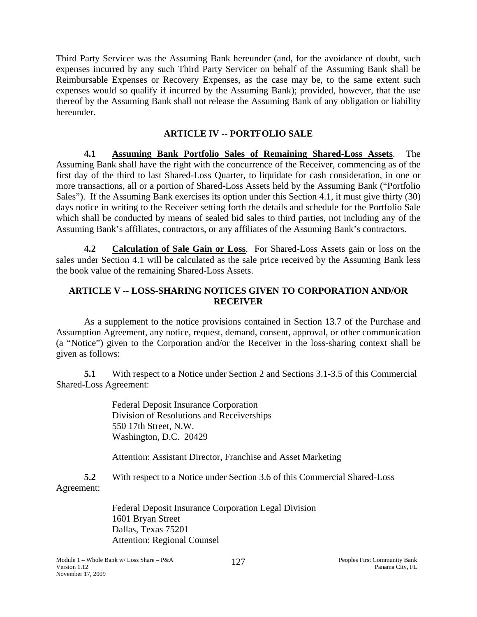Third Party Servicer was the Assuming Bank hereunder (and, for the avoidance of doubt, such expenses incurred by any such Third Party Servicer on behalf of the Assuming Bank shall be Reimbursable Expenses or Recovery Expenses, as the case may be, to the same extent such expenses would so qualify if incurred by the Assuming Bank); provided, however, that the use thereof by the Assuming Bank shall not release the Assuming Bank of any obligation or liability hereunder.

#### **ARTICLE IV -- PORTFOLIO SALE**

**4.1 Assuming Bank Portfolio Sales of Remaining Shared-Loss Assets**. The Assuming Bank shall have the right with the concurrence of the Receiver, commencing as of the first day of the third to last Shared-Loss Quarter, to liquidate for cash consideration, in one or more transactions, all or a portion of Shared-Loss Assets held by the Assuming Bank ("Portfolio Sales"). If the Assuming Bank exercises its option under this Section 4.1, it must give thirty (30) days notice in writing to the Receiver setting forth the details and schedule for the Portfolio Sale which shall be conducted by means of sealed bid sales to third parties, not including any of the Assuming Bank's affiliates, contractors, or any affiliates of the Assuming Bank's contractors.

**4.2 Calculation of Sale Gain or Loss**. For Shared-Loss Assets gain or loss on the sales under Section 4.1 will be calculated as the sale price received by the Assuming Bank less the book value of the remaining Shared-Loss Assets.

## **ARTICLE V -- LOSS-SHARING NOTICES GIVEN TO CORPORATION AND/OR RECEIVER**

As a supplement to the notice provisions contained in Section 13.7 of the Purchase and Assumption Agreement, any notice, request, demand, consent, approval, or other communication (a "Notice") given to the Corporation and/or the Receiver in the loss-sharing context shall be given as follows:

**5.1** With respect to a Notice under Section 2 and Sections 3.1-3.5 of this Commercial Shared-Loss Agreement:

> Federal Deposit Insurance Corporation Division of Resolutions and Receiverships 550 17th Street, N.W. Washington, D.C. 20429

Attention: Assistant Director, Franchise and Asset Marketing

**5.2** With respect to a Notice under Section 3.6 of this Commercial Shared-Loss Agreement:

> Federal Deposit Insurance Corporation Legal Division 1601 Bryan Street Dallas, Texas 75201 Attention: Regional Counsel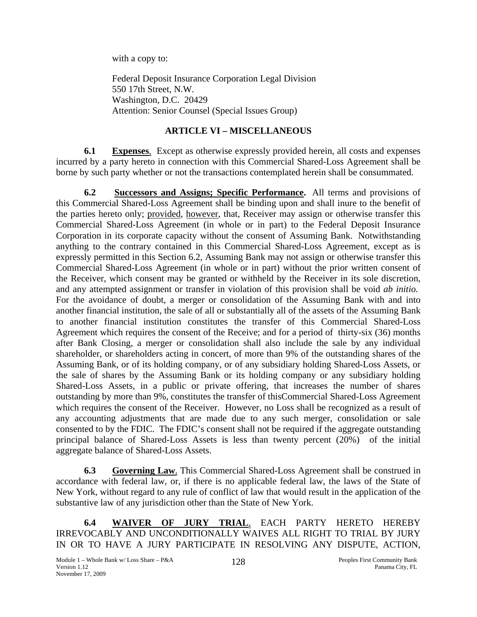with a copy to:

Federal Deposit Insurance Corporation Legal Division 550 17th Street, N.W. Washington, D.C. 20429 Attention: Senior Counsel (Special Issues Group)

# **ARTICLE VI – MISCELLANEOUS**

**6.1 Expenses**. Except as otherwise expressly provided herein, all costs and expenses incurred by a party hereto in connection with this Commercial Shared-Loss Agreement shall be borne by such party whether or not the transactions contemplated herein shall be consummated.

**6.2** Successors and Assigns; Specific Performance. All terms and provisions of this Commercial Shared-Loss Agreement shall be binding upon and shall inure to the benefit of the parties hereto only; provided, however, that, Receiver may assign or otherwise transfer this Commercial Shared-Loss Agreement (in whole or in part) to the Federal Deposit Insurance Corporation in its corporate capacity without the consent of Assuming Bank. Notwithstanding anything to the contrary contained in this Commercial Shared-Loss Agreement, except as is expressly permitted in this Section 6.2, Assuming Bank may not assign or otherwise transfer this Commercial Shared-Loss Agreement (in whole or in part) without the prior written consent of the Receiver, which consent may be granted or withheld by the Receiver in its sole discretion, and any attempted assignment or transfer in violation of this provision shall be void *ab initio.*  For the avoidance of doubt, a merger or consolidation of the Assuming Bank with and into another financial institution, the sale of all or substantially all of the assets of the Assuming Bank to another financial institution constitutes the transfer of this Commercial Shared-Loss Agreement which requires the consent of the Receive; and for a period of thirty-six (36) months after Bank Closing, a merger or consolidation shall also include the sale by any individual shareholder, or shareholders acting in concert, of more than 9% of the outstanding shares of the Assuming Bank, or of its holding company, or of any subsidiary holding Shared-Loss Assets, or the sale of shares by the Assuming Bank or its holding company or any subsidiary holding Shared-Loss Assets, in a public or private offering, that increases the number of shares outstanding by more than 9%, constitutes the transfer of thisCommercial Shared-Loss Agreement which requires the consent of the Receiver. However, no Loss shall be recognized as a result of any accounting adjustments that are made due to any such merger, consolidation or sale consented to by the FDIC. The FDIC's consent shall not be required if the aggregate outstanding principal balance of Shared-Loss Assets is less than twenty percent (20%) of the initial aggregate balance of Shared-Loss Assets.

**6.3 Governing Law**. This Commercial Shared-Loss Agreement shall be construed in accordance with federal law, or, if there is no applicable federal law, the laws of the State of New York, without regard to any rule of conflict of law that would result in the application of the substantive law of any jurisdiction other than the State of New York.

**6.4 WAIVER OF JURY TRIAL**. EACH PARTY HERETO HEREBY IRREVOCABLY AND UNCONDITIONALLY WAIVES ALL RIGHT TO TRIAL BY JURY IN OR TO HAVE A JURY PARTICIPATE IN RESOLVING ANY DISPUTE, ACTION,